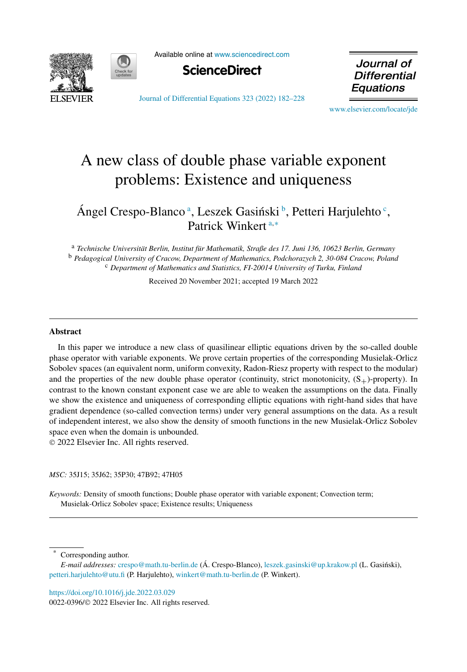



Available online at [www.sciencedirect.com](http://www.sciencedirect.com)



Journal of **Differential Equations** 

[Journal of Differential Equations 323 \(2022\) 182–228](https://doi.org/10.1016/j.jde.2022.03.029)

[www.elsevier.com/locate/jde](http://www.elsevier.com/locate/jde)

# A new class of double phase variable exponent problems: Existence and uniqueness

# Ángel Crespo-Blanco<sup>a</sup>, Leszek Gasiński<sup>b</sup>, Petteri Harjulehto<sup>c</sup>, Patrick Winkert <sup>a</sup>*,*<sup>∗</sup>

<sup>a</sup> *Technische Universität Berlin, Institut für Mathematik, Straße des 17. Juni 136, 10623 Berlin, Germany* <sup>b</sup> *Pedagogical University of Cracow, Department of Mathematics, Podchorazych 2, 30-084 Cracow, Poland* <sup>c</sup> *Department of Mathematics and Statistics, FI-20014 University of Turku, Finland*

Received 20 November 2021; accepted 19 March 2022

#### **Abstract**

In this paper we introduce a new class of quasilinear elliptic equations driven by the so-called double phase operator with variable exponents. We prove certain properties of the corresponding Musielak-Orlicz Sobolev spaces (an equivalent norm, uniform convexity, Radon-Riesz property with respect to the modular) and the properties of the new double phase operator (continuity, strict monotonicity,  $(S_{+})$ -property). In contrast to the known constant exponent case we are able to weaken the assumptions on the data. Finally we show the existence and uniqueness of corresponding elliptic equations with right-hand sides that have gradient dependence (so-called convection terms) under very general assumptions on the data. As a result of independent interest, we also show the density of smooth functions in the new Musielak-Orlicz Sobolev space even when the domain is unbounded.

© 2022 Elsevier Inc. All rights reserved.

*MSC:* 35J15; 35J62; 35P30; 47B92; 47H05

*Keywords:* Density of smooth functions; Double phase operator with variable exponent; Convection term; Musielak-Orlicz Sobolev space; Existence results; Uniqueness

Corresponding author.

<https://doi.org/10.1016/j.jde.2022.03.029>

0022-0396/© 2022 Elsevier Inc. All rights reserved.

*E-mail addresses:* [crespo@math.tu-berlin.de](mailto:crespo@math.tu-berlin.de) (Á. Crespo-Blanco), [leszek.gasinski@up.krakow.pl](mailto:leszek.gasinski@up.krakow.pl) (L. Gasinski), ´ [petteri.harjulehto@utu.fi](mailto:petteri.harjulehto@utu.fi) (P. Harjulehto), [winkert@math.tu-berlin.de](mailto:winkert@math.tu-berlin.de) (P. Winkert).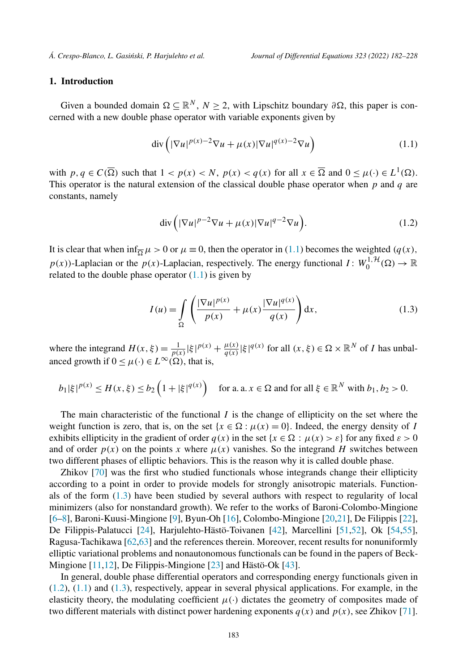# <span id="page-1-0"></span>**1. Introduction**

Given a bounded domain  $\Omega \subseteq \mathbb{R}^N$ ,  $N \ge 2$ , with Lipschitz boundary  $\partial \Omega$ , this paper is concerned with a new double phase operator with variable exponents given by

$$
\operatorname{div}\left(|\nabla u|^{p(x)-2}\nabla u + \mu(x)|\nabla u|^{q(x)-2}\nabla u\right) \tag{1.1}
$$

with  $p, q \in C(\overline{\Omega})$  such that  $1 < p(x) < N$ ,  $p(x) < q(x)$  for all  $x \in \overline{\Omega}$  and  $0 \le \mu(\cdot) \in L^1(\Omega)$ . This operator is the natural extension of the classical double phase operator when *p* and *q* are constants, namely

$$
\operatorname{div}\left(|\nabla u|^{p-2}\nabla u + \mu(x)|\nabla u|^{q-2}\nabla u\right). \tag{1.2}
$$

It is clear that when  $\inf_{\overline{\Omega}} \mu > 0$  or  $\mu \equiv 0$ , then the operator in (1.1) becomes the weighted ( $q(x)$ ,  $p(x)$ )-Laplacian or the  $p(x)$ -Laplacian, respectively. The energy functional  $I: W_0^{1, H}(\Omega) \to \mathbb{R}$ related to the double phase operator  $(1.1)$  is given by

$$
I(u) = \int_{\Omega} \left( \frac{|\nabla u|^{p(x)}}{p(x)} + \mu(x) \frac{|\nabla u|^{q(x)}}{q(x)} \right) dx,
$$
 (1.3)

where the integrand  $H(x,\xi) = \frac{1}{p(x)} |\xi|^{p(x)} + \frac{\mu(x)}{q(x)} |\xi|^{q(x)}$  for all  $(x,\xi) \in \Omega \times \mathbb{R}^N$  of *I* has unbalanced growth if  $0 \leq \mu(\cdot) \in L^{\infty}(\Omega)$ , that is,

$$
b_1|\xi|^{p(x)} \le H(x,\xi) \le b_2\left(1+|\xi|^{q(x)}\right) \quad \text{for a. a. } x \in \Omega \text{ and for all } \xi \in \mathbb{R}^N \text{ with } b_1, b_2 > 0.
$$

The main characteristic of the functional *I* is the change of ellipticity on the set where the weight function is zero, that is, on the set  $\{x \in \Omega : \mu(x) = 0\}$ . Indeed, the energy density of *I* exhibits ellipticity in the gradient of order  $q(x)$  in the set  $\{x \in \Omega : \mu(x) > \varepsilon\}$  for any fixed  $\varepsilon > 0$ and of order  $p(x)$  on the points x where  $\mu(x)$  vanishes. So the integrand *H* switches between two different phases of elliptic behaviors. This is the reason why it is called double phase.

Zhikov [[70\]](#page-46-0) was the first who studied functionals whose integrands change their ellipticity according to a point in order to provide models for strongly anisotropic materials. Functionals of the form (1.3) have been studied by several authors with respect to regularity of local minimizers (also for nonstandard growth). We refer to the works of Baroni-Colombo-Mingione [[6–8\]](#page-44-0), Baroni-Kuusi-Mingione [[9\]](#page-44-0), Byun-Oh [\[16](#page-44-0)], Colombo-Mingione [\[20,21](#page-44-0)], De Filippis [\[22](#page-44-0)], De Filippis-Palatucci [[24\]](#page-44-0), Harjulehto-Hästö-Toivanen [\[42](#page-45-0)], Marcellini [[51,52](#page-45-0)], Ok [[54,55](#page-45-0)], Ragusa-Tachikawa [\[62,](#page-45-0)[63\]](#page-46-0) and the references therein. Moreover, recent results for nonuniformly elliptic variational problems and nonautonomous functionals can be found in the papers of Beck-Mingione [\[11,12\]](#page-44-0), De Filippis-Mingione [\[23](#page-44-0)] and Hästö-Ok [\[43\]](#page-45-0).

In general, double phase differential operators and corresponding energy functionals given in (1.2), (1.1) and (1.3), respectively, appear in several physical applications. For example, in the elasticity theory, the modulating coefficient  $\mu(\cdot)$  dictates the geometry of composites made of two different materials with distinct power hardening exponents  $q(x)$  and  $p(x)$ , see Zhikov [\[71](#page-46-0)].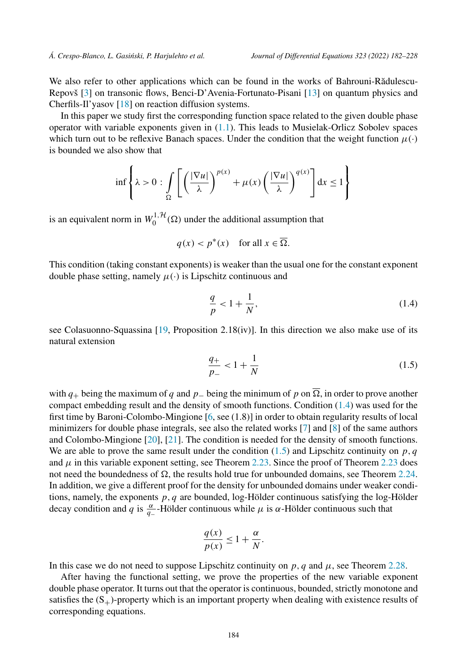We also refer to other applications which can be found in the works of Bahrouni-Rădulescu-Repovš [[3\]](#page-44-0) on transonic flows, Benci-D'Avenia-Fortunato-Pisani [[13\]](#page-44-0) on quantum physics and Cherfils-Il'yasov [[18\]](#page-44-0) on reaction diffusion systems.

In this paper we study first the corresponding function space related to the given double phase operator with variable exponents given in ([1.1](#page-1-0)). This leads to Musielak-Orlicz Sobolev spaces which turn out to be reflexive Banach spaces. Under the condition that the weight function  $\mu(\cdot)$ is bounded we also show that

$$
\inf \left\{ \lambda > 0 : \int_{\Omega} \left[ \left( \frac{|\nabla u|}{\lambda} \right)^{p(x)} + \mu(x) \left( \frac{|\nabla u|}{\lambda} \right)^{q(x)} \right] dx \le 1 \right\}
$$

is an equivalent norm in  $W_0^{1, H}(\Omega)$  under the additional assumption that

$$
q(x) < p^*(x) \quad \text{for all } x \in \overline{\Omega}.
$$

This condition (taking constant exponents) is weaker than the usual one for the constant exponent double phase setting, namely  $\mu(\cdot)$  is Lipschitz continuous and

$$
\frac{q}{p} < 1 + \frac{1}{N},\tag{1.4}
$$

see Colasuonno-Squassina [[19,](#page-44-0) Proposition 2.18(iv)]. In this direction we also make use of its natural extension

$$
\frac{q_+}{p_-} < 1 + \frac{1}{N} \tag{1.5}
$$

with  $q_+$  being the maximum of  $q$  and  $p_-$  being the minimum of  $p$  on  $\Omega$ , in order to prove another compact embedding result and the density of smooth functions. Condition (1.4) was used for the first time by Baroni-Colombo-Mingione [\[6](#page-44-0), see (1.8)] in order to obtain regularity results of local minimizers for double phase integrals, see also the related works [[7\]](#page-44-0) and [[8\]](#page-44-0) of the same authors and Colombo-Mingione [\[20\]](#page-44-0), [\[21](#page-44-0)]. The condition is needed for the density of smooth functions. We are able to prove the same result under the condition  $(1.5)$  and Lipschitz continuity on  $p, q$ and  $\mu$  in this variable exponent setting, see Theorem [2.23.](#page-22-0) Since the proof of Theorem [2.23](#page-22-0) does not need the boundedness of  $\Omega$ , the results hold true for unbounded domains, see Theorem [2.24.](#page-24-0) In addition, we give a different proof for the density for unbounded domains under weaker conditions, namely, the exponents *p, q* are bounded, log-Hölder continuous satisfying the log-Hölder decay condition and *q* is  $\frac{\alpha}{q-}$ -Hölder continuous while  $\mu$  is  $\alpha$ -Hölder continuous such that

$$
\frac{q(x)}{p(x)} \le 1 + \frac{\alpha}{N}.
$$

In this case we do not need to suppose Lipschitz continuity on  $p$ ,  $q$  and  $\mu$ , see Theorem [2.28](#page-27-0).

After having the functional setting, we prove the properties of the new variable exponent double phase operator. It turns out that the operator is continuous, bounded, strictly monotone and satisfies the  $(S_{+})$ -property which is an important property when dealing with existence results of corresponding equations.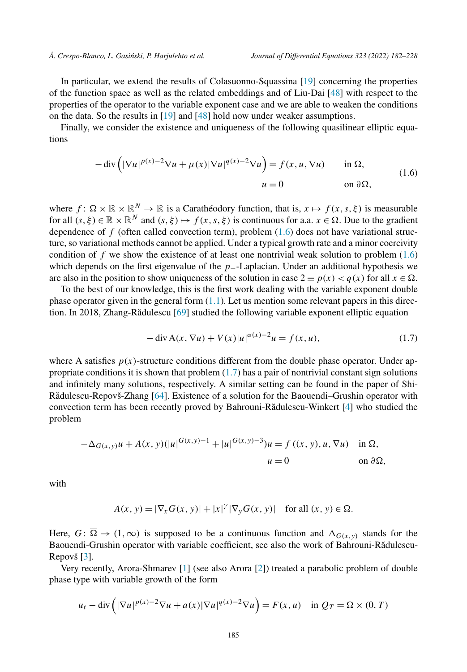<span id="page-3-0"></span>In particular, we extend the results of Colasuonno-Squassina [\[19](#page-44-0)] concerning the properties of the function space as well as the related embeddings and of Liu-Dai [[48\]](#page-45-0) with respect to the properties of the operator to the variable exponent case and we are able to weaken the conditions on the data. So the results in [\[19](#page-44-0)] and [\[48\]](#page-45-0) hold now under weaker assumptions.

Finally, we consider the existence and uniqueness of the following quasilinear elliptic equations

$$
-\operatorname{div}\left(|\nabla u|^{p(x)-2}\nabla u + \mu(x)|\nabla u|^{q(x)-2}\nabla u\right) = f(x, u, \nabla u) \quad \text{in } \Omega,
$$
  
\n
$$
u = 0 \quad \text{on } \partial\Omega,
$$
\n(1.6)

where  $f: \Omega \times \mathbb{R} \times \mathbb{R}^N \to \mathbb{R}$  is a Carathéodory function, that is,  $x \mapsto f(x, s, \xi)$  is measurable for all  $(s, \xi) \in \mathbb{R} \times \mathbb{R}^N$  and  $(s, \xi) \mapsto f(x, s, \xi)$  is continuous for a.a.  $x \in \Omega$ . Due to the gradient dependence of  $f$  (often called convection term), problem  $(1.6)$  does not have variational structure, so variational methods cannot be applied. Under a typical growth rate and a minor coercivity condition of  $f$  we show the existence of at least one nontrivial weak solution to problem  $(1.6)$ which depends on the first eigenvalue of the *p*−-Laplacian. Under an additional hypothesis we are also in the position to show uniqueness of the solution in case  $2 \equiv p(x) < q(x)$  for all  $x \in \Omega$ .

To the best of our knowledge, this is the first work dealing with the variable exponent double phase operator given in the general form  $(1.1)$  $(1.1)$ . Let us mention some relevant papers in this direc-tion. In 2018, Zhang-Rădulescu [[69\]](#page-46-0) studied the following variable exponent elliptic equation

$$
-\operatorname{div} A(x, \nabla u) + V(x)|u|^{\alpha(x)-2}u = f(x, u),
$$
\n(1.7)

where A satisfies  $p(x)$ -structure conditions different from the double phase operator. Under appropriate conditions it is shown that problem (1.7) has a pair of nontrivial constant sign solutions and infinitely many solutions, respectively. A similar setting can be found in the paper of Shi-Rădulescu-Repovš-Zhang [[64\]](#page-46-0). Existence of a solution for the Baouendi–Grushin operator with convection term has been recently proved by Bahrouni-Rădulescu-Winkert [\[4\]](#page-44-0) who studied the problem

$$
-\Delta_{G(x,y)}u + A(x,y)(|u|^{G(x,y)-1} + |u|^{G(x,y)-3})u = f((x,y), u, \nabla u) \text{ in } \Omega,
$$
  

$$
u = 0 \text{ on } \partial\Omega,
$$

with

$$
A(x, y) = |\nabla_x G(x, y)| + |x|^{\gamma} |\nabla_y G(x, y)| \quad \text{for all } (x, y) \in \Omega.
$$

Here,  $G: \overline{\Omega} \to (1, \infty)$  is supposed to be a continuous function and  $\Delta_{G(x,y)}$  stands for the Baouendi-Grushin operator with variable coefficient, see also the work of Bahrouni-Rădulescu-Repovš [\[3](#page-44-0)].

Very recently, Arora-Shmarev [[1\]](#page-44-0) (see also Arora [\[2](#page-44-0)]) treated a parabolic problem of double phase type with variable growth of the form

$$
u_t - \operatorname{div}\left(|\nabla u|^{p(x)-2}\nabla u + a(x)|\nabla u|^{q(x)-2}\nabla u\right) = F(x, u) \quad \text{in } Q_T = \Omega \times (0, T)
$$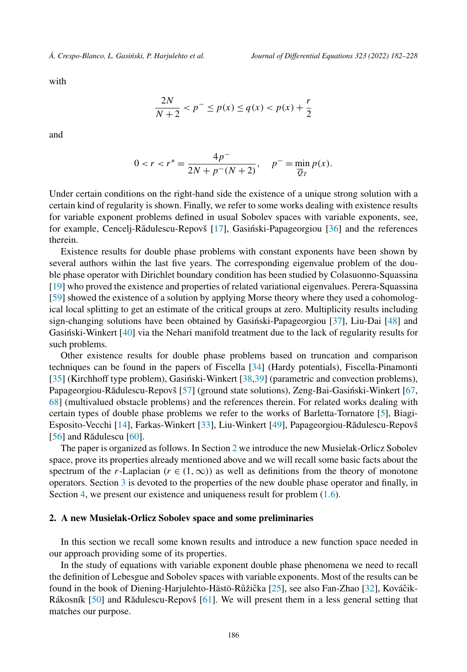with

$$
\frac{2N}{N+2} < p^- \le p(x) \le q(x) < p(x) + \frac{r}{2}
$$

and

$$
0 < r < r^* = \frac{4p^-}{2N + p^-(N+2)}, \quad p^- = \min_{\overline{Q}_T} p(x).
$$

Under certain conditions on the right-hand side the existence of a unique strong solution with a certain kind of regularity is shown. Finally, we refer to some works dealing with existence results for variable exponent problems defined in usual Sobolev spaces with variable exponents, see, for example, Cencelj-Rădulescu-Repovš [\[17\]](#page-44-0), Gasiński-Papageorgiou [[36\]](#page-45-0) and the references therein.

Existence results for double phase problems with constant exponents have been shown by several authors within the last five years. The corresponding eigenvalue problem of the double phase operator with Dirichlet boundary condition has been studied by Colasuonno-Squassina [[19\]](#page-44-0) who proved the existence and properties of related variational eigenvalues. Perera-Squassina [[59\]](#page-45-0) showed the existence of a solution by applying Morse theory where they used a cohomological local splitting to get an estimate of the critical groups at zero. Multiplicity results including sign-changing solutions have been obtained by Gasiński-Papageorgiou [[37\]](#page-45-0), Liu-Dai [\[48](#page-45-0)] and Gasiński-Winkert [[40\]](#page-45-0) via the Nehari manifold treatment due to the lack of regularity results for such problems.

Other existence results for double phase problems based on truncation and comparison techniques can be found in the papers of Fiscella [\[34\]](#page-45-0) (Hardy potentials), Fiscella-Pinamonti  $[35]$  $[35]$  (Kirchhoff type problem), Gasiński-Winkert  $[38,39]$  $[38,39]$  $[38,39]$  (parametric and convection problems), Papageorgiou-Rădulescu-Repovš [[57\]](#page-45-0) (ground state solutions), Zeng-Bai-Gasinski-Winkert [[67,](#page-46-0) [68\]](#page-46-0) (multivalued obstacle problems) and the references therein. For related works dealing with certain types of double phase problems we refer to the works of Barletta-Tornatore [\[5\]](#page-44-0), Biagi-Esposito-Vecchi [\[14\]](#page-44-0), Farkas-Winkert [\[33](#page-45-0)], Liu-Winkert [\[49](#page-45-0)], Papageorgiou-Rădulescu-Repovš  $[56]$  $[56]$  and Rădulescu  $[60]$  $[60]$ .

The paper is organized as follows. In Section 2 we introduce the new Musielak-Orlicz Sobolev space, prove its properties already mentioned above and we will recall some basic facts about the spectrum of the *r*-Laplacian ( $r \in (1, \infty)$ ) as well as definitions from the theory of monotone operators. Section [3](#page-29-0) is devoted to the properties of the new double phase operator and finally, in Section [4,](#page-39-0) we present our existence and uniqueness result for problem  $(1.6)$ .

#### **2. A new Musielak-Orlicz Sobolev space and some preliminaries**

In this section we recall some known results and introduce a new function space needed in our approach providing some of its properties.

In the study of equations with variable exponent double phase phenomena we need to recall the definition of Lebesgue and Sobolev spaces with variable exponents. Most of the results can be found in the book of Diening-Harjulehto-Hästö-Růžička [[25\]](#page-44-0), see also Fan-Zhao [\[32](#page-45-0)], Kováčik-Rákosník [[50\]](#page-45-0) and Rădulescu-Repovš [[61\]](#page-45-0). We will present them in a less general setting that matches our purpose.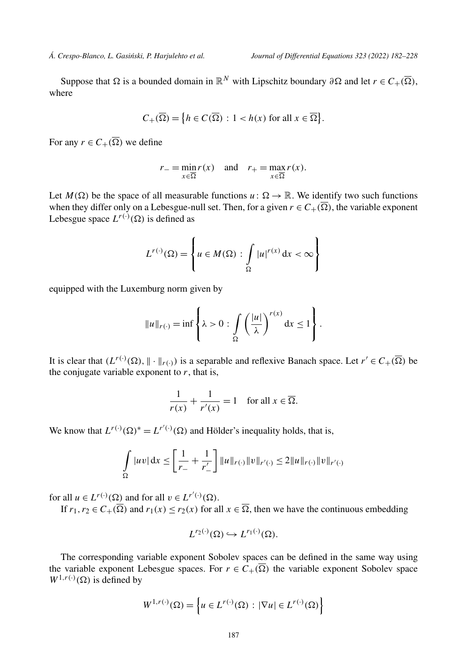Suppose that  $\Omega$  is a bounded domain in  $\mathbb{R}^N$  with Lipschitz boundary  $\partial \Omega$  and let  $r \in C_+(\overline{\Omega})$ , where

$$
C_{+}(\overline{\Omega}) = \{ h \in C(\overline{\Omega}) : 1 < h(x) \text{ for all } x \in \overline{\Omega} \}.
$$

For any  $r \in C_+(\Omega)$  we define

$$
r_{-} = \min_{x \in \overline{\Omega}} r(x) \quad \text{and} \quad r_{+} = \max_{x \in \overline{\Omega}} r(x).
$$

Let  $M(\Omega)$  be the space of all measurable functions  $u: \Omega \to \mathbb{R}$ . We identify two such functions when they differ only on a Lebesgue-null set. Then, for a given  $r \in C_+(\Omega)$ , the variable exponent Lebesgue space  $L^{r(\cdot)}(\Omega)$  is defined as

$$
L^{r(\cdot)}(\Omega) = \left\{ u \in M(\Omega) : \int\limits_{\Omega} |u|^{r(x)} dx < \infty \right\}
$$

equipped with the Luxemburg norm given by

$$
||u||_{r(\cdot)} = \inf \left\{ \lambda > 0 : \int_{\Omega} \left( \frac{|u|}{\lambda} \right)^{r(x)} dx \le 1 \right\}.
$$

It is clear that  $(L^{r(\cdot)}(\Omega), \|\cdot\|_{r(\cdot)})$  is a separable and reflexive Banach space. Let  $r' \in C_+(\overline{\Omega})$  be the conjugate variable exponent to  $r$ , that is,

$$
\frac{1}{r(x)} + \frac{1}{r'(x)} = 1 \quad \text{for all } x \in \overline{\Omega}.
$$

We know that  $L^{r(\cdot)}(\Omega)^* = L^{r'(\cdot)}(\Omega)$  and Hölder's inequality holds, that is,

$$
\int_{\Omega} |uv| dx \le \left[ \frac{1}{r_-} + \frac{1}{r'_-} \right] ||u||_{r(\cdot)} ||v||_{r'(\cdot)} \le 2||u||_{r(\cdot)} ||v||_{r'(\cdot)}
$$

for all  $u \in L^{r(\cdot)}(\Omega)$  and for all  $v \in L^{r'(\cdot)}(\Omega)$ .

If  $r_1, r_2 \in C_+(\overline{\Omega})$  and  $r_1(x) \le r_2(x)$  for all  $x \in \overline{\Omega}$ , then we have the continuous embedding

$$
L^{r_2(\cdot)}(\Omega) \hookrightarrow L^{r_1(\cdot)}(\Omega).
$$

The corresponding variable exponent Sobolev spaces can be defined in the same way using the variable exponent Lebesgue spaces. For  $r \in C_+(\overline{\Omega})$  the variable exponent Sobolev space  $W^{1,r(\cdot)}(\Omega)$  is defined by

$$
W^{1,r(\cdot)}(\Omega) = \left\{ u \in L^{r(\cdot)}(\Omega) : |\nabla u| \in L^{r(\cdot)}(\Omega) \right\}
$$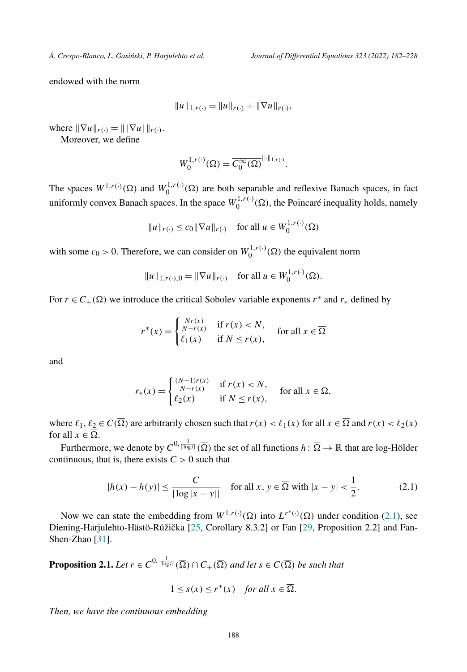<span id="page-6-0"></span>endowed with the norm

$$
||u||_{1,r(\cdot)} = ||u||_{r(\cdot)} + ||\nabla u||_{r(\cdot)},
$$

where  $\|\nabla u\|_{r(.)} = \|\nabla u\|_{r(.)}$ .

Moreover, we define

$$
W_0^{1,r(\cdot)}(\Omega) = \overline{C_0^{\infty}(\Omega)}^{\|\cdot\|_{1,r(\cdot)}}.
$$

The spaces  $W^{1,r(\cdot)}(\Omega)$  and  $W_0^{1,r(\cdot)}(\Omega)$  are both separable and reflexive Banach spaces, in fact uniformly convex Banach spaces. In the space  $W_0^{1,r(\cdot)}(\Omega)$ , the Poincaré inequality holds, namely

$$
||u||_{r(\cdot)} \le c_0 ||\nabla u||_{r(\cdot)} \quad \text{for all } u \in W_0^{1,r(\cdot)}(\Omega)
$$

with some  $c_0 > 0$ . Therefore, we can consider on  $W_0^{1,r(\cdot)}(\Omega)$  the equivalent norm

$$
||u||_{1,r(\cdot),0} = ||\nabla u||_{r(\cdot)} \quad \text{for all } u \in W_0^{1,r(\cdot)}(\Omega).
$$

For  $r \in C_+(\overline{\Omega})$  we introduce the critical Sobolev variable exponents  $r^*$  and  $r_*$  defined by

$$
r^*(x) = \begin{cases} \frac{Nr(x)}{N-r(x)} & \text{if } r(x) < N, \\ \ell_1(x) & \text{if } N \le r(x), \end{cases} \text{ for all } x \in \overline{\Omega}
$$

and

$$
r_*(x) = \begin{cases} \frac{(N-1)r(x)}{N-r(x)} & \text{if } r(x) < N, \\ \ell_2(x) & \text{if } N \le r(x), \end{cases} \text{ for all } x \in \overline{\Omega},
$$

where  $\ell_1, \ell_2 \in C(\overline{\Omega})$  are arbitrarily chosen such that  $r(x) < \ell_1(x)$  for all  $x \in \overline{\Omega}$  and  $r(x) < \ell_2(x)$ for all  $x \in \overline{\Omega}$ .

Furthermore, we denote by  $C^{0, \frac{1}{|\log t|}}(\overline{\Omega})$  the set of all functions  $h: \overline{\Omega} \to \mathbb{R}$  that are log-Hölder continuous, that is, there exists  $C > 0$  such that

$$
|h(x) - h(y)| \le \frac{C}{|\log|x - y||} \quad \text{for all } x, y \in \overline{\Omega} \text{ with } |x - y| < \frac{1}{2}.\tag{2.1}
$$

Now we can state the embedding from  $W^{1,r(\cdot)}(\Omega)$  into  $L^{r^*(\cdot)}(\Omega)$  under condition (2.1), see Diening-Harjulehto-Hästö-Růžička [[25,](#page-44-0) Corollary 8.3.2] or Fan [[29,](#page-44-0) Proposition 2.2] and Fan-Shen-Zhao [\[31](#page-45-0)].

**Proposition 2.1.** *Let*  $r \in C^{0, \frac{1}{|\log t|}}(\overline{\Omega}) \cap C_{+}(\overline{\Omega})$  *and let*  $s \in C(\overline{\Omega})$  *be such that* 

$$
1 \leq s(x) \leq r^*(x)
$$
 for all  $x \in \overline{\Omega}$ .

*Then, we have the continuous embedding*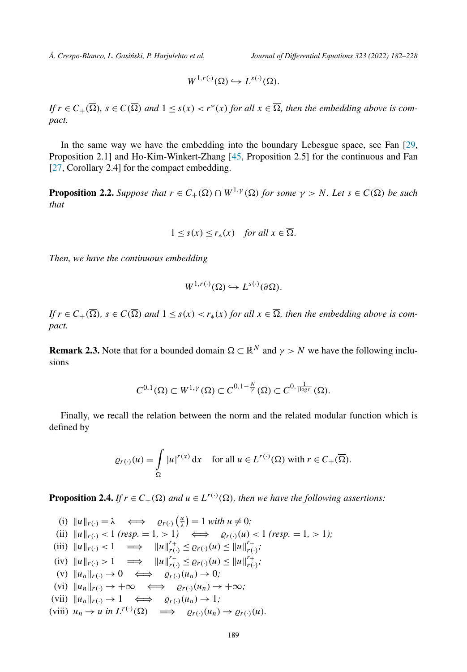<span id="page-7-0"></span>

$$
W^{1,r(\cdot)}(\Omega) \hookrightarrow L^{s(\cdot)}(\Omega).
$$

If  $r \in C_+(\overline{\Omega})$ ,  $s \in C(\overline{\Omega})$  and  $1 \leq s(x) < r^*(x)$  for all  $x \in \overline{\Omega}$ , then the embedding above is com*pact.*

In the same way we have the embedding into the boundary Lebesgue space, see Fan [\[29,](#page-44-0) Proposition 2.1] and Ho-Kim-Winkert-Zhang [\[45](#page-45-0), Proposition 2.5] for the continuous and Fan [[27,](#page-44-0) Corollary 2.4] for the compact embedding.

**Proposition 2.2.** Suppose that  $r \in C_+(\overline{\Omega}) \cap W^{1,\gamma}(\Omega)$  for some  $\gamma > N$ . Let  $s \in C(\overline{\Omega})$  be such *that*

$$
1 \leq s(x) \leq r_*(x)
$$
 for all  $x \in \overline{\Omega}$ .

*Then, we have the continuous embedding*

$$
W^{1,r(\cdot)}(\Omega) \hookrightarrow L^{s(\cdot)}(\partial\Omega).
$$

If  $r \in C_+(\Omega)$ ,  $s \in C(\Omega)$  and  $1 \leq s(x) < r_*(x)$  for all  $x \in \Omega$ , then the embedding above is com*pact.*

**Remark 2.3.** Note that for a bounded domain  $\Omega \subset \mathbb{R}^N$  and  $\gamma > N$  we have the following inclusions

$$
C^{0,1}(\overline{\Omega})\subset W^{1,\gamma}(\Omega)\subset C^{0,1-\frac{N}{\gamma}}(\overline{\Omega})\subset C^{0,\frac{1}{|\log t|}}(\overline{\Omega}).
$$

Finally, we recall the relation between the norm and the related modular function which is defined by

$$
\varrho_{r(\cdot)}(u) = \int_{\Omega} |u|^{r(x)} dx \quad \text{for all } u \in L^{r(\cdot)}(\Omega) \text{ with } r \in C_{+}(\overline{\Omega}).
$$

**Proposition 2.4.** If  $r \in C_+(\overline{\Omega})$  and  $u \in L^{r(\cdot)}(\Omega)$ , then we have the following assertions:

(i)  $||u||_{r(\cdot)} = \lambda \iff \varrho_{r(\cdot)}\left(\frac{u}{\lambda}\right) = 1 \text{ with } u \neq 0;$ (ii)  $||u||_{r(\cdot)} < 1$  (resp. = 1, > 1)  $\iff$   $\rho_{r(\cdot)}(u) < 1$  (resp. = 1, > 1); (iii)  $||u||_{r(\cdot)} < 1 \implies ||u||_{r(\cdot)}^{r+} \leq \varrho_{r(\cdot)}(u) \leq ||u||_{r(\cdot)}^{r-}$ ;  $||u||_{r(\cdot)} > 1 \implies ||u||_{r(\cdot)}^{r-} \leq \varrho_{r(\cdot)}(u) \leq ||u||_{r(\cdot)}^{r+}$ ;  $(v)$   $||u_n||_{r(\cdot)} \to 0 \iff \varrho_{r(\cdot)}(u_n) \to 0;$  $(vi)$   $||u_n||_{r(\cdot)} \to +\infty \iff \varrho_{r(\cdot)}(u_n) \to +\infty;$  $(vii)$   $||u_n||_{r(\cdot)} \to 1 \iff \varrho_{r(\cdot)}(u_n) \to 1;$ (viii)  $u_n \to u$  in  $L^{r(\cdot)}(\Omega) \implies \varrho_{r(\cdot)}(u_n) \to \varrho_{r(\cdot)}(u)$ .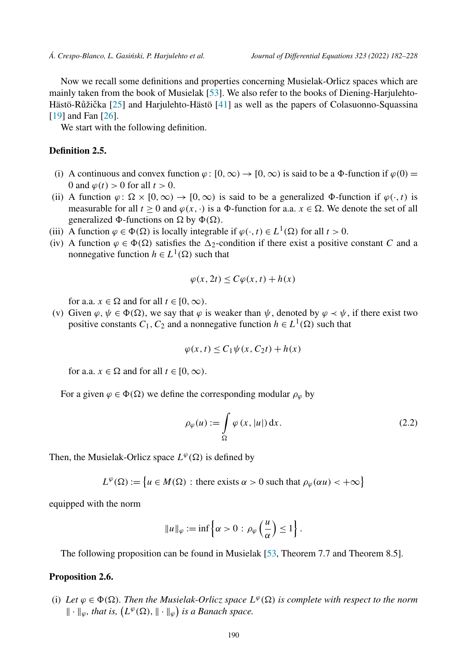<span id="page-8-0"></span>Now we recall some definitions and properties concerning Musielak-Orlicz spaces which are mainly taken from the book of Musielak [[53\]](#page-45-0). We also refer to the books of Diening-Harjulehto-Hästö-Růžička  $[25]$  $[25]$  and Harjulehto-Hästö  $[41]$  $[41]$  as well as the papers of Colasuonno-Squassina [[19\]](#page-44-0) and Fan [\[26](#page-44-0)].

We start with the following definition.

# **Definition 2.5.**

- (i) A continuous and convex function  $\varphi$ :  $[0, \infty) \to [0, \infty)$  is said to be a  $\Phi$ -function if  $\varphi(0)$  = 0 and  $\varphi(t) > 0$  for all  $t > 0$ .
- (ii) A function  $\varphi$ :  $\Omega \times [0, \infty) \to [0, \infty)$  is said to be a generalized  $\Phi$ -function if  $\varphi(\cdot, t)$  is measurable for all  $t \ge 0$  and  $\varphi(x, \cdot)$  is a  $\Phi$ -function for a.a.  $x \in \Omega$ . We denote the set of all generalized  $\Phi$ -functions on  $\Omega$  by  $\Phi(\Omega)$ .
- (iii) A function  $\varphi \in \Phi(\Omega)$  is locally integrable if  $\varphi(\cdot, t) \in L^1(\Omega)$  for all  $t > 0$ .
- (iv) A function  $\varphi \in \Phi(\Omega)$  satisfies the  $\Delta_2$ -condition if there exist a positive constant *C* and a nonnegative function  $h \in L^1(\Omega)$  such that

$$
\varphi(x, 2t) \le C\varphi(x, t) + h(x)
$$

for a.a.  $x \in \Omega$  and for all  $t \in [0, \infty)$ .

(v) Given  $\varphi, \psi \in \Phi(\Omega)$ , we say that  $\varphi$  is weaker than  $\psi$ , denoted by  $\varphi \prec \psi$ , if there exist two positive constants  $C_1$ ,  $C_2$  and a nonnegative function  $h \in L^1(\Omega)$  such that

$$
\varphi(x,t) \le C_1 \psi(x, C_2 t) + h(x)
$$

for a.a.  $x \in \Omega$  and for all  $t \in [0, \infty)$ .

For a given  $\varphi \in \Phi(\Omega)$  we define the corresponding modular  $\rho_{\varphi}$  by

$$
\rho_{\varphi}(u) := \int_{\Omega} \varphi(x, |u|) dx.
$$
\n(2.2)

Then, the Musielak-Orlicz space  $L^{\varphi}(\Omega)$  is defined by

 $L^{\varphi}(\Omega) := \{ u \in M(\Omega) : \text{there exists } \alpha > 0 \text{ such that } \rho_{\varphi}(\alpha u) < +\infty \}$ 

equipped with the norm

$$
||u||_{\varphi} := \inf \left\{ \alpha > 0 : \rho_{\varphi} \left( \frac{u}{\alpha} \right) \le 1 \right\}.
$$

The following proposition can be found in Musielak [[53,](#page-45-0) Theorem 7.7 and Theorem 8.5].

#### **Proposition 2.6.**

(i) Let  $\varphi \in \Phi(\Omega)$ . Then the Musielak-Orlicz space  $L^{\varphi}(\Omega)$  is complete with respect to the norm  $\|\cdot\|_{\varphi}$ , that is,  $(L^{\varphi}(\Omega), \|\cdot\|_{\varphi})$  is a Banach space.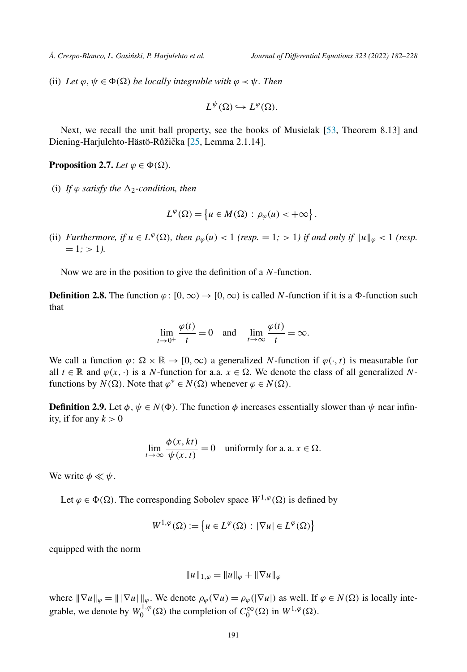<span id="page-9-0"></span>(ii) *Let*  $\varphi, \psi \in \Phi(\Omega)$  *be locally integrable with*  $\varphi \prec \psi$ *. Then* 

$$
L^{\psi}(\Omega) \hookrightarrow L^{\varphi}(\Omega).
$$

Next, we recall the unit ball property, see the books of Musielak [\[53](#page-45-0), Theorem 8.13] and Diening-Harjulehto-Hästö-Růžička [\[25,](#page-44-0) Lemma 2.1.14].

**Proposition 2.7.** *Let*  $\varphi \in \Phi(\Omega)$ *.* 

(i) If  $\varphi$  *satisfy the*  $\Delta_2$ -condition, then

$$
L^{\varphi}(\Omega) = \left\{ u \in M(\Omega) : \rho_{\varphi}(u) < +\infty \right\}.
$$

(ii) Furthermore, if  $u \in L^{\varphi}(\Omega)$ , then  $\rho_{\varphi}(u) < 1$  (resp. = 1; > 1) if and only if  $||u||_{\varphi} < 1$  (resp.  $= 1$ ;  $> 1$ *).* 

Now we are in the position to give the definition of a *N*-function.

**Definition 2.8.** The function  $\varphi: [0, \infty) \to [0, \infty)$  is called *N*-function if it is a  $\Phi$ -function such that

$$
\lim_{t \to 0^+} \frac{\varphi(t)}{t} = 0 \quad \text{and} \quad \lim_{t \to \infty} \frac{\varphi(t)}{t} = \infty.
$$

We call a function  $\varphi: \Omega \times \mathbb{R} \to [0, \infty)$  a generalized *N*-function if  $\varphi(\cdot, t)$  is measurable for all  $t \in \mathbb{R}$  and  $\varphi(x, \cdot)$  is a *N*-function for a.a.  $x \in \Omega$ . We denote the class of all generalized *N*functions by  $N(\Omega)$ . Note that  $\varphi^* \in N(\Omega)$  whenever  $\varphi \in N(\Omega)$ .

**Definition 2.9.** Let  $\phi$ ,  $\psi \in N(\Phi)$ . The function  $\phi$  increases essentially slower than  $\psi$  near infinity, if for any  $k > 0$ 

$$
\lim_{t \to \infty} \frac{\phi(x, kt)}{\psi(x, t)} = 0 \quad \text{uniformly for a. a. } x \in \Omega.
$$

We write  $\phi \ll \psi$ .

Let  $\varphi \in \Phi(\Omega)$ . The corresponding Sobolev space  $W^{1,\varphi}(\Omega)$  is defined by

$$
W^{1,\varphi}(\Omega) := \left\{ u \in L^{\varphi}(\Omega) : |\nabla u| \in L^{\varphi}(\Omega) \right\}
$$

equipped with the norm

$$
||u||_{1,\varphi} = ||u||_{\varphi} + ||\nabla u||_{\varphi}
$$

where  $\|\nabla u\|_{\varphi} = \|\nabla u\|_{\varphi}$ . We denote  $\rho_{\varphi}(\nabla u) = \rho_{\varphi}(|\nabla u|)$  as well. If  $\varphi \in N(\Omega)$  is locally integrable, we denote by  $W_0^{1,\varphi}(\Omega)$  the completion of  $C_0^{\infty}(\Omega)$  in  $W^{1,\varphi}(\Omega)$ .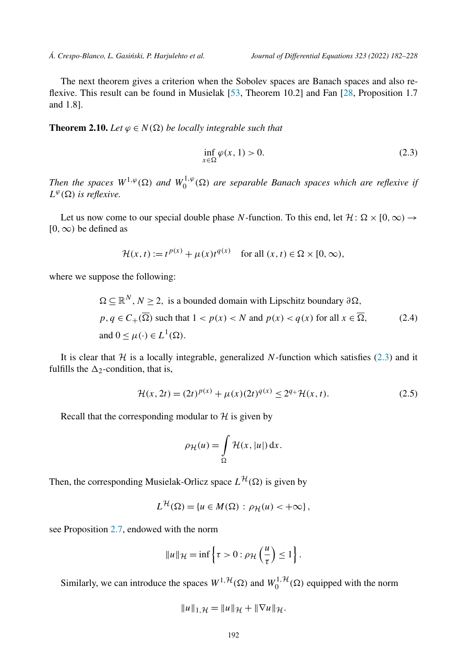<span id="page-10-0"></span>The next theorem gives a criterion when the Sobolev spaces are Banach spaces and also reflexive. This result can be found in Musielak [\[53,](#page-45-0) Theorem 10.2] and Fan [\[28](#page-44-0), Proposition 1.7 and 1.8].

**Theorem 2.10.** *Let*  $\varphi \in N(\Omega)$  *be locally integrable such that* 

$$
\inf_{x \in \Omega} \varphi(x, 1) > 0. \tag{2.3}
$$

*Then the spaces*  $W^{1,\varphi}(\Omega)$  *and*  $W_0^{1,\varphi}(\Omega)$  *are separable Banach spaces which are reflexive if*  $L^{\varphi}(\Omega)$  *is reflexive.* 

Let us now come to our special double phase *N*-function. To this end, let  $\mathcal{H} \colon \Omega \times [0, \infty) \to$ [0*,*∞*)* be defined as

$$
\mathcal{H}(x,t) := t^{p(x)} + \mu(x)t^{q(x)} \quad \text{for all } (x,t) \in \Omega \times [0,\infty),
$$

where we suppose the following:

$$
\Omega \subseteq \mathbb{R}^N, N \ge 2, \text{ is a bounded domain with Lipschitz boundary } \partial \Omega,
$$
  
\n
$$
p, q \in C_+(\overline{\Omega}) \text{ such that } 1 < p(x) < N \text{ and } p(x) < q(x) \text{ for all } x \in \overline{\Omega},
$$
  
\nand 
$$
0 \le \mu(\cdot) \in L^1(\Omega).
$$
 (2.4)

It is clear that  $H$  is a locally integrable, generalized N-function which satisfies (2.3) and it fulfills the  $\Delta_2$ -condition, that is,

$$
\mathcal{H}(x, 2t) = (2t)^{p(x)} + \mu(x)(2t)^{q(x)} \le 2^{q_+}\mathcal{H}(x, t).
$$
 (2.5)

Recall that the corresponding modular to  $H$  is given by

$$
\rho_{\mathcal{H}}(u) = \int_{\Omega} \mathcal{H}(x, |u|) \, \mathrm{d}x.
$$

Then, the corresponding Musielak-Orlicz space  $L^{\mathcal{H}}(\Omega)$  is given by

$$
L^{\mathcal{H}}(\Omega) = \{u \in M(\Omega) : \rho_{\mathcal{H}}(u) < +\infty\},\
$$

see Proposition [2.7,](#page-9-0) endowed with the norm

$$
||u||_{\mathcal{H}} = \inf \left\{ \tau > 0 : \rho_{\mathcal{H}} \left( \frac{u}{\tau} \right) \le 1 \right\}.
$$

Similarly, we can introduce the spaces  $W^{1, H}(\Omega)$  and  $W_0^{1, H}(\Omega)$  equipped with the norm

$$
||u||_{1,\mathcal{H}} = ||u||_{\mathcal{H}} + ||\nabla u||_{\mathcal{H}}.
$$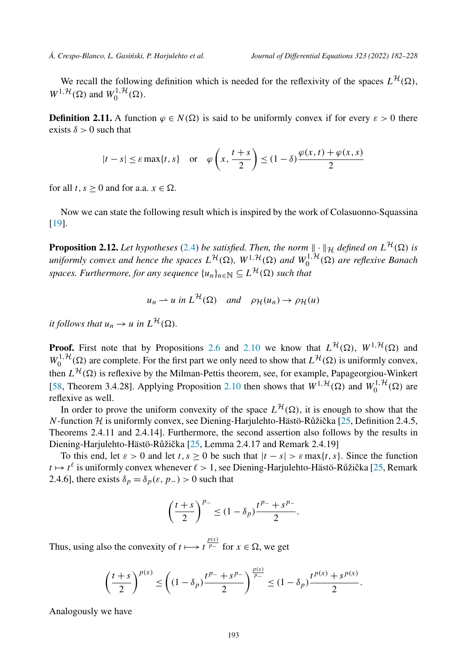<span id="page-11-0"></span>We recall the following definition which is needed for the reflexivity of the spaces  $L^{H}(\Omega)$ ,  $W^{1, \mathcal{H}}(\Omega)$  and  $W_0^{1, \mathcal{H}}(\Omega)$ .

**Definition 2.11.** A function  $\varphi \in N(\Omega)$  is said to be uniformly convex if for every  $\varepsilon > 0$  there exists  $\delta > 0$  such that

$$
|t - s| \le \varepsilon \max\{t, s\} \quad \text{or} \quad \varphi\left(x, \frac{t + s}{2}\right) \le (1 - \delta) \frac{\varphi(x, t) + \varphi(x, s)}{2}
$$

for all  $t, s \geq 0$  and for a.a.  $x \in \Omega$ .

Now we can state the following result which is inspired by the work of Colasuonno-Squassina [[19\]](#page-44-0).

**Proposition 2.12.** Let hypotheses [\(2.4\)](#page-10-0) be satisfied. Then, the norm  $\|\cdot\|_{\mathcal{H}}$  defined on  $L^{\mathcal{H}}(\Omega)$  is uniformly convex and hence the spaces  $L^{\mathcal{H}}(\Omega)$ ,  $W^{1,\mathcal{H}}(\Omega)$  and  $W_0^{1,\mathcal{H}}(\Omega)$  are reflexive Banach *spaces. Furthermore, for any sequence*  $\{u_n\}_{n\in\mathbb{N}} \subseteq L^{\mathcal{H}}(\Omega)$  *such that* 

$$
u_n \rightharpoonup u
$$
 in  $L^{\mathcal{H}}(\Omega)$  and  $\rho_{\mathcal{H}}(u_n) \rightharpoonup \rho_{\mathcal{H}}(u)$ 

*it follows that*  $u_n \to u$  *in*  $L^{\mathcal{H}}(\Omega)$ *.* 

**Proof.** First note that by Propositions [2.6](#page-8-0) and [2.10](#page-10-0) we know that  $L^{\mathcal{H}}(\Omega)$ ,  $W^{1,\mathcal{H}}(\Omega)$  and  $W_0^{1, \mathcal{H}}(\Omega)$  are complete. For the first part we only need to show that  $L^{\mathcal{H}}(\Omega)$  is uniformly convex, then  $L^{H}(\Omega)$  is reflexive by the Milman-Pettis theorem, see, for example, Papageorgiou-Winkert [[58,](#page-45-0) Theorem 3.4.28]. Applying Proposition [2.10](#page-10-0) then shows that  $W^{1, H}(\Omega)$  and  $W_0^{1, H}(\Omega)$  are reflexive as well.

In order to prove the uniform convexity of the space  $L^{\mathcal{H}}(\Omega)$ , it is enough to show that the *N*-function  $H$  is uniformly convex, see Diening-Harjulehto-Hästö-Růžička [\[25,](#page-44-0) Definition 2.4.5, Theorems 2.4.11 and 2.4.14]. Furthermore, the second assertion also follows by the results in Diening-Harjulehto-Hästö-Růžička [\[25,](#page-44-0) Lemma 2.4.17 and Remark 2.4.19]

To this end, let  $\varepsilon > 0$  and let  $t, s \ge 0$  be such that  $|t - s| > \varepsilon \max\{t, s\}$ . Since the function  $t \mapsto t^{\ell}$  is uniformly convex whenever  $\ell > 1$ , see Diening-Harjulehto-Hästö-Růžička [\[25](#page-44-0), Remark] 2.4.6], there exists  $\delta_p = \delta_p(\varepsilon, p_-) > 0$  such that

$$
\left(\frac{t+s}{2}\right)^{p_-} \le (1-\delta_p)\frac{t^{p_-}+s^{p_-}}{2}.
$$

Thus, using also the convexity of  $t \mapsto t^{\frac{p(x)}{p-}}$  for  $x \in \Omega$ , we get

$$
\left(\frac{t+s}{2}\right)^{p(x)} \le \left((1-\delta_p)\frac{t^{p_-}+s^{p_-}}{2}\right)^{\frac{p(x)}{p_-}} \le (1-\delta_p)\frac{t^{p(x)}+s^{p(x)}}{2}.
$$

Analogously we have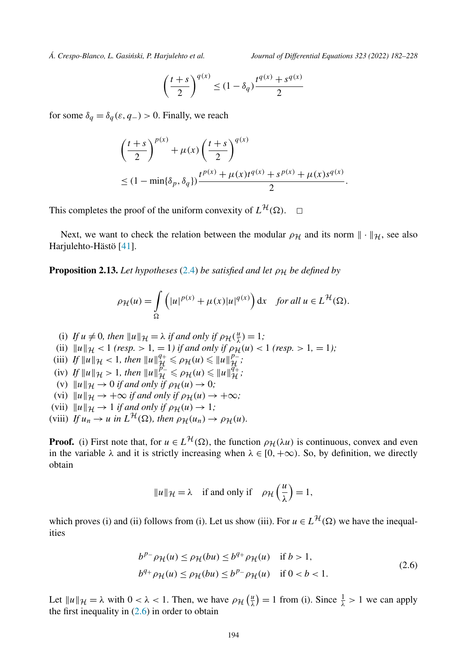<span id="page-12-0"></span>

$$
\left(\frac{t+s}{2}\right)^{q(x)} \le (1 - \delta_q) \frac{t^{q(x)} + s^{q(x)}}{2}
$$

for some  $\delta_q = \delta_q(\varepsilon, q_-) > 0$ . Finally, we reach

$$
\left(\frac{t+s}{2}\right)^{p(x)} + \mu(x)\left(\frac{t+s}{2}\right)^{q(x)} \n\leq (1 - \min{\delta_p, \delta_q})\frac{t^{p(x)} + \mu(x)t^{q(x)} + s^{p(x)} + \mu(x)s^{q(x)}}{2}.
$$

This completes the proof of the uniform convexity of  $L^{\mathcal{H}}(\Omega)$ .  $\Box$ 

Next, we want to check the relation between the modular  $\rho_H$  and its norm  $\|\cdot\|_H$ , see also Harjulehto-Hästö [[41\]](#page-45-0).

**Proposition 2.13.** *Let hypotheses* [\(2.4\)](#page-10-0) *be satisfied and let*  $\rho_H$  *be defined by* 

$$
\rho_{\mathcal{H}}(u) = \int_{\Omega} \left( |u|^{p(x)} + \mu(x)|u|^{q(x)} \right) dx \quad \text{for all } u \in L^{\mathcal{H}}(\Omega).
$$

- (i) If  $u \neq 0$ , then  $||u||_{\mathcal{H}} = \lambda$  if and only if  $\rho_{\mathcal{H}}(\frac{u}{\lambda}) = 1$ ;
- (ii)  $||u||_{\mathcal{H}} < 1$  (resp.  $> 1, = 1$ ) *if and only if*  $\rho_{\mathcal{H}}(u) < 1$  (resp.  $> 1, = 1$ );
- $\mathcal{L}(\text{iii})$   $\mathcal{L}[\mathbf{u}]]_{\mathcal{H}} \leq 1$ , then  $\|\mathbf{u}\|_{\mathcal{H}}^{q+} \leq \rho_{\mathcal{H}}(\mathbf{u}) \leq \|\mathbf{u}\|_{\mathcal{H}}^{p-}$ .
- $\mathcal{L}(\mathbf{w}) = \iint_{\mathcal{H}} ||u||_{\mathcal{H}} \leq 1$ , then  $||u||_{\mathcal{H}}^{\rho_-} \leq \rho_{\mathcal{H}}(u) \leq ||u||_{\mathcal{H}}^{\rho_+};$ <br> $\mathcal{L}(\mathbf{w}) = 0$  if and  $\mathbf{w}_\mathbf{w}$  is  $\mathcal{L}(\mathbf{w}) = 0$ .
- (v)  $||u||_{\mathcal{H}} \to 0$  *if and only if*  $\rho_{\mathcal{H}}(u) \to 0$ *;*
- (vi)  $||u||_{\mathcal{H}} \rightarrow +\infty$  *if and only if*  $\rho_{\mathcal{H}}(u) \rightarrow +\infty$ *;*
- (vii)  $\|u\|_{\mathcal{H}} \to 1$  *if and only if*  $\rho_{\mathcal{H}}(u) \to 1$ *;*
- (viii) If  $u_n \to u$  in  $L^{\mathcal{H}}(\Omega)$ , then  $\rho_{\mathcal{H}}(u_n) \to \rho_{\mathcal{H}}(u)$ *.*

**Proof.** (i) First note that, for  $u \in L^{\mathcal{H}}(\Omega)$ , the function  $\rho_{\mathcal{H}}(\lambda u)$  is continuous, convex and even in the variable  $\lambda$  and it is strictly increasing when  $\lambda \in [0, +\infty)$ . So, by definition, we directly obtain

$$
||u||_{\mathcal{H}} = \lambda
$$
 if and only if  $\rho_{\mathcal{H}}\left(\frac{u}{\lambda}\right) = 1$ ,

which proves (i) and (ii) follows from (i). Let us show (iii). For  $u \in L^{\mathcal{H}}(\Omega)$  we have the inequalities

$$
b^{p_-} \rho_{\mathcal{H}}(u) \le \rho_{\mathcal{H}}(bu) \le b^{q_+} \rho_{\mathcal{H}}(u) \quad \text{if } b > 1,
$$
  

$$
b^{q_+} \rho_{\mathcal{H}}(u) \le \rho_{\mathcal{H}}(bu) \le b^{p_-} \rho_{\mathcal{H}}(u) \quad \text{if } 0 < b < 1.
$$
 (2.6)

Let  $||u||_{\mathcal{H}} = \lambda$  with  $0 < \lambda < 1$ . Then, we have  $\rho_{\mathcal{H}}\left(\frac{u}{\lambda}\right) = 1$  from (i). Since  $\frac{1}{\lambda} > 1$  we can apply the first inequality in  $(2.6)$  in order to obtain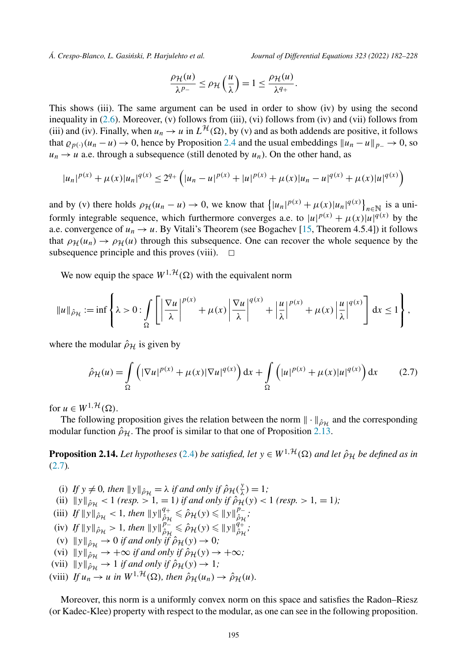<span id="page-13-0"></span>

$$
\frac{\rho_{\mathcal{H}}(u)}{\lambda^{p_-}} \leq \rho_{\mathcal{H}}\left(\frac{u}{\lambda}\right) = 1 \leq \frac{\rho_{\mathcal{H}}(u)}{\lambda^{q_+}}.
$$

This shows (iii). The same argument can be used in order to show (iv) by using the second inequality in [\(2.6\)](#page-12-0). Moreover, (v) follows from (iii), (vi) follows from (iv) and (vii) follows from (iii) and (iv). Finally, when  $u_n \to u$  in  $L^{\mathcal{H}}(\Omega)$ , by (v) and as both addends are positive, it follows that  $\rho_{p(\cdot)}(u_n - u) \to 0$ , hence by Proposition [2.4](#page-7-0) and the usual embeddings  $||u_n - u||_{p_-} \to 0$ , so  $u_n \to u$  a.e. through a subsequence (still denoted by  $u_n$ ). On the other hand, as

$$
|u_n|^{p(x)} + \mu(x)|u_n|^{q(x)} \le 2^{q_+} \left( |u_n - u|^{p(x)} + |u|^{p(x)} + \mu(x)|u_n - u|^{q(x)} + \mu(x)|u|^{q(x)} \right)
$$

and by (v) there holds  $\rho_H(u_n - u) \to 0$ , we know that  $\left\{ |u_n|^{p(x)} + \mu(x)|u_n|^{q(x)} \right\}_{n \in \mathbb{N}}$  is a uniformly integrable sequence, which furthermore converges a.e. to  $|u|^{p(x)} + \mu(x)|u|^{q(x)}$  by the a.e. convergence of  $u_n \to u$ . By Vitali's Theorem (see Bogachev [\[15](#page-44-0), Theorem 4.5.4]) it follows that  $\rho_H(u_n) \to \rho_H(u)$  through this subsequence. One can recover the whole sequence by the subsequence principle and this proves (viii). subsequence principle and this proves (viii).

We now equip the space  $W^{1, \mathcal{H}}(\Omega)$  with the equivalent norm

$$
\|u\|_{\hat{\rho}_{\mathcal{H}}} := \inf \left\{ \lambda > 0 : \int_{\Omega} \left[ \left| \frac{\nabla u}{\lambda} \right|^{p(x)} + \mu(x) \left| \frac{\nabla u}{\lambda} \right|^{q(x)} + \left| \frac{u}{\lambda} \right|^{p(x)} + \mu(x) \left| \frac{u}{\lambda} \right|^{q(x)} \right] dx \le 1 \right\},\right\}
$$

where the modular  $\hat{\rho}_H$  is given by

$$
\hat{\rho}_{\mathcal{H}}(u) = \int_{\Omega} \left( |\nabla u|^{p(x)} + \mu(x) |\nabla u|^{q(x)} \right) dx + \int_{\Omega} \left( |u|^{p(x)} + \mu(x) |u|^{q(x)} \right) dx \tag{2.7}
$$

for  $u \in W^{1, \mathcal{H}}(\Omega)$ .

The following proposition gives the relation between the norm  $\|\cdot\|_{\hat{\rho}_H}$  and the corresponding modular function  $\hat{\rho}_H$ . The proof is similar to that one of Proposition [2.13.](#page-12-0)

**Proposition 2.14.** Let hypotheses ([2.4](#page-10-0)) be satisfied, let  $y \in W^{1,\mathcal{H}}(\Omega)$  and let  $\hat{\rho}_{\mathcal{H}}$  be defined as in (2.7)*.*

(i) If  $y \neq 0$ , then  $||y||_{\hat{\rho}_{\mathcal{H}}} = \lambda$  if and only if  $\hat{\rho}_{\mathcal{H}}(\frac{y}{\lambda}) = 1$ ;  $\lim_{h \to 0} \frac{f(x+h) - f(x)}{h}$   $\leq 1$  *(resp.*  $> 1, = 1$ *) if and only if*  $\hat{\rho}_H(y) < 1$  *(resp.*  $> 1, = 1$ *);*  $\lim_{\substack{\theta \to 0 \ \hat{H}}} \|y\|_{\hat{\rho}_\mathcal{H}}^2 < 1$ , then  $\|y\|_{\hat{\rho}_\mathcal{H}}^{q_+} \leq \hat{\rho}_\mathcal{H}(y) \leq \|y\|_{\hat{\rho}_\mathcal{H}}^{p_-}$  $\int_{\partial \mathcal{H}} f \|y\|_{\hat{\rho}_{\mathcal{H}}} > 1$ , then  $\|y\|_{\hat{\rho}_{\mathcal{H}}^{\mathcal{H}}}^{\hat{\rho}_{-}} \leq \hat{\rho}_{\mathcal{H}}(y) \leq \|y\|_{\hat{\rho}_{\mathcal{H}}^{\mathcal{H}}}^{\hat{q}_{+}^{\mathcal{H}}},$ (v)  $||y||_{\hat{\rho}_H} \to 0$  *if and only if*  $\hat{\rho}_H(y) \to 0$ *;* (vi)  $||y||_{\hat{\rho}_H} \to +\infty$  *if and only if*  $\hat{\rho}_H(y) \to +\infty$ *;* (vii)  $||y||_{\hat{\rho}_H} \to 1$  *if and only if*  $\hat{\rho}_H(y) \to 1$ *;* (viii) If  $u_n \to u$  in  $W^{1,\mathcal{H}}(\Omega)$ , then  $\hat{\rho}_\mathcal{H}(u_n) \to \hat{\rho}_\mathcal{H}(u)$ *.* 

Moreover, this norm is a uniformly convex norm on this space and satisfies the Radon–Riesz (or Kadec-Klee) property with respect to the modular, as one can see in the following proposition.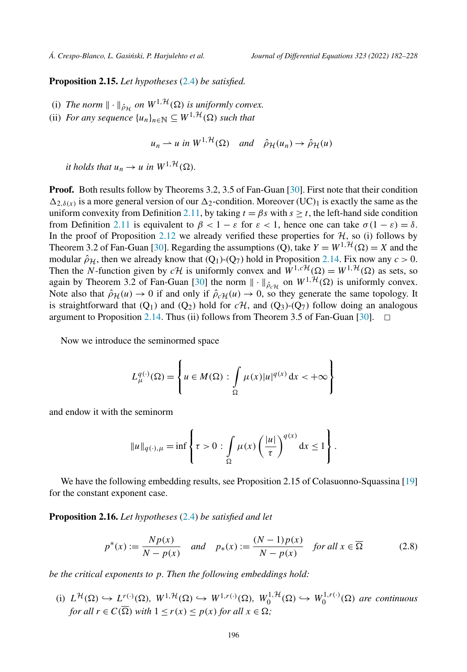<span id="page-14-0"></span>**Proposition 2.15.** *Let hypotheses* [\(2.4\)](#page-10-0) *be satisfied.*

- (i) The norm  $\|\cdot\|_{\hat{\rho}_{\mathcal{H}}}$  on  $W^{1,\mathcal{H}}(\Omega)$  is uniformly convex.
- (ii) *For any sequence*  $\{u_n\}_{n \in \mathbb{N}} \subseteq W^{1,\mathcal{H}}(\Omega)$  *such that*

 $u_n \rightharpoonup u$  *in*  $W^{1,\mathcal{H}}(\Omega)$  *and*  $\hat{\rho}_{\mathcal{H}}(u_n) \rightarrow \hat{\rho}_{\mathcal{H}}(u)$ 

*it holds that*  $u_n \to u$  *in*  $W^{1, \mathcal{H}}(\Omega)$ *.* 

**Proof.** Both results follow by Theorems 3.2, 3.5 of Fan-Guan [\[30\]](#page-45-0). First note that their condition  $\Delta_{2,\delta(x)}$  is a more general version of our  $\Delta_2$ -condition. Moreover (UC)<sub>1</sub> is exactly the same as the uniform convexity from Definition [2.11](#page-11-0), by taking  $t = \beta s$  with  $s \ge t$ , the left-hand side condition from Definition [2.11](#page-11-0) is equivalent to *β <* 1 − *ε* for *ε <* 1, hence one can take *σ(*1 − *ε)* = *δ*. In the proof of Proposition [2.12](#page-11-0) we already verified these properties for  $H$ , so (i) follows by Theorem 3.2 of Fan-Guan [\[30](#page-45-0)]. Regarding the assumptions (Q), take  $Y = W^{1, \mathcal{H}}(\Omega) = X$  and the modular  $\hat{\rho}_H$ , then we already know that  $(Q_1)$ - $(Q_7)$  hold in Proposition [2.14.](#page-13-0) Fix now any  $c > 0$ . Then the *N*-function given by  $c\mathcal{H}$  is uniformly convex and  $W^{1,c\mathcal{H}}(\Omega) = W^{1,\mathcal{H}}(\Omega)$  as sets, so again by Theorem 3.2 of Fan-Guan [[30\]](#page-45-0) the norm  $\|\cdot\|_{\hat{\rho}_c\mathcal{H}}$  on  $W^{1,\mathcal{H}}(\Omega)$  is uniformly convex. Note also that  $\hat{\rho}_{\mathcal{H}}(u) \to 0$  if and only if  $\hat{\rho}_{c\mathcal{H}}(u) \to 0$ , so they generate the same topology. It is straightforward that  $(Q_1)$  and  $(Q_2)$  hold for  $c\mathcal{H}$ , and  $(Q_3)$ - $(Q_7)$  follow doing an analogous argument to Proposition 2.14. Thus (ii) follows from Theorem 3.5 of Fan-Guan [30].  $\Box$ argument to Proposition [2.14.](#page-13-0) Thus (ii) follows from Theorem 3.5 of Fan-Guan [\[30](#page-45-0)]. -

Now we introduce the seminormed space

$$
L_{\mu}^{q(\cdot)}(\Omega) = \left\{ u \in M(\Omega) : \int\limits_{\Omega} \mu(x) |u|^{q(x)} dx < +\infty \right\}
$$

and endow it with the seminorm

$$
||u||_{q(\cdot),\mu} = \inf \left\{\tau > 0 : \int\limits_{\Omega} \mu(x) \left(\frac{|u|}{\tau}\right)^{q(x)} dx \le 1\right\}.
$$

We have the following embedding results, see Proposition 2.15 of Colasuonno-Squassina [\[19\]](#page-44-0) for the constant exponent case.

**Proposition 2.16.** *Let hypotheses* [\(2.4\)](#page-10-0) *be satisfied and let*

$$
p^*(x) := \frac{Np(x)}{N - p(x)} \quad \text{and} \quad p_*(x) := \frac{(N-1)p(x)}{N - p(x)} \quad \text{for all } x \in \overline{\Omega}
$$
 (2.8)

*be the critical exponents to p. Then the following embeddings hold:*

(i)  $L^{\mathcal{H}}(\Omega) \hookrightarrow L^{r(\cdot)}(\Omega)$ ,  $W^{1,\mathcal{H}}(\Omega) \hookrightarrow W^{1,r(\cdot)}(\Omega)$ ,  $W_0^{1,\mathcal{H}}(\Omega) \hookrightarrow W_0^{1,r(\cdot)}(\Omega)$  are continuous *for all*  $r \in C(\overline{\Omega})$  *with*  $1 \le r(x) \le p(x)$  *for all*  $x \in \Omega$ *;*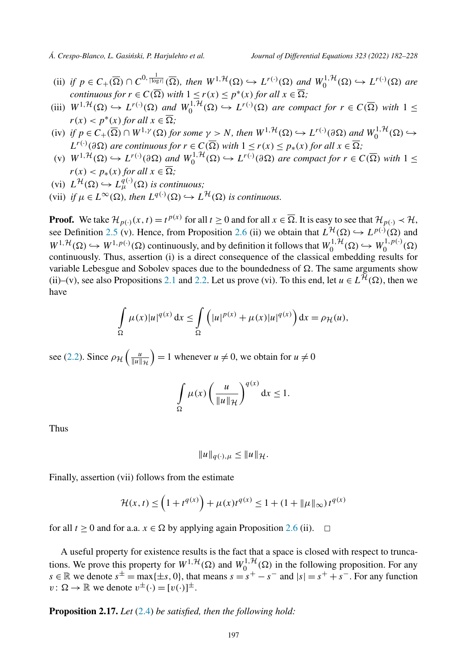- (ii) if  $p \in C_+(\overline{\Omega}) \cap C^{0, \frac{1}{|\log r|}}(\overline{\Omega})$ , then  $W^{1, \mathcal{H}}(\Omega) \hookrightarrow L^{r(\cdot)}(\Omega)$  and  $W_0^{1, \mathcal{H}}(\Omega) \hookrightarrow L^{r(\cdot)}(\Omega)$  are *continuous for*  $r \in C(\overline{\Omega})$  *with*  $1 \leq r(x) \leq p^*(x)$  *for all*  $x \in \overline{\Omega}$ ;
- (iii)  $W^{1,\mathcal{H}}(\Omega) \hookrightarrow L^{r(\cdot)}(\Omega)$  and  $W_0^{1,\mathcal{H}}(\Omega) \hookrightarrow L^{r(\cdot)}(\Omega)$  are compact for  $r \in C(\overline{\Omega})$  with  $1 \leq$  $r(x) < p^*(x)$  for all  $x \in \overline{\Omega}$ ;
- (iv) if  $p \in C_+(\overline{\Omega}) \cap W^{1,\gamma}(\Omega)$  for some  $\gamma > N$ , then  $W^{1,\mathcal{H}}(\Omega) \hookrightarrow L^{r(\cdot)}(\partial \Omega)$  and  $W_0^{1,\mathcal{H}}(\Omega) \hookrightarrow$  $L^{r(\cdot)}(\partial \Omega)$  *are continuous for*  $r \in C(\overline{\Omega})$  *with*  $1 \leq r(x) \leq p_*(x)$  *for all*  $x \in \overline{\Omega}$ ;
- (v)  $W^{1,\mathcal{H}}(\Omega) \hookrightarrow L^{r(\cdot)}(\partial \Omega)$  and  $W_0^{1,\mathcal{H}}(\Omega) \hookrightarrow L^{r(\cdot)}(\partial \Omega)$  are compact for  $r \in C(\overline{\Omega})$  with  $1 \leq$  $r(x) < p_*(x)$  for all  $x \in \Omega$ ;
- $(L^{\mathcal{H}}(\Omega) \hookrightarrow L^{q(\cdot)}_{\mu}(\Omega)$  *is continuous;*
- $V(\text{vii})$  *if*  $\mu \in L^{\infty}(\Omega)$ , then  $L^{q(\cdot)}(\Omega) \hookrightarrow L^{\mathcal{H}}(\Omega)$  *is continuous.*

**Proof.** We take  $\mathcal{H}_{p(\cdot)}(x,t) = t^{p(x)}$  for all  $t \ge 0$  and for all  $x \in \overline{\Omega}$ . It is easy to see that  $\mathcal{H}_{p(\cdot)} \prec \mathcal{H}$ , see Definition [2.5](#page-8-0) (v). Hence, from Proposition [2.6](#page-8-0) (ii) we obtain that  $L^{\mathcal{H}}(\Omega) \hookrightarrow L^{p(\cdot)}(\Omega)$  and  $W^{1,\mathcal{H}}(\Omega) \hookrightarrow W^{1,p(\cdot)}(\Omega)$  continuously, and by definition it follows that  $W_0^{1,\mathcal{H}}(\Omega) \hookrightarrow W_0^{1,p(\cdot)}(\Omega)$ continuously. Thus, assertion (i) is a direct consequence of the classical embedding results for variable Lebesgue and Sobolev spaces due to the boundedness of  $\Omega$ . The same arguments show (ii)–(v), see also Propositions [2.1](#page-6-0) and [2.2](#page-7-0). Let us prove (vi). To this end, let  $u \in L^{\mathcal{H}}(\Omega)$ , then we have

$$
\int_{\Omega} \mu(x)|u|^{q(x)} dx \leq \int_{\Omega} \left( |u|^{p(x)} + \mu(x)|u|^{q(x)} \right) dx = \rho_{\mathcal{H}}(u),
$$

see [\(2.2\)](#page-8-0). Since  $\rho_{\mathcal{H}}\left(\frac{u}{\|u\|_{\mathcal{H}}} \right)$  $= 1$  whenever  $u \neq 0$ , we obtain for  $u \neq 0$ 

$$
\int_{\Omega} \mu(x) \left( \frac{u}{\|u\|_{\mathcal{H}}} \right)^{q(x)} dx \le 1.
$$

Thus

$$
||u||_{q(\cdot),\mu} \leq ||u||_{\mathcal{H}}.
$$

Finally, assertion (vii) follows from the estimate

$$
\mathcal{H}(x,t) \le \left(1 + t^{q(x)}\right) + \mu(x)t^{q(x)} \le 1 + (1 + ||\mu||_{\infty}) t^{q(x)}
$$

for all *t*  $\geq$  0 and for a.a. *x*  $\in$   $\Omega$  by applying again Proposition [2.6](#page-8-0) (ii).  $\Box$ 

A useful property for existence results is the fact that a space is closed with respect to truncations. We prove this property for  $W^{1, H}(\Omega)$  and  $W_0^{1, H}(\Omega)$  in the following proposition. For any *s* ∈ R we denote  $s^{\pm}$  = max{ $\pm s$ , 0}, that means  $s = s^+ - s^-$  and  $|s| = s^+ + s^-$ . For any function  $v: \Omega \to \mathbb{R}$  we denote  $v^{\pm}(\cdot) = [v(\cdot)]^{\pm}$ .

**Proposition 2.17.** *Let* [\(2.4\)](#page-10-0) *be satisfied, then the following hold:*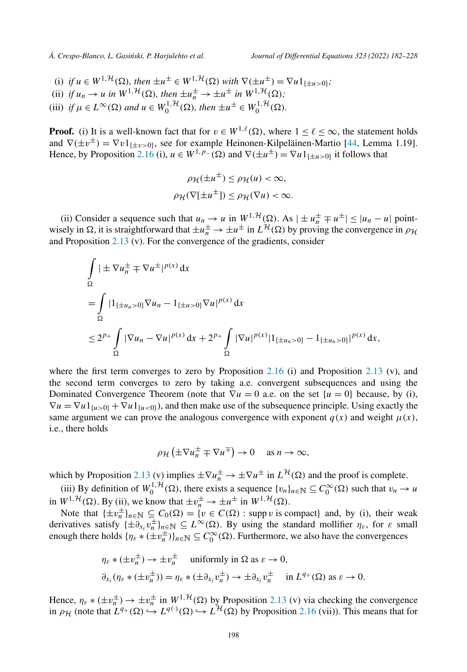- (i) *if*  $u \in W^{1, \mathcal{H}}(\Omega)$ , then  $\pm u^{\pm} \in W^{1, \mathcal{H}}(\Omega)$  with  $\nabla(\pm u^{\pm}) = \nabla u \mathbb{1}_{\{\pm u > 0\}}$ ;
- (ii) *if*  $u_n \to u$  *in*  $W^{1,\mathcal{H}}(\Omega)$ *, then*  $\pm u_n^{\pm} \to \pm u^{\pm}$  *in*  $W^{1,\mathcal{H}}(\Omega)$ *;*
- (iii) *if*  $\mu \in L^{\infty}(\Omega)$  and  $u \in W_0^{1, \mathcal{H}}(\Omega)$ , then  $\pm u^{\pm} \in W_0^{1, \mathcal{H}}(\Omega)$ .

**Proof.** (i) It is a well-known fact that for  $v \in W^{1,\ell}(\Omega)$ , where  $1 \leq \ell \leq \infty$ , the statement holds and  $\nabla(\pm v^{\pm}) = \nabla v \mathbb{1}_{\{+v > 0\}}$ , see for example Heinonen-Kilpeläinen-Martio [\[44](#page-45-0), Lemma 1.19]. Hence, by Proposition [2.16](#page-14-0) (i),  $u \in W^{1,p-}(\Omega)$  and  $\nabla(\pm u^{\pm}) = \nabla u \mathbb{1}_{\{\pm u > 0\}}$  it follows that

$$
\rho_{\mathcal{H}}(\pm u^{\pm}) \leq \rho_{\mathcal{H}}(u) < \infty,
$$
\n
$$
\rho_{\mathcal{H}}(\nabla[\pm u^{\pm}]) \leq \rho_{\mathcal{H}}(\nabla u) < \infty.
$$

(ii) Consider a sequence such that  $u_n \to u$  in  $W^{1,\mathcal{H}}(\Omega)$ . As  $|\pm u_n^{\pm} \mp u^{\pm}| \leq |u_n - u|$  pointwisely in  $\Omega$ , it is straightforward that  $\pm u_n^{\pm} \to \pm u^{\pm}$  in  $L^{\mathcal{H}}(\Omega)$  by proving the convergence in  $\rho_{\mathcal{H}}$ and Proposition [2.13](#page-12-0) (v). For the convergence of the gradients, consider

$$
\int_{\Omega} |\pm \nabla u_{n}^{\pm} \mp \nabla u^{\pm}|^{p(x)} dx
$$
\n  
\n
$$
= \int_{\Omega} |1_{\{\pm u_{n}>0\}} \nabla u_{n} - 1_{\{\pm u>0\}} \nabla u|^{p(x)} dx
$$
\n  
\n
$$
\leq 2^{p_{+}} \int_{\Omega} |\nabla u_{n} - \nabla u|^{p(x)} dx + 2^{p_{+}} \int_{\Omega} |\nabla u|^{p(x)} |1_{\{\pm u_{n}>0\}} - 1_{\{\pm u_{n}>0\}}|^{p(x)} dx,
$$

where the first term converges to zero by Proposition  $2.16$  (i) and Proposition  $2.13$  (v), and the second term converges to zero by taking a.e. convergent subsequences and using the Dominated Convergence Theorem (note that  $\nabla u = 0$  a.e. on the set  $\{u = 0\}$  because, by (i),  $\nabla u = \nabla u \mathbb{1}_{\{u>0\}} + \nabla u \mathbb{1}_{\{u<0\}}$ , and then make use of the subsequence principle. Using exactly the same argument we can prove the analogous convergence with exponent  $q(x)$  and weight  $\mu(x)$ , i.e., there holds

$$
\rho_{\mathcal{H}}\left(\pm \nabla u_n^{\pm} \mp \nabla u^{\mp}\right) \to 0 \quad \text{ as } n \to \infty,
$$

which by Proposition [2.13](#page-12-0) (v) implies  $\pm \nabla u_{n}^{\pm} \rightarrow \pm \nabla u^{\pm}$  in  $L^{\mathcal{H}}(\Omega)$  and the proof is complete.

(iii) By definition of  $W_0^{1, H}(\Omega)$ , there exists a sequence  $\{v_n\}_{n \in \mathbb{N}} \subseteq C_0^{\infty}(\Omega)$  such that  $v_n \to u$ in  $W^{1, \mathcal{H}}(\Omega)$ . By (ii), we know that  $\pm v_n^{\pm} \to \pm u^{\pm}$  in  $W^{1, \mathcal{H}}(\Omega)$ .

Note that  $\{\pm v_n^{\pm}\}_{n \in \mathbb{N}} \subseteq C_0(\Omega) = \{v \in C(\Omega) : \text{supp } v \text{ is compact}\}\$ and, by (i), their weak derivatives satisfy  $\{\pm \partial_{x_i} v_n^{\pm}\}_{n \in \mathbb{N}} \subseteq L^{\infty}(\Omega)$ . By using the standard mollifier  $\eta_{\varepsilon}$ , for  $\varepsilon$  small enough there holds  $\{\eta_{\varepsilon} * (\pm v_n^{\pm})\}_{n \in \mathbb{N}} \subseteq C_0^{\infty}(\Omega)$ . Furthermore, we also have the convergences

$$
\eta_{\varepsilon} * (\pm v_n^{\pm}) \to \pm v_n^{\pm} \quad \text{uniformly in } \Omega \text{ as } \varepsilon \to 0,
$$
  

$$
\partial_{x_i} (\eta_{\varepsilon} * (\pm v_n^{\pm})) = \eta_{\varepsilon} * (\pm \partial_{x_i} v_n^{\pm}) \to \pm \partial_{x_i} v_n^{\pm} \quad \text{in } L^{q_+}(\Omega) \text{ as } \varepsilon \to 0.
$$

Hence,  $\eta_{\varepsilon} * (\pm v_n^{\pm}) \to \pm v_n^{\pm}$  in  $W^{1, \mathcal{H}}(\Omega)$  by Proposition [2.13](#page-12-0) (v) via checking the convergence in  $\rho_H$  (note that  $L^{q_+}(\Omega) \hookrightarrow L^{q(\cdot)}(\Omega) \hookrightarrow L^{\mathcal{H}}(\Omega)$  by Proposition [2.16](#page-14-0) (vii)). This means that for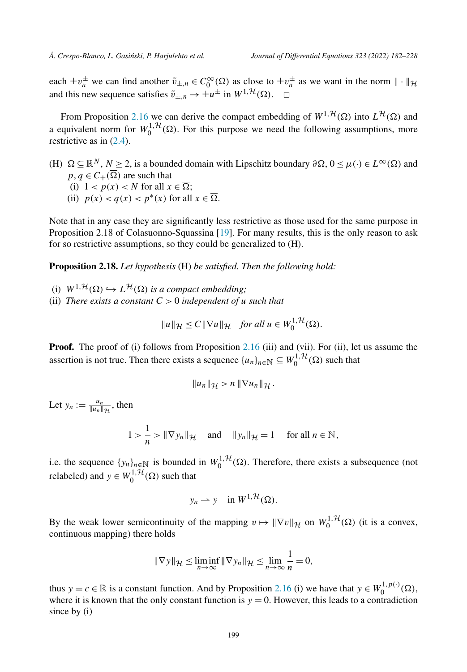<span id="page-17-0"></span>each  $\pm v_n^{\pm}$  we can find another  $\tilde{v}_{\pm,n} \in C_0^{\infty}(\Omega)$  as close to  $\pm v_n^{\pm}$  as we want in the norm  $\|\cdot\|_{\mathcal{H}}$ and this new sequence satisfies  $\tilde{v}_{\pm,n} \to \pm u^{\pm}$  in  $W^{1,\mathcal{H}}(\Omega)$ .  $\Box$ 

From Proposition [2.16](#page-14-0) we can derive the compact embedding of  $W^{1, H}(\Omega)$  into  $L^{\mathcal{H}}(\Omega)$  and a equivalent norm for  $W_0^{1, H}(\Omega)$ . For this purpose we need the following assumptions, more restrictive as in ([2.4](#page-10-0)).

 $(H)$   $\Omega \subseteq \mathbb{R}^N$ ,  $N \geq 2$ , is a bounded domain with Lipschitz boundary  $\partial \Omega$ ,  $0 \leq \mu(\cdot) \in L^{\infty}(\Omega)$  and  $p, q \in C_+(\Omega)$  are such that (i)  $1 < p(x) < N$  for all  $x \in \Omega$ ; (ii)  $p(x) < q(x) < p^*(x)$  for all  $x \in \overline{\Omega}$ .

Note that in any case they are significantly less restrictive as those used for the same purpose in Proposition 2.18 of Colasuonno-Squassina [\[19\]](#page-44-0). For many results, this is the only reason to ask for so restrictive assumptions, so they could be generalized to (H).

**Proposition 2.18.** *Let hypothesis* (H) *be satisfied. Then the following hold:*

(i)  $W^{1, H}(\Omega) \hookrightarrow L^{\mathcal{H}}(\Omega)$  *is a compact embedding;* (ii) *There exists a constant*  $C > 0$  *independent of u such that* 

$$
||u||_{\mathcal{H}} \leq C||\nabla u||_{\mathcal{H}} \quad \text{for all } u \in W_0^{1,\mathcal{H}}(\Omega).
$$

**Proof.** The proof of (i) follows from Proposition [2.16](#page-14-0) (iii) and (vii). For (ii), let us assume the assertion is not true. Then there exists a sequence  $\{u_n\}_{n\in\mathbb{N}} \subseteq W_0^{1,\mathcal{H}}(\Omega)$  such that

$$
||u_n||_{\mathcal{H}} > n ||\nabla u_n||_{\mathcal{H}}.
$$

Let  $y_n := \frac{u_n}{\|u_n\|_{\mathcal{H}}}$ , then

$$
1 > \frac{1}{n} > \|\nabla y_n\|_{\mathcal{H}} \quad \text{and} \quad \|y_n\|_{\mathcal{H}} = 1 \quad \text{ for all } n \in \mathbb{N},
$$

i.e. the sequence  $\{y_n\}_{n\in\mathbb{N}}$  is bounded in  $W_0^{1, H}(\Omega)$ . Therefore, there exists a subsequence (not relabeled) and  $y \in W_0^{1, \mathcal{H}}(\Omega)$  such that

$$
y_n \rightharpoonup y \quad \text{in } W^{1, \mathcal{H}}(\Omega).
$$

By the weak lower semicontinuity of the mapping  $v \mapsto ||\nabla v||_{\mathcal{H}}$  on  $W_0^{1,\mathcal{H}}(\Omega)$  (it is a convex, continuous mapping) there holds

$$
\|\nabla y\|_{\mathcal{H}} \le \liminf_{n \to \infty} \|\nabla y_n\|_{\mathcal{H}} \le \lim_{n \to \infty} \frac{1}{n} = 0,
$$

thus  $y = c \in \mathbb{R}$  is a constant function. And by Proposition [2.16](#page-14-0) (i) we have that  $y \in W_0^{1, p(\cdot)}(\Omega)$ , where it is known that the only constant function is  $y = 0$ . However, this leads to a contradiction since by (i)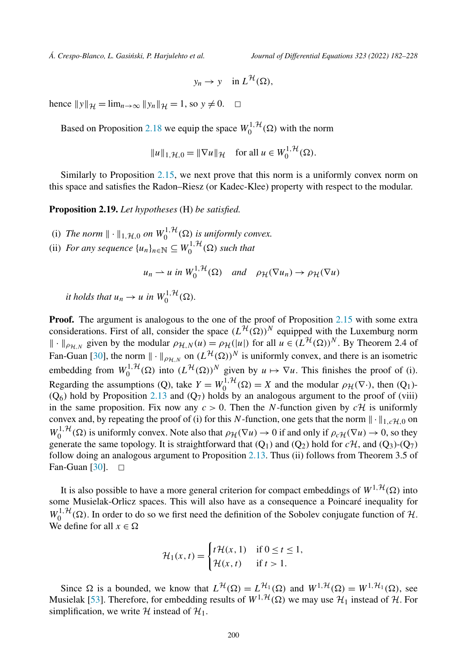$$
y_n \to y \quad \text{in } L^{\mathcal{H}}(\Omega),
$$

hence  $||y||_{\mathcal{H}} = \lim_{n \to \infty} ||y_n||_{\mathcal{H}} = 1$ , so  $y \neq 0$ .  $\Box$ 

Based on Proposition [2.18](#page-17-0) we equip the space  $W_0^{1, H}(\Omega)$  with the norm

$$
||u||_{1,\mathcal{H},0} = ||\nabla u||_{\mathcal{H}} \quad \text{for all } u \in W_0^{1,\mathcal{H}}(\Omega).
$$

Similarly to Proposition [2.15](#page-14-0), we next prove that this norm is a uniformly convex norm on this space and satisfies the Radon–Riesz (or Kadec-Klee) property with respect to the modular.

**Proposition 2.19.** *Let hypotheses* (H) *be satisfied.*

- (i) The norm  $\|\cdot\|_{1,\mathcal{H},0}$  on  $W_0^{1,\mathcal{H}}(\Omega)$  is uniformly convex.
- (ii) *For any sequence*  $\{u_n\}_{n \in \mathbb{N}} \subseteq W_0^{1, \mathcal{H}}(\Omega)$  *such that*

$$
u_n \rightharpoonup u
$$
 in  $W_0^{1,\mathcal{H}}(\Omega)$  and  $\rho_{\mathcal{H}}(\nabla u_n) \rightarrow \rho_{\mathcal{H}}(\nabla u)$ 

*it holds that*  $u_n \to u$  *in*  $W_0^{1, H}(\Omega)$ *.* 

**Proof.** The argument is analogous to the one of the proof of Proposition [2.15](#page-14-0) with some extra considerations. First of all, consider the space  $(L^{\mathcal{H}}(\Omega))^N$  equipped with the Luxemburg norm  $\|\cdot\|_{\rho_{\mathcal{H},N}}$  given by the modular  $\rho_{\mathcal{H},N}(u) = \rho_{\mathcal{H}}(|u|)$  for all  $u \in (L^{\mathcal{H}}(\Omega))^N$ . By Theorem 2.4 of Fan-Guan [\[30](#page-45-0)], the norm  $\|\cdot\|_{\rho_{\mathcal{H},N}}$  on  $(L^{\mathcal{H}}(\Omega))^N$  is uniformly convex, and there is an isometric embedding from  $W_0^{1, H}(\Omega)$  into  $(L^H(\Omega))^N$  given by  $u \mapsto \nabla u$ . This finishes the proof of (i). Regarding the assumptions (Q), take  $Y = W_0^{1, H}(\Omega) = X$  and the modular  $\rho_H(\nabla \cdot)$ , then (Q<sub>1</sub>)-<br>(Q) then the modular  $\rho_H(\nabla \cdot)$  and the modular  $\rho_H(\nabla \cdot)$  and the modular  $\rho_H(\nabla \cdot)$  $(Q<sub>6</sub>)$  hold by Proposition [2.13](#page-12-0) and  $(Q<sub>7</sub>)$  holds by an analogous argument to the proof of (viii) in the same proposition. Fix now any  $c > 0$ . Then the *N*-function given by  $c \mathcal{H}$  is uniformly convex and, by repeating the proof of (i) for this N-function, one gets that the norm  $\|\cdot\|_{1,c}$ <sub>*H*,0</sub> on  $W_0^{1, \mathcal{H}}(\Omega)$  is uniformly convex. Note also that  $\rho_{\mathcal{H}}(\nabla u) \to 0$  if and only if  $\rho_c \mathcal{H}(\nabla u) \to 0$ , so they generate the same topology. It is straightforward that  $(Q_1)$  and  $(Q_2)$  hold for  $c\mathcal{H}$ , and  $(Q_3)$ - $(Q_7)$ follow doing an analogous argument to Proposition [2.13](#page-12-0). Thus (ii) follows from Theorem 3.5 of Fan-Guan [\[30](#page-45-0)].  $\Box$ 

It is also possible to have a more general criterion for compact embeddings of  $W^{1, \mathcal{H}}(\Omega)$  into some Musielak-Orlicz spaces. This will also have as a consequence a Poincaré inequality for  $W_0^{1, H}(\Omega)$ . In order to do so we first need the definition of the Sobolev conjugate function of H. We define for all  $x \in \Omega$ 

$$
\mathcal{H}_1(x,t) = \begin{cases} t\mathcal{H}(x,1) & \text{if } 0 \le t \le 1, \\ \mathcal{H}(x,t) & \text{if } t > 1. \end{cases}
$$

Since  $\Omega$  is a bounded, we know that  $L^{\mathcal{H}}(\Omega) = L^{\mathcal{H}_{1}}(\Omega)$  and  $W^{1,\mathcal{H}}(\Omega) = W^{1,\mathcal{H}_{1}}(\Omega)$ , see Musielak [[53\]](#page-45-0). Therefore, for embedding results of  $W^{1, H}(\Omega)$  we may use  $H_1$  instead of  $H$ . For simplification, we write H instead of  $H_1$ .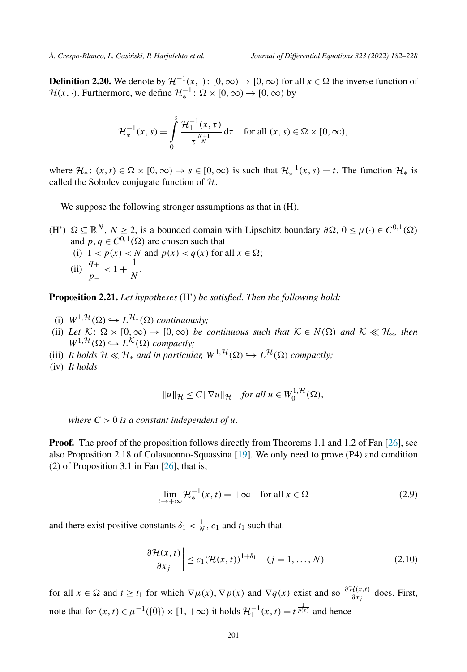<span id="page-19-0"></span>**Definition 2.20.** We denote by  $\mathcal{H}^{-1}(x, \cdot)$ :  $[0, \infty) \to [0, \infty)$  for all  $x \in \Omega$  the inverse function of  $\mathcal{H}(x, \cdot)$ . Furthermore, we define  $\mathcal{H}_*^{-1}$ :  $\Omega \times [0, \infty) \rightarrow [0, \infty)$  by

$$
\mathcal{H}_*^{-1}(x,s) = \int_0^s \frac{\mathcal{H}_1^{-1}(x,\tau)}{\tau^{\frac{N+1}{N}}} d\tau \quad \text{for all } (x,s) \in \Omega \times [0,\infty),
$$

where  $\mathcal{H}_*$ :  $(x, t) \in \Omega \times [0, \infty) \to s \in [0, \infty)$  is such that  $\mathcal{H}_*^{-1}(x, s) = t$ . The function  $\mathcal{H}_*$  is called the Sobolev conjugate function of H.

We suppose the following stronger assumptions as that in  $(H)$ .

 $(H')$   $\Omega \subseteq \mathbb{R}^N$ ,  $N \ge 2$ , is a bounded domain with Lipschitz boundary  $\partial \Omega$ ,  $0 \le \mu(\cdot) \in C^{0,1}(\overline{\Omega})$ and  $p, q \in C^{0,1}(\overline{\Omega})$  are chosen such that (i)  $1 < p(x) < N$  and  $p(x) < q(x)$  for all  $x \in \Omega$ ; (ii)  $\frac{q_+}{p_-} < 1 + \frac{1}{N}$ ,

**Proposition 2.21.** *Let hypotheses* (H') *be satisfied. Then the following hold:*

- $(i)$   $W^{1,\mathcal{H}}(\Omega) \hookrightarrow L^{\mathcal{H}_{*}}(\Omega)$  *continuously*;
- (ii) Let  $K: \Omega \times [0, \infty) \to [0, \infty)$  be continuous such that  $K \in N(\Omega)$  and  $K \ll H_*$ , then  $W^{1, \mathcal{H}}(\Omega) \hookrightarrow L^{\mathcal{K}}(\Omega)$  *compactly*;
- (iii) *It holds*  $H \ll H_*$  *and in particular,*  $W^{1,\mathcal{H}}(\Omega) \hookrightarrow L^{\mathcal{H}}(\Omega)$  *compactly;*
- (iv) *It holds*

$$
||u||_{\mathcal{H}} \leq C||\nabla u||_{\mathcal{H}} \quad \text{for all } u \in W_0^{1,\mathcal{H}}(\Omega),
$$

*where*  $C > 0$  *is a constant independent of u.* 

**Proof.** The proof of the proposition follows directly from Theorems 1.1 and 1.2 of Fan [\[26\]](#page-44-0), see also Proposition 2.18 of Colasuonno-Squassina [\[19](#page-44-0)]. We only need to prove (P4) and condition (2) of Proposition 3.1 in Fan  $[26]$  $[26]$ , that is,

$$
\lim_{t \to +\infty} \mathcal{H}_*^{-1}(x, t) = +\infty \quad \text{for all } x \in \Omega
$$
 (2.9)

and there exist positive constants  $\delta_1 < \frac{1}{N}$ ,  $c_1$  and  $t_1$  such that

$$
\left| \frac{\partial \mathcal{H}(x,t)}{\partial x_j} \right| \le c_1 (\mathcal{H}(x,t))^{1+\delta_1} \quad (j=1,\ldots,N)
$$
\n(2.10)

for all  $x \in \Omega$  and  $t \ge t_1$  for which  $\nabla \mu(x)$ ,  $\nabla p(x)$  and  $\nabla q(x)$  exist and so  $\frac{\partial \mathcal{H}(x,t)}{\partial x_j}$  does. First, note that for  $(x, t) \in \mu^{-1}(\{0\}) \times [1, +\infty)$  it holds  $\mathcal{H}_1^{-1}(x, t) = t^{\frac{1}{p(x)}}$  and hence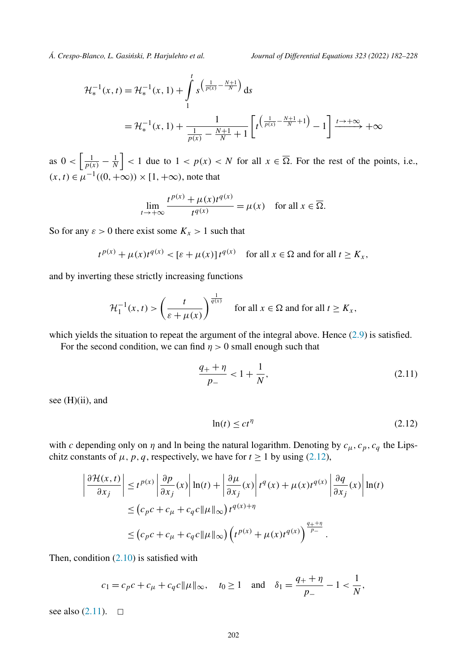*.*

$$
\mathcal{H}_{*}^{-1}(x,t) = \mathcal{H}_{*}^{-1}(x,1) + \int_{1}^{t} s^{\left(\frac{1}{p(x)} - \frac{N+1}{N}\right)} ds
$$
  
=  $\mathcal{H}_{*}^{-1}(x,1) + \frac{1}{\frac{1}{p(x)} - \frac{N+1}{N} + 1} \left[ t^{\left(\frac{1}{p(x)} - \frac{N+1}{N} + 1\right)} - 1 \right] \xrightarrow{t \to +\infty} +\infty$ 

as  $0 < \left| \frac{1}{p(x)} - \frac{1}{N} \right| < 1$  due to  $1 < p(x) < N$  for all  $x \in \overline{\Omega}$ . For the rest of the points, i.e.,  $(x, t) \in \mu^{-1}((0, +\infty)) \times [1, +\infty)$ , note that

$$
\lim_{t \to +\infty} \frac{t^{p(x)} + \mu(x)t^{q(x)}}{t^{q(x)}} = \mu(x) \quad \text{for all } x \in \overline{\Omega}
$$

So for any  $\varepsilon > 0$  there exist some  $K_x > 1$  such that

$$
t^{p(x)} + \mu(x)t^{q(x)} < [\varepsilon + \mu(x)]t^{q(x)}
$$
 for all  $x \in \Omega$  and for all  $t \ge K_x$ ,

and by inverting these strictly increasing functions

$$
\mathcal{H}_1^{-1}(x,t) > \left(\frac{t}{\varepsilon + \mu(x)}\right)^{\frac{1}{q(x)}} \quad \text{for all } x \in \Omega \text{ and for all } t \ge K_x,
$$

which yields the situation to repeat the argument of the integral above. Hence [\(2.9\)](#page-19-0) is satisfied.

For the second condition, we can find  $\eta > 0$  small enough such that

$$
\frac{q_+ + \eta}{p_-} < 1 + \frac{1}{N},\tag{2.11}
$$

see (H)(ii), and

$$
\ln(t) \le ct^{\eta} \tag{2.12}
$$

with *c* depending only on  $\eta$  and ln being the natural logarithm. Denoting by  $c_{\mu}$ ,  $c_{p}$ ,  $c_{q}$  the Lipschitz constants of  $\mu$ ,  $p$ ,  $q$ , respectively, we have for  $t \ge 1$  by using (2.12),

$$
\left| \frac{\partial \mathcal{H}(x,t)}{\partial x_j} \right| \le t^{p(x)} \left| \frac{\partial p}{\partial x_j}(x) \right| \ln(t) + \left| \frac{\partial \mu}{\partial x_j}(x) \right| t^q(x) + \mu(x) t^{q(x)} \left| \frac{\partial q}{\partial x_j}(x) \right| \ln(t)
$$
  

$$
\le (c_p c + c_\mu + c_q c \|\mu\|_\infty) t^{q(x)+\eta}
$$
  

$$
\le (c_p c + c_\mu + c_q c \|\mu\|_\infty) \left( t^{p(x)} + \mu(x) t^{q(x)} \right)^{\frac{q_++\eta}{p_-}}.
$$

Then, condition  $(2.10)$  $(2.10)$  is satisfied with

$$
c_1 = c_p c + c_\mu + c_q c ||\mu||_\infty
$$
,  $t_0 \ge 1$  and  $\delta_1 = \frac{q_+ + \eta}{p_-} - 1 < \frac{1}{N}$ ,

see also  $(2.11)$ .  $\Box$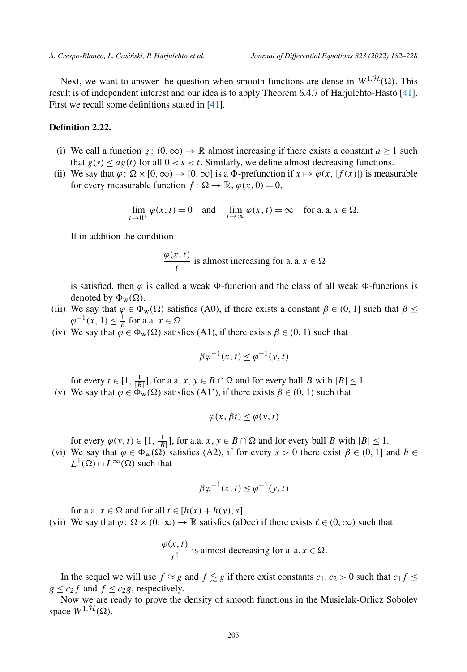Next, we want to answer the question when smooth functions are dense in  $W^{1, \mathcal{H}}(\Omega)$ . This result is of independent interest and our idea is to apply Theorem 6.4.7 of Harjulehto-Hästö [[41\]](#page-45-0). First we recall some definitions stated in [[41\]](#page-45-0).

#### **Definition 2.22.**

- (i) We call a function *g* :  $(0, \infty) \to \mathbb{R}$  almost increasing if there exists a constant  $a \ge 1$  such that  $g(s) \leq ag(t)$  for all  $0 < s < t$ . Similarly, we define almost decreasing functions.
- (ii) We say that  $\varphi$ :  $\Omega \times [0, \infty) \to [0, \infty]$  is a  $\Phi$ -prefunction if  $x \mapsto \varphi(x, |f(x)|)$  is measurable for every measurable function  $f: \Omega \to \mathbb{R}, \varphi(x, 0) = 0$ ,

$$
\lim_{t \to 0^+} \varphi(x, t) = 0 \quad \text{and} \quad \lim_{t \to \infty} \varphi(x, t) = \infty \quad \text{for a. a. } x \in \Omega.
$$

If in addition the condition

$$
\frac{\varphi(x,t)}{t}
$$
 is almost increasing for a. a.  $x \in \Omega$ 

is satisfied, then  $\varphi$  is called a weak  $\Phi$ -function and the class of all weak  $\Phi$ -functions is denoted by  $\Phi_w(\Omega)$ .

- (iii) We say that  $\varphi \in \Phi_w(\Omega)$  satisfies (A0), if there exists a constant  $\beta \in (0, 1]$  such that  $\beta \leq$  $\varphi^{-1}(x, 1) \leq \frac{1}{\beta}$  for a.a.  $x \in \Omega$ .
- (iv) We say that  $\varphi \in \Phi_w(\Omega)$  satisfies (A1), if there exists  $\beta \in (0, 1)$  such that

$$
\beta \varphi^{-1}(x,t) \le \varphi^{-1}(y,t)
$$

for every  $t \in [1, \frac{1}{|B|}]$ , for a.a.  $x, y \in B \cap \Omega$  and for every ball *B* with  $|B| \le 1$ .

(v) We say that  $\varphi \in \Phi_w(\Omega)$  satisfies (A1'), if there exists  $\beta \in (0, 1)$  such that

$$
\varphi(x,\beta t) \le \varphi(y,t)
$$

for every  $\varphi(y, t) \in [1, \frac{1}{|B|}]$ , for a.a. *x*,  $y \in B \cap \Omega$  and for every ball *B* with  $|B| \le 1$ .

(vi) We say that  $\varphi \in \Phi_w(\Omega)$  satisfies (A2), if for every  $s > 0$  there exist  $\beta \in (0, 1]$  and  $h \in$  $L^1(\Omega) \cap L^\infty(\Omega)$  such that

$$
\beta \varphi^{-1}(x,t) \le \varphi^{-1}(y,t)
$$

for a.a.  $x \in \Omega$  and for all  $t \in [h(x) + h(y), s]$ .

(vii) We say that  $\varphi$ :  $\Omega \times (0, \infty) \to \mathbb{R}$  satisfies (aDec) if there exists  $\ell \in (0, \infty)$  such that

$$
\frac{\varphi(x,t)}{t^{\ell}}
$$
 is almost decreasing for a. a.  $x \in \Omega$ .

In the sequel we will use  $f \approx g$  and  $f \leq g$  if there exist constants  $c_1, c_2 > 0$  such that  $c_1 f \leq$  $g \le c_2 f$  and  $f \le c_2 g$ , respectively.

Now we are ready to prove the density of smooth functions in the Musielak-Orlicz Sobolev space  $W^{1, \mathcal{H}}(\Omega)$ .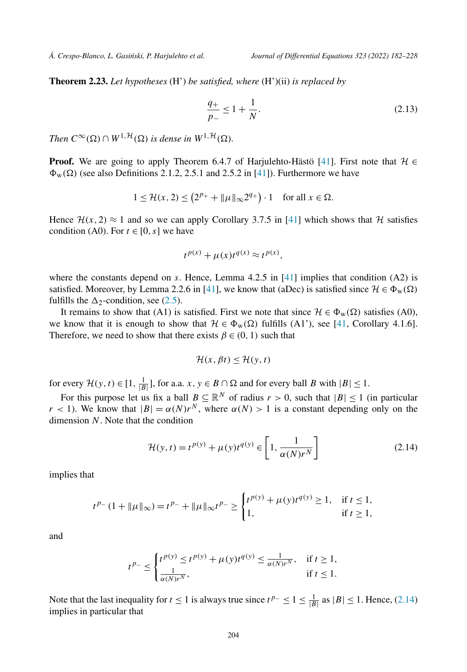<span id="page-22-0"></span>**Theorem 2.23.** *Let hypotheses* (H') *be satisfied, where* (H')(ii) *is replaced by*

$$
\frac{q_+}{p_-} \le 1 + \frac{1}{N}.\tag{2.13}
$$

*Then*  $C^{\infty}(\Omega) \cap W^{1, \mathcal{H}}(\Omega)$  *is dense in*  $W^{1, \mathcal{H}}(\Omega)$ *.* 

**Proof.** We are going to apply Theorem 6.4.7 of Harjulehto-Hästö [[41\]](#page-45-0). First note that  $\mathcal{H} \in$  $\Phi_{\rm w}(\Omega)$  (see also Definitions 2.1.2, 2.5.1 and 2.5.2 in [\[41](#page-45-0)]). Furthermore we have

$$
1 \le \mathcal{H}(x, 2) \le \left(2^{p_+} + \|\mu\|_{\infty} 2^{q_+}\right) \cdot 1 \quad \text{for all } x \in \Omega.
$$

Hence  $\mathcal{H}(x, 2) \approx 1$  and so we can apply Corollary 3.7.5 in [\[41\]](#page-45-0) which shows that H satisfies condition (A0). For  $t \in [0, s]$  we have

$$
t^{p(x)} + \mu(x)t^{q(x)} \approx t^{p(x)},
$$

where the constants depend on *s*. Hence, Lemma 4.2.5 in [\[41\]](#page-45-0) implies that condition (A2) is satisfied. Moreover, by Lemma 2.2.6 in [[41\]](#page-45-0), we know that (aDec) is satisfied since  $\mathcal{H} \in \Phi_{w}(\Omega)$ fulfills the  $\Delta_2$ -condition, see ([2.5](#page-10-0)).

It remains to show that (A1) is satisfied. First we note that since  $\mathcal{H} \in \Phi_w(\Omega)$  satisfies (A0), we know that it is enough to show that  $\mathcal{H} \in \Phi_{w}(\Omega)$  fulfills (A1'), see [\[41](#page-45-0), Corollary 4.1.6]. Therefore, we need to show that there exists  $\beta \in (0, 1)$  such that

$$
\mathcal{H}(x,\beta t) \le \mathcal{H}(y,t)
$$

for every  $\mathcal{H}(y, t) \in [1, \frac{1}{|B|}]$ , for a.a.  $x, y \in B \cap \Omega$  and for every ball *B* with  $|B| \le 1$ .

For this purpose let us fix a ball  $B \subseteq \mathbb{R}^N$  of radius  $r > 0$ , such that  $|B| \le 1$  (in particular *r* < 1). We know that  $|B| = \alpha(N)r^N$ , where  $\alpha(N) > 1$  is a constant depending only on the dimension *N*. Note that the condition

$$
\mathcal{H}(y,t) = t^{p(y)} + \mu(y)t^{q(y)} \in \left[1, \frac{1}{\alpha(N)r^N}\right]
$$
\n(2.14)

implies that

$$
t^{p_-}(1 + \|\mu\|_{\infty}) = t^{p_-} + \|\mu\|_{\infty}t^{p_-} \ge \begin{cases} t^{p(y)} + \mu(y)t^{q(y)} \ge 1, & \text{if } t \le 1, \\ 1, & \text{if } t \ge 1, \end{cases}
$$

and

$$
t^{p-} \le \begin{cases} t^{p(y)} \le t^{p(y)} + \mu(y)t^{q(y)} \le \frac{1}{\alpha(N)r^N}, & \text{if } t \ge 1, \\ \frac{1}{\alpha(N)r^N}, & \text{if } t \le 1. \end{cases}
$$

Note that the last inequality for *t* ≤ 1 is always true since  $t^{p-} \le 1 \le \frac{1}{|B|}$  as  $|B| \le 1$ . Hence, (2.14) implies in particular that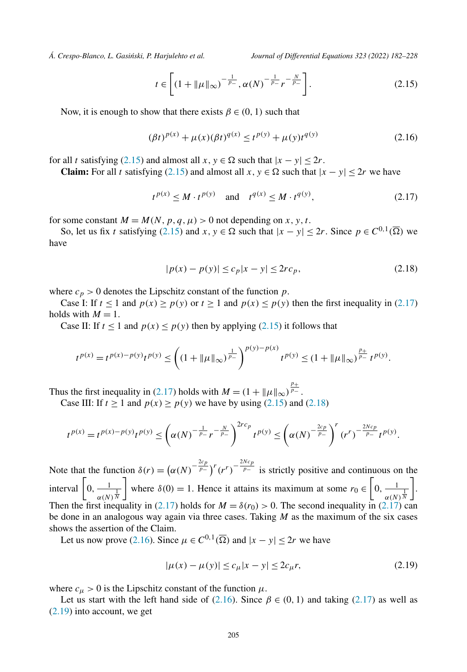<span id="page-23-0"></span>

$$
t \in \left[ \left( 1 + \|\mu\|_{\infty} \right)^{-\frac{1}{p_{-}}}, \alpha(N)^{-\frac{1}{p_{-}}}r^{-\frac{N}{p_{-}}} \right].
$$
 (2.15)

Now, it is enough to show that there exists  $\beta \in (0, 1)$  such that

$$
(\beta t)^{p(x)} + \mu(x)(\beta t)^{q(x)} \le t^{p(y)} + \mu(y)t^{q(y)}
$$
\n(2.16)

for all *t* satisfying (2.15) and almost all  $x, y \in \Omega$  such that  $|x - y| \le 2r$ .

**Claim:** For all *t* satisfying (2.15) and almost all *x*,  $y \in \Omega$  such that  $|x - y| \le 2r$  we have

$$
t^{p(x)} \le M \cdot t^{p(y)}
$$
 and  $t^{q(x)} \le M \cdot t^{q(y)}$ , (2.17)

for some constant  $M = M(N, p, q, \mu) > 0$  not depending on *x*, *y*, *t*.

So, let us fix *t* satisfying (2.15) and  $x, y \in \Omega$  such that  $|x - y| \le 2r$ . Since  $p \in C^{0,1}(\overline{\Omega})$  we have

$$
|p(x) - p(y)| \le c_p |x - y| \le 2r c_p,
$$
\n(2.18)

where  $c_p > 0$  denotes the Lipschitz constant of the function  $p$ .

Case I: If  $t \le 1$  and  $p(x) \ge p(y)$  or  $t \ge 1$  and  $p(x) \le p(y)$  then the first inequality in (2.17) holds with  $M = 1$ .

Case II: If  $t < 1$  and  $p(x) < p(y)$  then by applying (2.15) it follows that

$$
t^{p(x)} = t^{p(x)-p(y)}t^{p(y)} \le \left((1+\|\mu\|_{\infty})^{\frac{1}{p_{-}}}\right)^{p(y)-p(x)}t^{p(y)} \le (1+\|\mu\|_{\infty})^{\frac{p_{+}}{p_{-}}}t^{p(y)}.
$$

Thus the first inequality in (2.17) holds with  $M = (1 + ||\mu||_{\infty})^{\frac{p_+}{p_-}}$ .

Case III: If  $t > 1$  and  $p(x) > p(y)$  we have by using (2.15) and (2.18)

$$
t^{p(x)} = t^{p(x)-p(y)}t^{p(y)} \le \left(\alpha(N)^{-\frac{1}{p_-}}r^{-\frac{N}{p_-}}\right)^{2rc_p}t^{p(y)} \le \left(\alpha(N)^{-\frac{2c_p}{p_-}}\right)^r (r^r)^{-\frac{2Nc_p}{p_-}}t^{p(y)}.
$$

Note that the function  $\delta(r) = (\alpha(N)^{-\frac{2c_p}{p_-}})^r (r^r)^{-\frac{2Nc_p}{p_-}}$  is strictly positive and continuous on the interval  $\left[0, \frac{1}{\alpha(N)^{\frac{1}{N}}} \right]$ where  $\delta(0) = 1$ . Hence it attains its maximum at some  $r_0 \in \left[0, \frac{1}{\alpha(N)^{\frac{1}{N}}} \right]$  . Then the first inequality in (2.17) holds for  $M = \delta(r_0) > 0$ . The second inequality in (2.17) can be done in an analogous way again via three cases. Taking *M* as the maximum of the six cases shows the assertion of the Claim.

Let us now prove (2.16). Since  $\mu \in C^{0,1}(\overline{\Omega})$  and  $|x - y| \le 2r$  we have

$$
|\mu(x) - \mu(y)| \le c_{\mu}|x - y| \le 2c_{\mu}r,
$$
\n(2.19)

where  $c_{\mu} > 0$  is the Lipschitz constant of the function  $\mu$ .

Let us start with the left hand side of (2.16). Since  $\beta \in (0, 1)$  and taking (2.17) as well as (2.19) into account, we get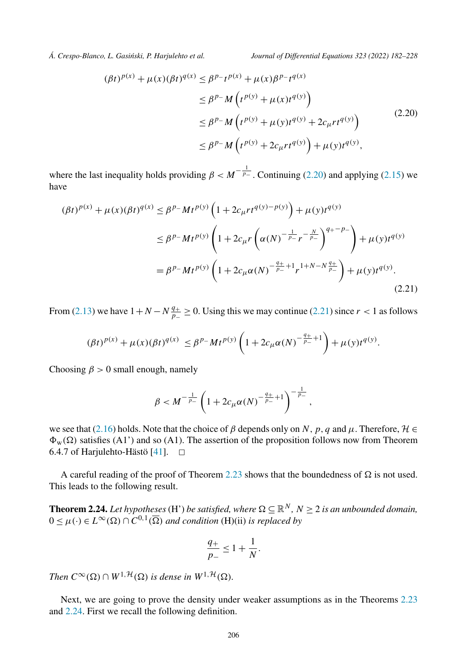<span id="page-24-0"></span>

$$
(\beta t)^{p(x)} + \mu(x)(\beta t)^{q(x)} \le \beta^{p} - t^{p(x)} + \mu(x)\beta^{p} - t^{q(x)}
$$
  
\n
$$
\le \beta^{p} - M\left(t^{p(y)} + \mu(x)t^{q(y)}\right)
$$
  
\n
$$
\le \beta^{p} - M\left(t^{p(y)} + \mu(y)t^{q(y)} + 2c_{\mu}rt^{q(y)}\right)
$$
  
\n
$$
\le \beta^{p} - M\left(t^{p(y)} + 2c_{\mu}rt^{q(y)}\right) + \mu(y)t^{q(y)},
$$
\n(2.20)

where the last inequality holds providing  $\beta < M^{-\frac{1}{p_-}}$ . Continuing (2.20) and applying [\(2.15\)](#page-23-0) we have

$$
(\beta t)^{p(x)} + \mu(x)(\beta t)^{q(x)} \le \beta^{p_{-}} M t^{p(y)} \left( 1 + 2c_{\mu} r t^{q(y)-p(y)} \right) + \mu(y) t^{q(y)}
$$
  
\n
$$
\le \beta^{p_{-}} M t^{p(y)} \left( 1 + 2c_{\mu} r \left( \alpha(N)^{-\frac{1}{p_{-}}} r^{-\frac{N}{p_{-}}} \right)^{q_{+} - p_{-}} \right) + \mu(y) t^{q(y)}
$$
  
\n
$$
= \beta^{p_{-}} M t^{p(y)} \left( 1 + 2c_{\mu} \alpha(N)^{-\frac{q_{+}}{p_{-}}} + 1 r^{1+N-N\frac{q_{+}}{p_{-}}} \right) + \mu(y) t^{q(y)}.
$$
\n(2.21)

From [\(2.13\)](#page-22-0) we have  $1 + N - N \frac{q_+}{p_-} \ge 0$ . Using this we may continue (2.21) since  $r < 1$  as follows

$$
(\beta t)^{p(x)} + \mu(x)(\beta t)^{q(x)} \leq \beta^{p-} M t^{p(y)} \left( 1 + 2c_{\mu} \alpha(N)^{-\frac{q_+}{p_-}+1} \right) + \mu(y) t^{q(y)}.
$$

Choosing  $\beta > 0$  small enough, namely

$$
\beta < M^{-\frac{1}{p_-}} \left( 1 + 2c_\mu \alpha(N)^{-\frac{q_+}{p_-}+1} \right)^{-\frac{1}{p_-}},
$$

we see that [\(2.16\)](#page-23-0) holds. Note that the choice of  $\beta$  depends only on *N*, *p*, *q* and  $\mu$ . Therefore,  $\mathcal{H} \in$  $\Phi_w(\Omega)$  satisfies (A1') and so (A1). The assertion of the proposition follows now from Theorem 6.4.7 of Harjulehto-Hästö  $[41]$  $[41]$ .  $\Box$ 

A careful reading of the proof of Theorem [2.23](#page-22-0) shows that the boundedness of  $\Omega$  is not used. This leads to the following result.

**Theorem 2.24.** Let hypotheses (H') be satisfied, where  $\Omega \subseteq \mathbb{R}^N$ ,  $N \geq 2$  is an unbounded domain,  $0 \leq \mu(\cdot) \in L^{\infty}(\Omega) \cap C^{0,1}(\overline{\Omega})$  and condition (H)(ii) is replaced by

$$
\frac{q_+}{p_-} \le 1 + \frac{1}{N}.
$$

*Then*  $C^{\infty}(\Omega) \cap W^{1, \mathcal{H}}(\Omega)$  *is dense in*  $W^{1, \mathcal{H}}(\Omega)$ *.* 

Next, we are going to prove the density under weaker assumptions as in the Theorems [2.23](#page-22-0) and 2.24. First we recall the following definition.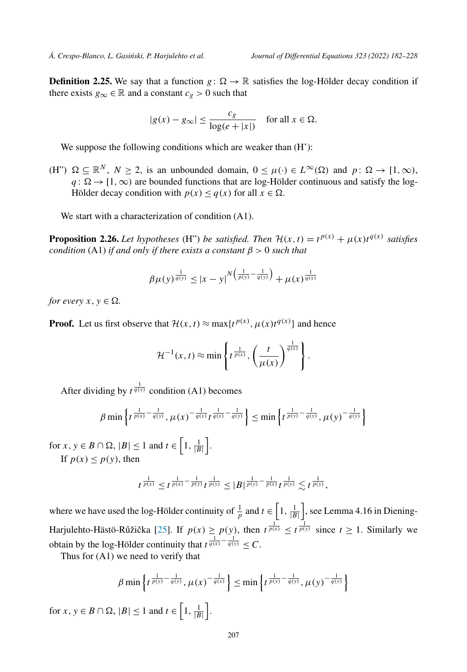<span id="page-25-0"></span>**Definition 2.25.** We say that a function  $g: \Omega \to \mathbb{R}$  satisfies the log-Hölder decay condition if there exists  $g_{\infty} \in \mathbb{R}$  and a constant  $c_g > 0$  such that

$$
|g(x) - g_{\infty}| \le \frac{c_g}{\log(e + |x|)} \quad \text{for all } x \in \Omega.
$$

We suppose the following conditions which are weaker than  $(H')$ :

(H")  $\Omega \subseteq \mathbb{R}^N$ ,  $N \ge 2$ , is an unbounded domain,  $0 \le \mu(\cdot) \in L^\infty(\Omega)$  and  $p: \Omega \to [1, \infty)$ ,  $q: \Omega \to [1, \infty)$  are bounded functions that are log-Hölder continuous and satisfy the log-Hölder decay condition with  $p(x) \leq q(x)$  for all  $x \in \Omega$ .

We start with a characterization of condition  $(A1)$ .

**Proposition 2.26.** *Let hypotheses* (H") *be satisfied. Then*  $\mathcal{H}(x,t) = t^{p(x)} + \mu(x)t^{q(x)}$  *satisfies condition* (A1) *if and only if there exists a constant*  $\beta > 0$  *such that* 

$$
\beta \mu(y)^{\frac{1}{q(y)}} \leq |x-y|^{N(\frac{1}{p(y)} - \frac{1}{q(y)})} + \mu(x)^{\frac{1}{q(x)}}
$$

*for every*  $x, y \in \Omega$ .

**Proof.** Let us first observe that  $\mathcal{H}(x,t) \approx \max\{t^{p(x)}, \mu(x)t^{q(x)}\}$  and hence

$$
\mathcal{H}^{-1}(x,t) \approx \min\left\{t^{\frac{1}{p(x)}}, \left(\frac{t}{\mu(x)}\right)^{\frac{1}{q(x)}}\right\}.
$$

After dividing by  $t^{\frac{1}{q(y)}}$  condition (A1) becomes

$$
\beta \min \left\{ t^{\frac{1}{p(x)} - \frac{1}{q(y)}}, \mu(x)^{-\frac{1}{q(x)}} t^{\frac{1}{q(x)} - \frac{1}{q(y)}} \right\} \leq \min \left\{ t^{\frac{1}{p(y)} - \frac{1}{q(y)}}, \mu(y)^{-\frac{1}{q(y)}} \right\}
$$

for  $x, y \in B \cap \Omega, |B| \leq 1$  and  $t \in \left[1, \frac{1}{|B|}\right]$ .

If  $p(x) \leq p(y)$ , then

$$
t^{\frac{1}{p(x)}} \leq t^{\frac{1}{p(x)} - \frac{1}{p(y)}} t^{\frac{1}{p(y)}} \leq |B|^{\frac{1}{p(y)} - \frac{1}{p(x)}} t^{\frac{1}{p(y)}} \lesssim t^{\frac{1}{p(y)}},
$$

where we have used the log-Hölder continuity of  $\frac{1}{p}$  and  $t \in \left[1, \frac{1}{|B|}\right]$ , see Lemma 4.16 in Diening-Harjulehto-Hästö-Růžička [\[25](#page-44-0)]. If  $p(x) \ge p(y)$ , then  $t^{\frac{1}{p(x)}} \le t^{\frac{1}{p(y)}}$  since  $t \ge 1$ . Similarly we obtain by the log-Hölder continuity that  $t^{\frac{1}{q(x)} - \frac{1}{q(y)}} \leq C$ .

Thus for (A1) we need to verify that

$$
\beta \min \left\{ t^{\frac{1}{p(y)} - \frac{1}{q(y)}}, \mu(x)^{-\frac{1}{q(x)}} \right\} \leq \min \left\{ t^{\frac{1}{p(y)} - \frac{1}{q(y)}}, \mu(y)^{-\frac{1}{q(y)}} \right\}
$$

for  $x, y \in B \cap \Omega, |B| \leq 1$  and  $t \in \left[1, \frac{1}{|B|}\right]$ .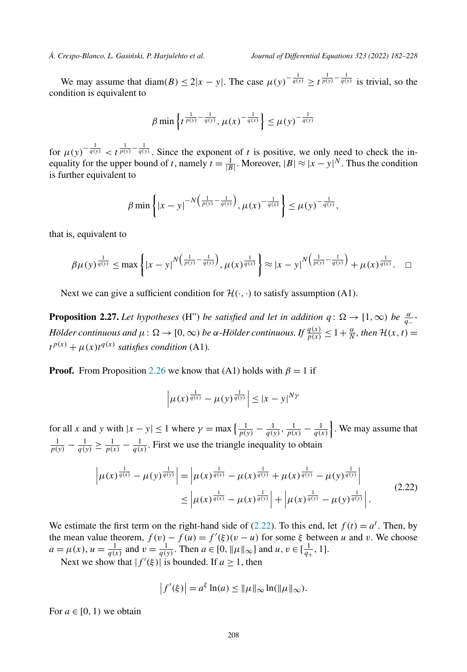<span id="page-26-0"></span>We may assume that diam(B)  $\leq 2|x-y|$ . The case  $\mu(y)^{-\frac{1}{q(y)}} \geq t^{\frac{1}{p(y)} - \frac{1}{q(y)}}$  is trivial, so the condition is equivalent to

$$
\beta \min \left\{ t^{\frac{1}{p(y)} - \frac{1}{q(y)}}, \mu(x)^{-\frac{1}{q(x)}} \right\} \le \mu(y)^{-\frac{1}{q(y)}}
$$

for  $\mu(y)^{-\frac{1}{q(y)}} < t^{\frac{1}{p(y)}-\frac{1}{q(y)}}$ . Since the exponent of *t* is positive, we only need to check the inequality for the upper bound of *t*, namely  $t = \frac{1}{|B|}$ . Moreover,  $|B| \approx |x - y|^N$ . Thus the condition is further equivalent to

$$
\beta \min \left\{ |x - y|^{-N \left( \frac{1}{p(y)} - \frac{1}{q(y)} \right)}, \mu(x)^{-\frac{1}{q(x)}} \right\} \le \mu(y)^{-\frac{1}{q(y)}},
$$

that is, equivalent to

$$
\beta \mu(y)^{\frac{1}{q(y)}} \leq \max \left\{ |x-y|^{N(\frac{1}{p(y)} - \frac{1}{q(y)})}, \mu(x)^{\frac{1}{q(x)}} \right\} \approx |x-y|^{N(\frac{1}{p(y)} - \frac{1}{q(y)})} + \mu(x)^{\frac{1}{q(x)}}. \quad \Box
$$

Next we can give a sufficient condition for  $\mathcal{H}(\cdot, \cdot)$  to satisfy assumption (A1).

**Proposition 2.27.** Let hypotheses (H") be satisfied and let in addition  $q: \Omega \to [1, \infty)$  be  $\frac{\alpha}{q-1}$ Hölder continuous and  $\mu\colon \Omega\to [0,\infty)$  be  $\alpha$  -Hölder continuous. If  $\frac{q(x)}{p(x)}\leq 1+\frac{\alpha}{N}$ , then  $\mathcal{H}(x,t)=0$  $t^{p(x)} + \mu(x)t^{q(x)}$  *satisfies condition* (A1)*.* 

**Proof.** From Proposition [2.26](#page-25-0) we know that (A1) holds with  $\beta = 1$  if

$$
\left|\mu(x)^{\frac{1}{q(x)}} - \mu(y)^{\frac{1}{q(y)}}\right| \leq |x-y|^{N\gamma}
$$

for all *x* and *y* with  $|x - y| \le 1$  where  $\gamma = \max\left\{\frac{1}{p(y)} - \frac{1}{q(y)}, \frac{1}{p(x)} - \frac{1}{q(x)}\right\}$ . We may assume that  $\frac{1}{p(y)} - \frac{1}{q(y)} \ge \frac{1}{p(x)} - \frac{1}{q(x)}$ . First we use the triangle inequality to obtain

$$
\left| \mu(x)^{\frac{1}{q(x)}} - \mu(y)^{\frac{1}{q(y)}} \right| = \left| \mu(x)^{\frac{1}{q(x)}} - \mu(x)^{\frac{1}{q(y)}} + \mu(x)^{\frac{1}{q(y)}} - \mu(y)^{\frac{1}{q(y)}} \right|
$$
  
 
$$
\leq \left| \mu(x)^{\frac{1}{q(x)}} - \mu(x)^{\frac{1}{q(y)}} \right| + \left| \mu(x)^{\frac{1}{q(y)}} - \mu(y)^{\frac{1}{q(y)}} \right|.
$$
 (2.22)

We estimate the first term on the right-hand side of (2.22). To this end, let  $f(t) = a^t$ . Then, by the mean value theorem,  $f(v) - f(u) = f'(\xi)(v - u)$  for some  $\xi$  between *u* and *v*. We choose  $a = \mu(x), u = \frac{1}{q(x)}$  and  $v = \frac{1}{q(y)}$ . Then  $a \in [0, ||\mu||_{\infty}]$  and  $u, v \in [\frac{1}{q_+}, 1]$ .

Next we show that  $|f'(\xi)|$  is bounded. If  $a \ge 1$ , then

$$
\left|f'(\xi)\right| = a^{\xi} \ln(a) \leq \|\mu\|_{\infty} \ln(\|\mu\|_{\infty}).
$$

For  $a \in [0, 1)$  we obtain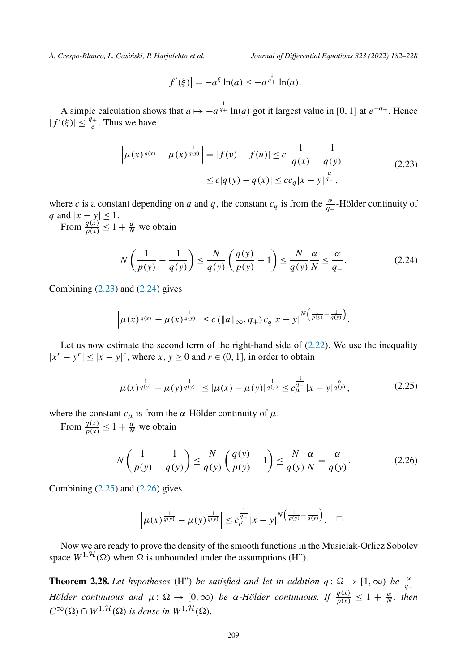<span id="page-27-0"></span>

$$
|f'(\xi)| = -a^{\xi} \ln(a) \le -a^{\frac{1}{q_+}} \ln(a).
$$

A simple calculation shows that  $a \mapsto -a^{\frac{1}{q_+}} \ln(a)$  got it largest value in [0, 1] at  $e^{-q_+}$ . Hence  $|f'(\xi)| \leq \frac{q_+}{e}$ . Thus we have

$$
\left| \mu(x)^{\frac{1}{q(x)}} - \mu(x)^{\frac{1}{q(y)}} \right| = |f(v) - f(u)| \le c \left| \frac{1}{q(x)} - \frac{1}{q(y)} \right|
$$
  
 
$$
\le c|q(y) - q(x)| \le cc_q |x - y|^{\frac{\alpha}{q-}},
$$
 (2.23)

where *c* is a constant depending on *a* and *q*, the constant  $c_q$  is from the  $\frac{\alpha}{q_1}$ -Hölder continuity of *q* and  $|x - y| \leq 1$ .

From  $\frac{q(x)}{p(x)} \leq 1 + \frac{\alpha}{N}$  we obtain

$$
N\left(\frac{1}{p(y)} - \frac{1}{q(y)}\right) \le \frac{N}{q(y)}\left(\frac{q(y)}{p(y)} - 1\right) \le \frac{N}{q(y)}\frac{\alpha}{N} \le \frac{\alpha}{q_{-}}.\tag{2.24}
$$

Combining  $(2.23)$  and  $(2.24)$  gives

$$
\left|\mu(x)^{\frac{1}{q(x)}} - \mu(x)^{\frac{1}{q(y)}}\right| \leq c \left(\|a\|_{\infty}, q_{+}\right) c_{q} |x-y|^{N\left(\frac{1}{p(y)} - \frac{1}{q(y)}\right)}.
$$

Let us now estimate the second term of the right-hand side of  $(2.22)$ . We use the inequality  $|x^r - y^r| \le |x - y|^r$ , where  $x, y \ge 0$  and  $r \in (0, 1]$ , in order to obtain

$$
\left|\mu(x)^{\frac{1}{q(y)}} - \mu(y)^{\frac{1}{q(y)}}\right| \le |\mu(x) - \mu(y)|^{\frac{1}{q(y)}} \le c_{\mu}^{\frac{1}{q_{-}}} |x - y|^{\frac{\alpha}{q(y)}},\tag{2.25}
$$

where the constant  $c_{\mu}$  is from the *α*-Hölder continuity of  $\mu$ .

From  $\frac{q(x)}{p(x)} \leq 1 + \frac{\alpha}{N}$  we obtain

$$
N\left(\frac{1}{p(y)} - \frac{1}{q(y)}\right) \le \frac{N}{q(y)}\left(\frac{q(y)}{p(y)} - 1\right) \le \frac{N}{q(y)}\frac{\alpha}{N} = \frac{\alpha}{q(y)}.\tag{2.26}
$$

Combining  $(2.25)$  and  $(2.26)$  gives

$$
\left|\mu(x)^{\frac{1}{q(y)}} - \mu(y)^{\frac{1}{q(y)}}\right| \leq c_{\mu}^{\frac{1}{q-1}}|x-y|^{N\left(\frac{1}{p(y)} - \frac{1}{q(y)}\right)}.\quad \Box
$$

Now we are ready to prove the density of the smooth functions in the Musielak-Orlicz Sobolev space  $W^{1,\mathcal{H}}(\Omega)$  when  $\Omega$  is unbounded under the assumptions (H").

**Theorem 2.28.** Let hypotheses (H") be satisfied and let in addition  $q: \Omega \to [1, \infty)$  be  $\frac{\alpha}{q-1}$ *Hölder continuous and*  $\mu$ :  $\Omega \to [0, \infty)$  *be α-Hölder continuous.* If  $\frac{q(x)}{p(x)} \leq 1 + \frac{\alpha}{N}$ *, then*  $C^{\infty}(\Omega) \cap W^{1, \mathcal{H}}(\Omega)$  *is dense in*  $W^{1, \mathcal{H}}(\Omega)$ *.*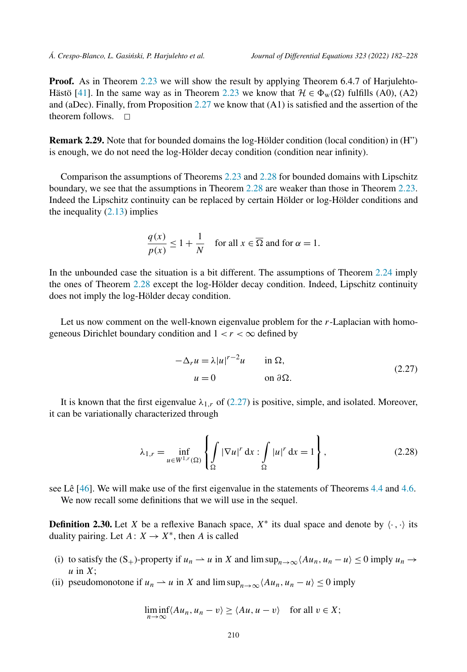<span id="page-28-0"></span>**Proof.** As in Theorem [2.23](#page-22-0) we will show the result by applying Theorem 6.4.7 of Harjulehto-Hästö [\[41](#page-45-0)]. In the same way as in Theorem [2.23](#page-22-0) we know that  $\mathcal{H} \in \Phi_w(\Omega)$  fulfills (A0), (A2) and (aDec). Finally, from Proposition [2.27](#page-26-0) we know that (A1) is satisfied and the assertion of the theorem follows.  $\Box$ 

**Remark 2.29.** Note that for bounded domains the log-Hölder condition (local condition) in (H") is enough, we do not need the log-Hölder decay condition (condition near infinity).

Comparison the assumptions of Theorems [2.23](#page-22-0) and [2.28](#page-27-0) for bounded domains with Lipschitz boundary, we see that the assumptions in Theorem [2.28](#page-27-0) are weaker than those in Theorem [2.23.](#page-22-0) Indeed the Lipschitz continuity can be replaced by certain Hölder or log-Hölder conditions and the inequality  $(2.13)$  $(2.13)$  implies

$$
\frac{q(x)}{p(x)} \le 1 + \frac{1}{N} \quad \text{for all } x \in \overline{\Omega} \text{ and for } \alpha = 1.
$$

In the unbounded case the situation is a bit different. The assumptions of Theorem [2.24](#page-24-0) imply the ones of Theorem [2.28](#page-27-0) except the log-Hölder decay condition. Indeed, Lipschitz continuity does not imply the log-Hölder decay condition.

Let us now comment on the well-known eigenvalue problem for the *r*-Laplacian with homogeneous Dirichlet boundary condition and  $1 < r < \infty$  defined by

$$
-\Delta_r u = \lambda |u|^{r-2}u \quad \text{in } \Omega,
$$
  
 
$$
u = 0 \quad \text{on } \partial\Omega.
$$
 (2.27)

It is known that the first eigenvalue  $\lambda_{1,r}$  of (2.27) is positive, simple, and isolated. Moreover, it can be variationally characterized through

$$
\lambda_{1,r} = \inf_{u \in W^{1,r}(\Omega)} \left\{ \int_{\Omega} |\nabla u|^r dx : \int_{\Omega} |u|^r dx = 1 \right\},\tag{2.28}
$$

see Lê [\[46](#page-45-0)]. We will make use of the first eigenvalue in the statements of Theorems [4.4](#page-40-0) and [4.6.](#page-42-0) We now recall some definitions that we will use in the sequel.

**Definition 2.30.** Let *X* be a reflexive Banach space,  $X^*$  its dual space and denote by  $\langle \cdot, \cdot \rangle$  its duality pairing. Let  $A: X \rightarrow X^*$ , then *A* is called

- (i) to satisfy the  $(S_+)$ -property if  $u_n \rightharpoonup u$  in *X* and lim sup $_{n \to \infty}$  $\langle Au_n, u_n u \rangle \le 0$  imply  $u_n \to$ *u* in *X*;
- (ii) pseudomonotone if  $u_n \rightharpoonup u$  in *X* and lim sup<sub> $n \rightarrow \infty$ </sub> $\langle Au_n, u_n u \rangle \le 0$  imply

$$
\liminf_{n \to \infty} \langle Au_n, u_n - v \rangle \ge \langle Au, u - v \rangle \quad \text{for all } v \in X;
$$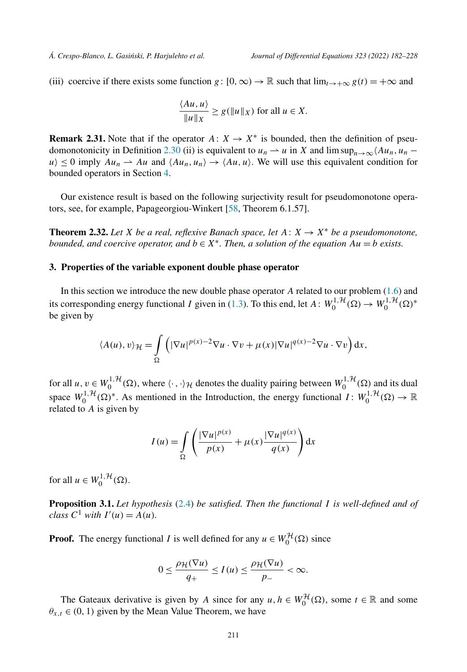<span id="page-29-0"></span>(iii) coercive if there exists some function *g* :  $[0, \infty) \to \mathbb{R}$  such that  $\lim_{t \to +\infty} g(t) = +\infty$  and

$$
\frac{\langle Au, u \rangle}{\|u\|_X} \ge g(\|u\|_X) \text{ for all } u \in X.
$$

**Remark 2.31.** Note that if the operator  $A: X \rightarrow X^*$  is bounded, then the definition of pseu-domonotonicity in Definition [2.30](#page-28-0) (ii) is equivalent to  $u_n \rightharpoonup u$  in *X* and lim sup<sub>n→∞</sub> $\langle Au_n, u_n$  $u \geq 0$  imply  $Au_n \rightharpoonup Au$  and  $\langle Au_n, u_n \rangle \rightarrow \langle Au, u \rangle$ . We will use this equivalent condition for bounded operators in Section [4.](#page-39-0)

Our existence result is based on the following surjectivity result for pseudomonotone operators, see, for example, Papageorgiou-Winkert [[58,](#page-45-0) Theorem 6.1.57].

**Theorem 2.32.** *Let X be a real, reflexive Banach space, let*  $A: X \rightarrow X^*$  *be a pseudomonotone, bounded,* and *coercive operator,* and  $b \in X^*$ *. Then,* a *solution of the equation*  $Au = b$  *exists.* 

# **3. Properties of the variable exponent double phase operator**

In this section we introduce the new double phase operator *A* related to our problem ([1.6](#page-3-0)) and its corresponding energy functional *I* given in [\(1.3\)](#page-1-0). To this end, let  $A: W_0^{1, H}(\Omega) \to W_0^{1, H}(\Omega)^*$ be given by

$$
\langle A(u), v \rangle_{\mathcal{H}} = \int_{\Omega} \left( |\nabla u|^{p(x)-2} \nabla u \cdot \nabla v + \mu(x) |\nabla u|^{q(x)-2} \nabla u \cdot \nabla v \right) dx,
$$

for all  $u, v \in W_0^{1, H}(\Omega)$ , where  $\langle \cdot, \cdot \rangle_H$  denotes the duality pairing between  $W_0^{1, H}(\Omega)$  and its dual space  $W_0^{1, H}(\Omega)^*$ . As mentioned in the Introduction, the energy functional  $I: W_0^{1, H}(\Omega) \to \mathbb{R}$ related to *A* is given by

$$
I(u) = \int_{\Omega} \left( \frac{|\nabla u|^{p(x)}}{p(x)} + \mu(x) \frac{|\nabla u|^{q(x)}}{q(x)} \right) dx
$$

for all  $u \in W_0^{1, \mathcal{H}}(\Omega)$ .

**Proposition 3.1.** *Let hypothesis* ([2.4](#page-10-0)) *be satisfied. Then the functional I is well-defined and of class*  $C^1$  *with*  $I'(u) = A(u)$ *.* 

**Proof.** The energy functional *I* is well defined for any  $u \in W_0^{\mathcal{H}}(\Omega)$  since

$$
0 \leq \frac{\rho_{\mathcal{H}}(\nabla u)}{q_+} \leq I(u) \leq \frac{\rho_{\mathcal{H}}(\nabla u)}{p_-} < \infty.
$$

The Gateaux derivative is given by *A* since for any  $u, h \in W_0^H(\Omega)$ , some  $t \in \mathbb{R}$  and some  $\theta_{x,t} \in (0, 1)$  given by the Mean Value Theorem, we have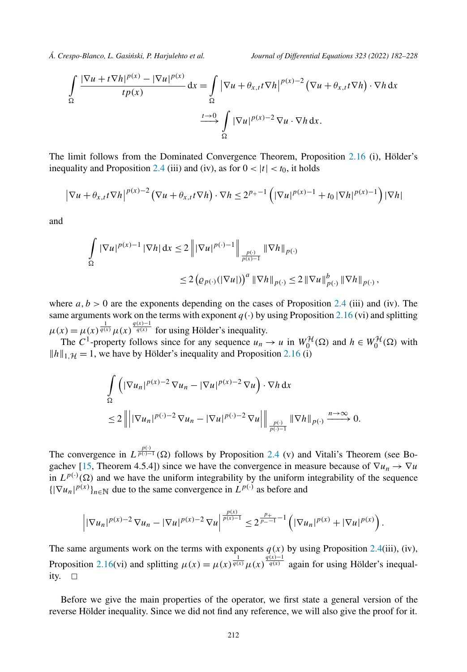$$
\int_{\Omega} \frac{|\nabla u + t \nabla h|^{p(x)} - |\nabla u|^{p(x)}}{tp(x)} dx = \int_{\Omega} |\nabla u + \theta_{x,t} t \nabla h|^{p(x)-2} (\nabla u + \theta_{x,t} t \nabla h) \cdot \nabla h dx
$$

$$
\xrightarrow{t \to 0} \int_{\Omega} |\nabla u|^{p(x)-2} \nabla u \cdot \nabla h dx.
$$

The limit follows from the Dominated Convergence Theorem, Proposition [2.16](#page-14-0) (i), Hölder's inequality and Proposition [2.4](#page-7-0) (iii) and (iv), as for  $0 < |t| < t_0$ , it holds

$$
\left|\nabla u + \theta_{x,t} t \nabla h\right|^{p(x)-2} \left(\nabla u + \theta_{x,t} t \nabla h\right) \cdot \nabla h \le 2^{p+1} \left( |\nabla u|^{p(x)-1} + t_0 |\nabla h|^{p(x)-1} \right) |\nabla h|
$$

and

$$
\int_{\Omega} |\nabla u|^{p(x)-1} |\nabla h| dx \le 2 \left\| |\nabla u|^{p(\cdot)-1} \right\|_{\frac{p(\cdot)}{p(x)-1}} \|\nabla h\|_{p(\cdot)}
$$
  

$$
\le 2 \left( \varrho_{p(\cdot)}(|\nabla u|) \right)^a \|\nabla h\|_{p(\cdot)} \le 2 \|\nabla u\|_{p(\cdot)}^b \|\nabla h\|_{p(\cdot)},
$$

where  $a, b > 0$  are the exponents depending on the cases of Proposition [2.4](#page-7-0) (iii) and (iv). The same arguments work on the terms with exponent  $q(\cdot)$  by using Proposition [2.16](#page-14-0) (vi) and splitting  $\mu(x) = \mu(x)^{\frac{1}{q(x)}} \mu(x)^{\frac{q(x)-1}{q(x)}}$  for using Hölder's inequality.

The  $C^1$ -property follows since for any sequence  $u_n \to u$  in  $W_0^{\mathcal{H}}(\Omega)$  and  $h \in W_0^{\mathcal{H}}(\Omega)$  with  $||h||_{1,H} = 1$ , we have by Hölder's inequality and Proposition [2.16](#page-14-0) (i)

$$
\int_{\Omega} \left( |\nabla u_n|^{p(x)-2} \nabla u_n - |\nabla u|^{p(x)-2} \nabla u \right) \cdot \nabla h \, dx
$$
\n
$$
\leq 2 \left\| \left| |\nabla u_n|^{p(\cdot)-2} \nabla u_n - |\nabla u|^{p(\cdot)-2} \nabla u \right| \right\|_{\frac{p(\cdot)}{p(\cdot)-1}} \left\| \nabla h \right\|_{p(\cdot)} \xrightarrow{n \to \infty} 0.
$$

The convergence in  $L^{\frac{p(\cdot)}{p(\cdot)-1}}(\Omega)$  follows by Proposition [2.4](#page-7-0) (v) and Vitali's Theorem (see Bo-gachev [[15,](#page-44-0) Theorem 4.5.4]) since we have the convergence in measure because of  $\nabla u_n \to \nabla u$ in  $L^{p(\cdot)}(\Omega)$  and we have the uniform integrability by the uniform integrability of the sequence  $\{|\nabla u_n|^{p(x)}\}_{n\in\mathbb{N}}$  due to the same convergence in  $L^{p(\cdot)}$  as before and

$$
\left| |\nabla u_n|^{p(x)-2} \nabla u_n - |\nabla u|^{p(x)-2} \nabla u \right|^{\frac{p(x)}{p(x)-1}} \leq 2^{\frac{p_+}{p_- - 1} - 1} \left( |\nabla u_n|^{p(x)} + |\nabla u|^{p(x)} \right).
$$

The same arguments work on the terms with exponents  $q(x)$  by using Proposition [2.4](#page-7-0)(iii), (iv), Proposition [2.16](#page-14-0)(vi) and splitting  $\mu(x) = \mu(x)^{\frac{1}{q(x)}} \mu(x)^{\frac{q(x)-1}{q(x)}}$  again for using Hölder's inequality.  $\Box$ 

Before we give the main properties of the operator, we first state a general version of the reverse Hölder inequality. Since we did not find any reference, we will also give the proof for it.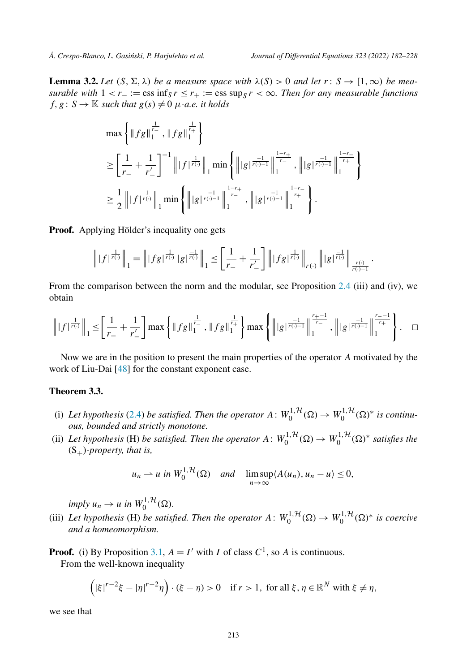<span id="page-31-0"></span>**Lemma 3.2.** Let  $(S, \Sigma, \lambda)$  be a measure space with  $\lambda(S) > 0$  and let  $r: S \to [1, \infty)$  be mea*surable* with  $1 < r_-\coloneqq \text{ess inf}_{S} r \leq r_+ := \text{ess sup}_{S} r < \infty$ . Then for any measurable functions  $f, g: S \to \mathbb{K}$  *such that*  $g(s) \neq 0$   $\mu$ *-a.e. it holds* 

$$
\max \left\{ \|fg\|_1^{\frac{1}{r_-}}, \|fg\|_1^{\frac{1}{r_+}} \right\}
$$
\n
$$
\geq \left[ \frac{1}{r_-} + \frac{1}{r'_-} \right]^{-1} \| |f|^{\frac{1}{r(1)}} \|_1 \min \left\{ \| |g|^{\frac{-1}{r(1)-1}} \|_1^{\frac{1-r_+}{r_-}}, \| |g|^{\frac{-1}{r(1)-1}} \|_1^{\frac{1-r_-}{r_+}} \right\}
$$
\n
$$
\geq \frac{1}{2} \| |f|^{\frac{1}{r(1)}} \|_1 \min \left\{ \| |g|^{\frac{-1}{r(1)-1}} \|_1^{\frac{1-r_+}{r_-}}, \| |g|^{\frac{-1}{r(1)-1}} \|_1^{\frac{1-r_-}{r_+}} \right\}.
$$

**Proof.** Applying Hölder's inequality one gets

$$
\left\| |f|^{\frac{1}{r(\cdot)}} \right\|_1 = \left\| |fg|^{\frac{1}{r(\cdot)}} |g|^{\frac{-1}{r(\cdot)}} \right\|_1 \le \left[ \frac{1}{r_-} + \frac{1}{r'_-} \right] \left\| |fg|^{\frac{1}{r(\cdot)}} \right\|_{r(\cdot)} \left\| |g|^{\frac{-1}{r(\cdot)}} \right\|_{r(\cdot)-1}.
$$

From the comparison between the norm and the modular, see Proposition [2.4](#page-7-0) (iii) and (iv), we obtain

$$
\left\| |f|^{\frac{1}{r(\cdot)}} \right\|_{1} \leq \left[ \frac{1}{r_{-}} + \frac{1}{r'_{-}} \right] \max \left\{ \| f g \|_{1}^{\frac{1}{r_{-}}} , \| f g \|_{1}^{\frac{1}{r_{+}}} \right\} \max \left\{ \left\| |g|^{\frac{-1}{r(\cdot)-1}} \right\|^{\frac{r_{+}-1}{r_{-}}}_{1} , \left\| |g|^{\frac{-1}{r(\cdot)-1}} \right\|^{\frac{r_{-}-1}{r_{+}}} \right\} . \quad \Box
$$

Now we are in the position to present the main properties of the operator *A* motivated by the work of Liu-Dai [[48\]](#page-45-0) for the constant exponent case.

# **Theorem 3.3.**

- (i) Let hypothesis ([2.4](#page-10-0)) be satisfied. Then the operator  $A: W_0^{1, H}(\Omega) \to W_0^{1, H}(\Omega)^*$  is continu*ous, bounded and strictly monotone.*
- (ii) Let hypothesis (H) be satisfied. Then the operator  $A: W_0^{1,\mathcal{H}}(\Omega) \to W_0^{1,\mathcal{H}}(\Omega)^*$  satisfies the  $(S_+)$ *-property, that is,*

$$
u_n \rightharpoonup u
$$
 in  $W_0^{1, H}(\Omega)$  and  $\limsup_{n \to \infty} \langle A(u_n), u_n - u \rangle \leq 0$ ,

 $imply u_n \rightarrow u \text{ in } W_0^{1, \mathcal{H}}(\Omega).$ 

(iii) Let hypothesis (H) be satisfied. Then the operator  $A: W_0^{1,\mathcal{H}}(\Omega) \to W_0^{1,\mathcal{H}}(\Omega)^*$  is coercive *and a homeomorphism.*

**Proof.** (i) By Proposition [3.1](#page-29-0),  $A = I'$  with *I* of class  $C<sup>1</sup>$ , so *A* is continuous. From the well-known inequality

$$
(|\xi|^{r-2}\xi - |\eta|^{r-2}\eta) \cdot (\xi - \eta) > 0 \quad \text{if } r > 1, \text{ for all } \xi, \eta \in \mathbb{R}^N \text{ with } \xi \neq \eta,
$$

we see that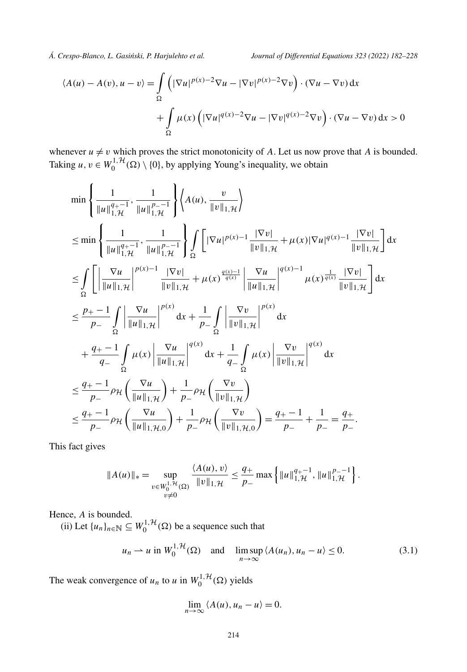<span id="page-32-0"></span>

$$
\langle A(u) - A(v), u - v \rangle = \int_{\Omega} \left( |\nabla u|^{p(x)-2} \nabla u - |\nabla v|^{p(x)-2} \nabla v \right) \cdot (\nabla u - \nabla v) dx
$$

$$
+ \int_{\Omega} \mu(x) \left( |\nabla u|^{q(x)-2} \nabla u - |\nabla v|^{q(x)-2} \nabla v \right) \cdot (\nabla u - \nabla v) dx > 0
$$

whenever  $u \neq v$  which proves the strict monotonicity of A. Let us now prove that A is bounded. Taking  $u, v \in W_0^{1,1}(\Omega) \setminus \{0\}$ , by applying Young's inequality, we obtain

$$
\min\left\{\frac{1}{\|u\|_{1,\mathcal{H}}^{q_{+-}1}},\frac{1}{\|u\|_{1,\mathcal{H}}^{p_{--}1}}\right\}\left\langle A(u),\frac{v}{\|v\|_{1,\mathcal{H}}}\right\rangle
$$
\n
$$
\leq \min\left\{\frac{1}{\|u\|_{1,\mathcal{H}}^{q_{+-}1}},\frac{1}{\|u\|_{1,\mathcal{H}}^{p_{--}1}}\right\}\int_{\Omega}\left[|\nabla u|^{p(x)-1}\frac{|\nabla v|}{\|v\|_{1,\mathcal{H}}}+\mu(x)|\nabla u|^{q(x)-1}\frac{|\nabla v|}{\|v\|_{1,\mathcal{H}}}\right]dx
$$
\n
$$
\leq \int_{\Omega}\left[\frac{\nabla u}{\|u\|_{1,\mathcal{H}}}\Big|^{p(x)-1}\frac{|\nabla v|}{\|v\|_{1,\mathcal{H}}}+\mu(x)\frac{q(x)-1}{q(x)}\frac{|\nabla u|}{\|u\|_{1,\mathcal{H}}}\Big|^{q(x)-1}\mu(x)\frac{|\nabla v|}{\|v\|_{1,\mathcal{H}}}\right]dx
$$
\n
$$
\leq \frac{p_{+-}-1}{p_{--}}\int_{\Omega}\left|\frac{\nabla u}{\|u\|_{1,\mathcal{H}}}\Big|^{p(x)}dx+\frac{1}{p_{--}}\int_{\Omega}\left|\frac{\nabla v}{\|v\|_{1,\mathcal{H}}}\Big|^{p(x)}dx\right.
$$
\n
$$
+\frac{q_{+-}-1}{q_{--}}\int_{\Omega}\mu(x)\left|\frac{\nabla u}{\|u\|_{1,\mathcal{H}}}\right|^{q(x)}dx+\frac{1}{q_{--}}\int_{\Omega}\mu(x)\left|\frac{\nabla v}{\|v\|_{1,\mathcal{H}}}\right|^{q(x)}dx
$$
\n
$$
\leq \frac{q_{+-}-1}{p_{--}}\rho_{\mathcal{H}\left(\frac{\nabla u}{\|u\|_{1,\mathcal{H}}}\right)+\frac{1}{p_{--}}\rho_{\mathcal{H}\left(\frac{\nabla v}{\|v\|_{1,\mathcal{H}}}\right)}
$$
\n
$$
\leq \frac{q_{+-}-1}{p_{--}}\rho_{\mathcal{H}\left(\frac{\nabla u}{\|u\|_{1,\mathcal{
$$

This fact gives

$$
||A(u)||_* = \sup_{\substack{v \in W_0^{1,1}(\Omega) \\ v \neq 0}} \frac{\langle A(u), v \rangle}{||v||_{1,\mathcal{H}}} \leq \frac{q_+}{p_-} \max \left\{ ||u||_{1,\mathcal{H}}^{q_+-1}, ||u||_{1,\mathcal{H}}^{p_--1} \right\}.
$$

Hence, *A* is bounded.

(ii) Let  $\{u_n\}_{n \in \mathbb{N}} \subseteq W_0^{1,\mathcal{H}}(\Omega)$  be a sequence such that

$$
u_n \rightharpoonup u \text{ in } W_0^{1, \mathcal{H}}(\Omega) \quad \text{and} \quad \limsup_{n \to \infty} \langle A(u_n), u_n - u \rangle \le 0. \tag{3.1}
$$

The weak convergence of  $u_n$  to  $u$  in  $W_0^{1, H}(\Omega)$  yields

$$
\lim_{n\to\infty}\langle A(u),u_n-u\rangle=0.
$$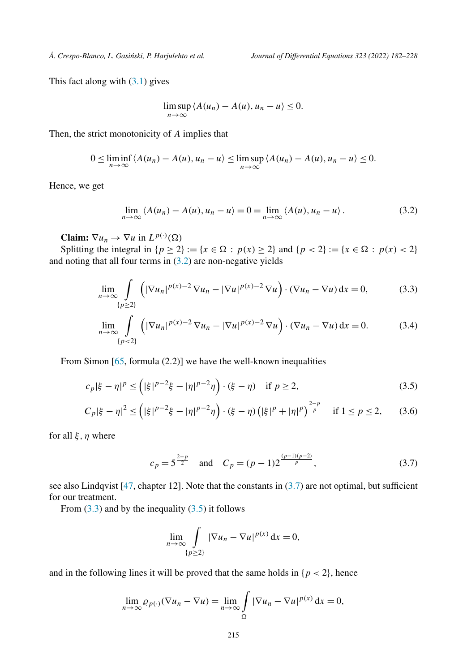<span id="page-33-0"></span>

This fact along with  $(3.1)$  gives

$$
\limsup_{n\to\infty} \langle A(u_n)-A(u),u_n-u\rangle\leq 0.
$$

Then, the strict monotonicity of *A* implies that

$$
0 \leq \liminf_{n \to \infty} \langle A(u_n) - A(u), u_n - u \rangle \leq \limsup_{n \to \infty} \langle A(u_n) - A(u), u_n - u \rangle \leq 0.
$$

Hence, we get

$$
\lim_{n \to \infty} \langle A(u_n) - A(u), u_n - u \rangle = 0 = \lim_{n \to \infty} \langle A(u), u_n - u \rangle. \tag{3.2}
$$

**Claim:**  $\nabla u_n \to \nabla u$  in  $L^{p(\cdot)}(\Omega)$ 

Splitting the integral in  $\{p \ge 2\} := \{x \in \Omega : p(x) \ge 2\}$  and  $\{p < 2\} := \{x \in \Omega : p(x) < 2\}$ and noting that all four terms in (3.2) are non-negative yields

$$
\lim_{n \to \infty} \int\limits_{\{p \ge 2\}} \left( |\nabla u_n|^{p(x)-2} \nabla u_n - |\nabla u|^{p(x)-2} \nabla u \right) \cdot (\nabla u_n - \nabla u) \, \mathrm{d}x = 0,\tag{3.3}
$$

$$
\lim_{n \to \infty} \int\limits_{\{p < 2\}} \left( |\nabla u_n|^{p(x)-2} \nabla u_n - |\nabla u|^{p(x)-2} \nabla u \right) \cdot (\nabla u_n - \nabla u) \, \mathrm{d}x = 0. \tag{3.4}
$$

From Simon [\[65](#page-46-0), formula (2.2)] we have the well-known inequalities

$$
c_p |\xi - \eta|^p \le (|\xi|^{p-2} \xi - |\eta|^{p-2} \eta) \cdot (\xi - \eta) \quad \text{if } p \ge 2,
$$
 (3.5)

$$
C_p|\xi - \eta|^2 \le (|\xi|^{p-2}\xi - |\eta|^{p-2}\eta) \cdot (\xi - \eta) (|\xi|^p + |\eta|^p)^{\frac{2-p}{p}} \quad \text{if } 1 \le p \le 2,
$$
 (3.6)

for all *ξ, η* where

$$
c_p = 5^{\frac{2-p}{2}}
$$
 and  $C_p = (p-1)2^{\frac{(p-1)(p-2)}{p}}$ , (3.7)

see also Lindqvist [[47,](#page-45-0) chapter 12]. Note that the constants in  $(3.7)$  are not optimal, but sufficient for our treatment.

From  $(3.3)$  and by the inequality  $(3.5)$  it follows

$$
\lim_{n \to \infty} \int\limits_{\{p \ge 2\}} |\nabla u_n - \nabla u|^{p(x)} \, \mathrm{d}x = 0,
$$

and in the following lines it will be proved that the same holds in  ${p < 2}$ , hence

$$
\lim_{n \to \infty} \varrho_{p(\cdot)}(\nabla u_n - \nabla u) = \lim_{n \to \infty} \int_{\Omega} |\nabla u_n - \nabla u|^{p(x)} dx = 0,
$$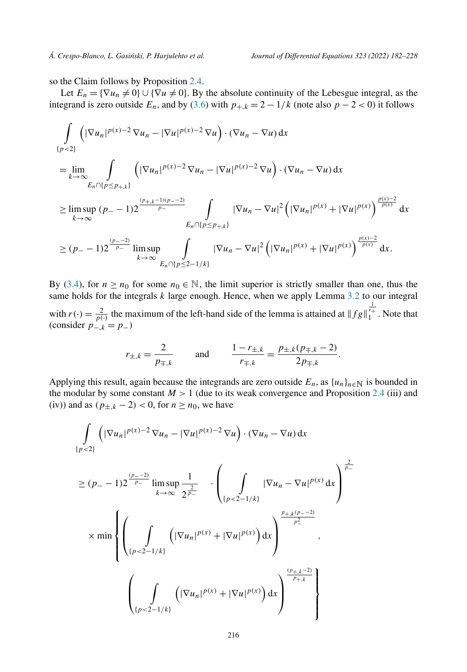so the Claim follows by Proposition [2.4.](#page-7-0)

Let  $E_n = {\nabla u_n \neq 0} \cup {\nabla u \neq 0}$ . By the absolute continuity of the Lebesgue integral, as the integrand is zero outside  $E_n$ , and by [\(3.6\)](#page-33-0) with  $p_{+,k} = 2 - 1/k$  (note also  $p - 2 < 0$ ) it follows

$$
\int_{\{p<2\}} \left( |\nabla u_n|^{p(x)-2} \nabla u_n - |\nabla u|^{p(x)-2} \nabla u \right) \cdot (\nabla u_n - \nabla u) \, dx
$$
\n
$$
= \lim_{k \to \infty} \int_{E_n \cap \{p \le p_{+,k}\}} \left( |\nabla u_n|^{p(x)-2} \nabla u_n - |\nabla u|^{p(x)-2} \nabla u \right) \cdot (\nabla u_n - \nabla u) \, dx
$$
\n
$$
\ge \limsup_{k \to \infty} (p_- - 1) 2^{\frac{(p_{+,k}-1)(p_--2)}{p_-}} \int_{E_n \cap \{p \le p_{+,k}\}} |\nabla u_n - \nabla u|^2 \left( |\nabla u_n|^{p(x)} + |\nabla u|^{p(x)} \right)^{\frac{p(x)-2}{p(x)}} \, dx
$$
\n
$$
\ge (p_- - 1) 2^{\frac{(p_--2)}{p_-}} \limsup_{k \to \infty} \int_{E_n \cap \{p \le 2-1/k\}} |\nabla u_n - \nabla u|^2 \left( |\nabla u_n|^{p(x)} + |\nabla u|^{p(x)} \right)^{\frac{p(x)-2}{p(x)}} \, dx.
$$

By ([3.4](#page-33-0)), for  $n \ge n_0$  for some  $n_0 \in \mathbb{N}$ , the limit superior is strictly smaller than one, thus the same holds for the integrals *k* large enough. Hence, when we apply Lemma [3.2](#page-31-0) to our integral with  $r(\cdot) = \frac{2}{p(\cdot)}$  the maximum of the left-hand side of the lemma is attained at  $||fg||_1^{\frac{1}{r_+}}$ . Note that (consider  $p_{-,k}^{\text{'}\times}(=p_{-})$ 

$$
r_{\pm,k} = \frac{2}{p_{\mp,k}}
$$
 and  $\frac{1 - r_{\pm,k}}{r_{\mp,k}} = \frac{p_{\pm,k}(p_{\mp,k} - 2)}{2p_{\mp,k}}.$ 

Applying this result, again because the integrands are zero outside  $E_n$ , as  $\{u_n\}_{n\in\mathbb{N}}$  is bounded in the modular by some constant  $M > 1$  (due to its weak convergence and Proposition [2.4](#page-7-0) (iii) and (iv)) and as  $(p_{\pm,k} - 2)$  < 0, for *n* ≥ *n*<sub>0</sub>, we have

$$
\int_{\{p<2\}} \left( |\nabla u_n|^{p(x)-2} \nabla u_n - |\nabla u|^{p(x)-2} \nabla u \right) \cdot (\nabla u_n - \nabla u) \, dx
$$
\n
$$
\ge (p_- - 1) 2^{\frac{(p_--2)}{p_-}} \limsup_{k \to \infty} \frac{1}{2^{\frac{2}{p_-}}} \cdot \left( \int_{\{p<2-1/k\}} |\nabla u_n - \nabla u|^{p(x)} \, dx \right)^{\frac{2}{p_-}} \times \min \left\{ \left( \int_{\{p<2-1/k\}} \left( |\nabla u_n|^{p(x)} + |\nabla u|^{p(x)} \right) \, dx \right)^{\frac{p_{+,k}(p_--2)}{p_-^2}} \right\}
$$
\n
$$
\left( \int_{\{p<2-1/k\}} \left( |\nabla u_n|^{p(x)} + |\nabla u|^{p(x)} \right) \, dx \right)^{\frac{(p_{+,k}-2)}{p_{+,k}}} \right\}
$$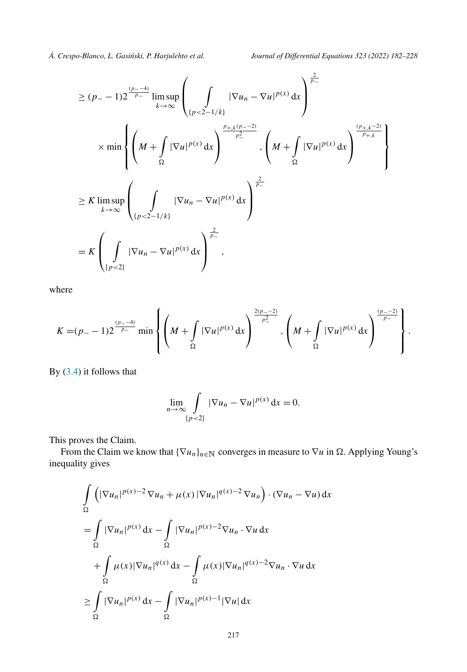$$
\geq (p_{-} - 1)2^{\frac{(p_{-} - 4)}{p_{-}}} \limsup_{k \to \infty} \left( \int_{\{p < 2 - 1/k\}} |\nabla u_{n} - \nabla u|^{p(x)} dx \right)^{\frac{2}{p_{-}}} \times \min \left\{ \left( M + \int_{\Omega} |\nabla u|^{p(x)} dx \right)^{\frac{p_{+,k}(p_{-} - 2)}{p_{-}^{2}}}, \left( M + \int_{\Omega} |\nabla u|^{p(x)} dx \right)^{\frac{(p_{+,k} - 2)}{p_{+,k}}} \right\}
$$
\n
$$
\geq K \limsup_{k \to \infty} \left( \int_{\{p < 2 - 1/k\}} |\nabla u_{n} - \nabla u|^{p(x)} dx \right)^{\frac{2}{p_{-}}}
$$
\n
$$
= K \left( \int_{\{p < 2\}} |\nabla u_{n} - \nabla u|^{p(x)} dx \right)^{\frac{2}{p_{-}}},
$$

where

$$
K = (p_{-} - 1)2^{\frac{(p_{-} - 4)}{p_{-}}} \min \left\{ \left( M + \int_{\Omega} |\nabla u|^{p(x)} dx \right)^{\frac{2(p_{-} - 2)}{p_{-}^{2}}}, \left( M + \int_{\Omega} |\nabla u|^{p(x)} dx \right)^{\frac{(p_{-} - 2)}{p_{-}}} \right\}.
$$

By [\(3.4\)](#page-33-0) it follows that

$$
\lim_{n \to \infty} \int\limits_{\{p < 2\}} |\nabla u_n - \nabla u|^{p(x)} \, \mathrm{d}x = 0.
$$

This proves the Claim.

From the Claim we know that  $\{\nabla u_n\}_{n\in\mathbb{N}}$  converges in measure to  $\nabla u$  in  $\Omega$ . Applying Young's inequality gives

$$
\int_{\Omega} \left( |\nabla u_n|^{p(x)-2} \nabla u_n + \mu(x) |\nabla u_n|^{q(x)-2} \nabla u_n \right) \cdot (\nabla u_n - \nabla u) dx
$$
\n
$$
= \int_{\Omega} |\nabla u_n|^{p(x)} dx - \int_{\Omega} |\nabla u_n|^{p(x)-2} \nabla u_n \cdot \nabla u dx
$$
\n
$$
+ \int_{\Omega} \mu(x) |\nabla u_n|^{q(x)} dx - \int_{\Omega} \mu(x) |\nabla u_n|^{q(x)-2} \nabla u_n \cdot \nabla u dx
$$
\n
$$
\geq \int_{\Omega} |\nabla u_n|^{p(x)} dx - \int_{\Omega} |\nabla u_n|^{p(x)-1} |\nabla u| dx
$$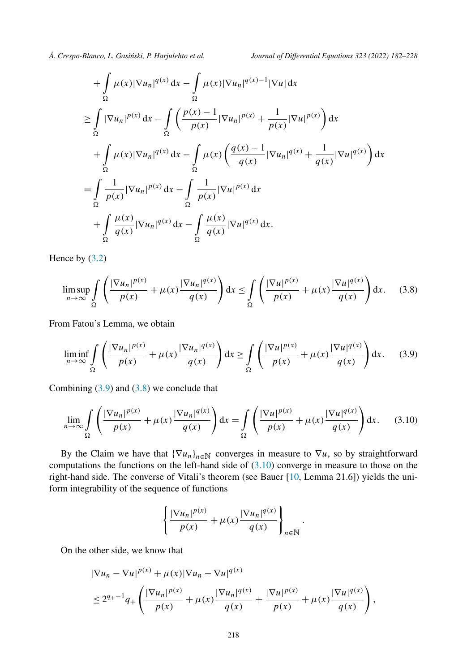$$
+\int_{\Omega} \mu(x)|\nabla u_n|^{q(x)} dx - \int_{\Omega} \mu(x)|\nabla u_n|^{q(x)-1}|\nabla u| dx
$$
  
\n
$$
\geq \int_{\Omega} |\nabla u_n|^{p(x)} dx - \int_{\Omega} \left( \frac{p(x)-1}{p(x)} |\nabla u_n|^{p(x)} + \frac{1}{p(x)} |\nabla u|^{p(x)} \right) dx
$$
  
\n
$$
+ \int_{\Omega} \mu(x)|\nabla u_n|^{q(x)} dx - \int_{\Omega} \mu(x) \left( \frac{q(x)-1}{q(x)} |\nabla u_n|^{q(x)} + \frac{1}{q(x)} |\nabla u|^{q(x)} \right) dx
$$
  
\n
$$
= \int_{\Omega} \frac{1}{p(x)} |\nabla u_n|^{p(x)} dx - \int_{\Omega} \frac{1}{p(x)} |\nabla u|^{p(x)} dx
$$
  
\n
$$
+ \int_{\Omega} \frac{\mu(x)}{q(x)} |\nabla u_n|^{q(x)} dx - \int_{\Omega} \frac{\mu(x)}{q(x)} |\nabla u|^{q(x)} dx.
$$

Hence by [\(3.2\)](#page-33-0)

$$
\limsup_{n \to \infty} \int_{\Omega} \left( \frac{|\nabla u_n|^{p(x)}}{p(x)} + \mu(x) \frac{|\nabla u_n|^{q(x)}}{q(x)} \right) dx \le \int_{\Omega} \left( \frac{|\nabla u|^{p(x)}}{p(x)} + \mu(x) \frac{|\nabla u|^{q(x)}}{q(x)} \right) dx. \tag{3.8}
$$

From Fatou's Lemma, we obtain

$$
\liminf_{n \to \infty} \int_{\Omega} \left( \frac{|\nabla u_n|^{p(x)}}{p(x)} + \mu(x) \frac{|\nabla u_n|^{q(x)}}{q(x)} \right) dx \ge \int_{\Omega} \left( \frac{|\nabla u|^{p(x)}}{p(x)} + \mu(x) \frac{|\nabla u|^{q(x)}}{q(x)} \right) dx. \tag{3.9}
$$

Combining  $(3.9)$  and  $(3.8)$  we conclude that

$$
\lim_{n \to \infty} \int_{\Omega} \left( \frac{|\nabla u_n|^{p(x)}}{p(x)} + \mu(x) \frac{|\nabla u_n|^{q(x)}}{q(x)} \right) dx = \int_{\Omega} \left( \frac{|\nabla u|^{p(x)}}{p(x)} + \mu(x) \frac{|\nabla u|^{q(x)}}{q(x)} \right) dx. \tag{3.10}
$$

By the Claim we have that  ${\nabla u_n}_{n \in \mathbb{N}}$  converges in measure to  $\nabla u$ , so by straightforward computations the functions on the left-hand side of (3.10) converge in measure to those on the right-hand side. The converse of Vitali's theorem (see Bauer [[10,](#page-44-0) Lemma 21.6]) yields the uniform integrability of the sequence of functions

$$
\left\{\frac{|\nabla u_n|^{p(x)}}{p(x)} + \mu(x)\frac{|\nabla u_n|^{q(x)}}{q(x)}\right\}_{n\in\mathbb{N}}
$$

*.*

On the other side, we know that

$$
\begin{aligned} |\nabla u_n - \nabla u|^{p(x)} + \mu(x) |\nabla u_n - \nabla u|^{q(x)} \\ &\le 2^{q_+ - 1} q_+ \left( \frac{|\nabla u_n|^{p(x)}}{p(x)} + \mu(x) \frac{|\nabla u_n|^{q(x)}}{q(x)} + \frac{|\nabla u|^{p(x)}}{p(x)} + \mu(x) \frac{|\nabla u|^{q(x)}}{q(x)} \right), \end{aligned}
$$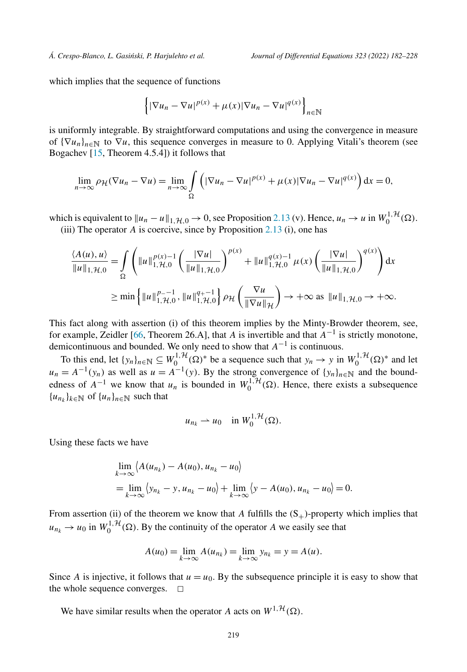which implies that the sequence of functions

$$
\left\{|\nabla u_n - \nabla u|^{p(x)} + \mu(x)|\nabla u_n - \nabla u|^{q(x)}\right\}_{n\in\mathbb{N}}
$$

is uniformly integrable. By straightforward computations and using the convergence in measure of  $\{\nabla u_n\}_{n\in\mathbb{N}}$  to  $\nabla u$ , this sequence converges in measure to 0. Applying Vitali's theorem (see Bogachev [[15,](#page-44-0) Theorem 4.5.4]) it follows that

$$
\lim_{n\to\infty}\rho_{\mathcal{H}}(\nabla u_n-\nabla u)=\lim_{n\to\infty}\int\limits_{\Omega}\left(|\nabla u_n-\nabla u|^{p(x)}+\mu(x)|\nabla u_n-\nabla u|^{q(x)}\right)dx=0,
$$

which is equivalent to  $||u_n - u||_{1, \mathcal{H},0} \to 0$ , see Proposition [2.13](#page-12-0) (v). Hence,  $u_n \to u$  in  $W_0^{1, \mathcal{H}}(\Omega)$ . (iii) The operator *A* is coercive, since by Proposition [2.13](#page-12-0) (i), one has

$$
\frac{\langle A(u), u \rangle}{\|u\|_{1, \mathcal{H}, 0}} = \int_{\Omega} \left( \|u\|_{1, \mathcal{H}, 0}^{p(x)-1} \left( \frac{|\nabla u|}{\|u\|_{1, \mathcal{H}, 0}} \right)^{p(x)} + \|u\|_{1, \mathcal{H}, 0}^{q(x)-1} \mu(x) \left( \frac{|\nabla u|}{\|u\|_{1, \mathcal{H}, 0}} \right)^{q(x)} \right) dx
$$
  
\n
$$
\geq \min \left\{ \|u\|_{1, \mathcal{H}, 0}^{p(x)-1}, \|u\|_{1, \mathcal{H}, 0}^{q(x)-1} \right\} \rho_{\mathcal{H}} \left( \frac{\nabla u}{\|\nabla u\|_{\mathcal{H}}} \right) \to +\infty \text{ as } \|u\|_{1, \mathcal{H}, 0} \to +\infty.
$$

This fact along with assertion (i) of this theorem implies by the Minty-Browder theorem, see, for example, Zeidler [\[66](#page-46-0), Theorem 26.A], that *A* is invertible and that  $A^{-1}$  is strictly monotone, demicontinuous and bounded. We only need to show that *A*−<sup>1</sup> is continuous.

To this end, let  $\{y_n\}_{n\in\mathbb{N}} \subseteq W_0^{1,\mathcal{H}}(\Omega)^*$  be a sequence such that  $y_n \to y$  in  $W_0^{1,\mathcal{H}}(\Omega)^*$  and let  $u_n = A^{-1}(y_n)$  as well as  $u = A^{-1}(y)$ . By the strong convergence of  $\{y_n\}_{n \in \mathbb{N}}$  and the boundedness of  $A^{-1}$  we know that  $u_n$  is bounded in  $W_0^{1, H}(\Omega)$ . Hence, there exists a subsequence  ${u_n}_{k \in \mathbb{N}}$  of  ${u_n}_{n \in \mathbb{N}}$  such that

$$
u_{n_k} \rightharpoonup u_0 \quad \text{in } W_0^{1, \mathcal{H}}(\Omega).
$$

Using these facts we have

$$
\lim_{k \to \infty} \langle A(u_{n_k}) - A(u_0), u_{n_k} - u_0 \rangle
$$
  
= 
$$
\lim_{k \to \infty} \langle y_{n_k} - y, u_{n_k} - u_0 \rangle + \lim_{k \to \infty} \langle y - A(u_0), u_{n_k} - u_0 \rangle = 0.
$$

From assertion (ii) of the theorem we know that *A* fulfills the  $(S_+)$ -property which implies that  $u_{n_k} \to u_0$  in  $W_0^{1, \mathcal{H}}(\Omega)$ . By the continuity of the operator *A* we easily see that

$$
A(u_0) = \lim_{k \to \infty} A(u_{n_k}) = \lim_{k \to \infty} y_{n_k} = y = A(u).
$$

Since *A* is injective, it follows that  $u = u_0$ . By the subsequence principle it is easy to show that the whole sequence converges.  $\Box$ 

We have similar results when the operator *A* acts on  $W^{1, \mathcal{H}}(\Omega)$ .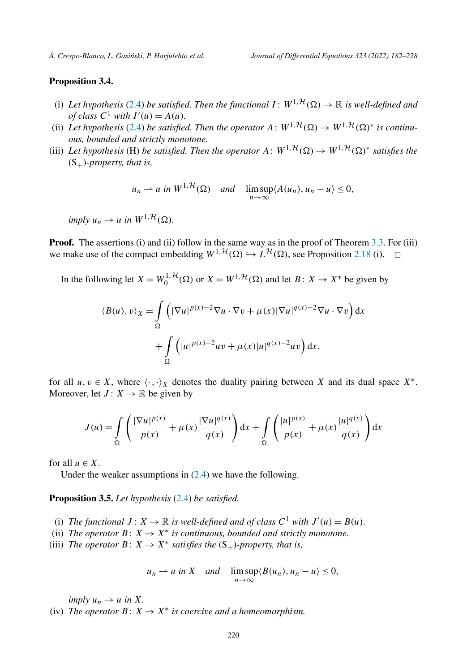# **Proposition 3.4.**

- (i) Let hypothesis [\(2.4](#page-10-0)) be satisfied. Then the functional  $I: W^{1,\mathcal{H}}(\Omega) \to \mathbb{R}$  is well-defined and *of* class  $C^1$  *with*  $I'(u) = A(u)$ *.*
- (ii) Let hypothesis ([2.4](#page-10-0)) be satisfied. Then the operator  $A: W^{1, H}(\Omega) \to W^{1, H}(\Omega)^*$  is continu*ous, bounded and strictly monotone.*
- (iii) Let hypothesis (H) be satisfied. Then the operator  $A: W^{1, H}(\Omega) \to W^{1, H}(\Omega)^*$  satisfies the  $(S_+)$ *-property, that is,*

$$
u_n \rightharpoonup u
$$
 in  $W^{1,\mathcal{H}}(\Omega)$  and  $\limsup_{n \to \infty} \langle A(u_n), u_n - u \rangle \leq 0$ ,

 $imply u_n \rightarrow u \text{ in } W^{1, \mathcal{H}}(\Omega).$ 

**Proof.** The assertions (i) and (ii) follow in the same way as in the proof of Theorem [3.3.](#page-31-0) For (iii) we make use of the compact embedding  $W^{1, H}(\Omega) \hookrightarrow L^{\mathcal{H}}(\Omega)$ , see Proposition [2.18](#page-17-0) (i).  $\Box$ 

In the following let  $X = W_0^{1, H}(\Omega)$  or  $X = W^{1, H}(\Omega)$  and let  $B: X \to X^*$  be given by

$$
\langle B(u), v \rangle_X = \int_{\Omega} \left( |\nabla u|^{p(x)-2} \nabla u \cdot \nabla v + \mu(x) |\nabla u|^{q(x)-2} \nabla u \cdot \nabla v \right) dx
$$

$$
+ \int_{\Omega} \left( |u|^{p(x)-2} uv + \mu(x) |u|^{q(x)-2} uv \right) dx,
$$

for all  $u, v \in X$ , where  $\langle \cdot, \cdot \rangle_X$  denotes the duality pairing between *X* and its dual space  $X^*$ . Moreover, let  $J: X \to \mathbb{R}$  be given by

$$
J(u) = \int_{\Omega} \left( \frac{|\nabla u|^{p(x)}}{p(x)} + \mu(x) \frac{|\nabla u|^{q(x)}}{q(x)} \right) dx + \int_{\Omega} \left( \frac{|u|^{p(x)}}{p(x)} + \mu(x) \frac{|u|^{q(x)}}{q(x)} \right) dx
$$

for all  $u \in X$ .

Under the weaker assumptions in  $(2.4)$  we have the following.

**Proposition 3.5.** *Let hypothesis* ([2.4](#page-10-0)) *be satisfied.*

- (i) *The functional*  $J: X \to \mathbb{R}$  *is well-defined and of class*  $C^1$  *with*  $J'(u) = B(u)$ *.*
- (ii) *The operator*  $B: X \to X^*$  *is continuous, bounded and strictly monotone.*
- (iii) *The operator*  $B: X \to X^*$  *satisfies the*  $(S_+)$ *-property, that is,*

$$
u_n \rightharpoonup u
$$
 in X and  $\limsup_{n \to \infty} \langle B(u_n), u_n - u \rangle \leq 0$ ,

*imply*  $u_n \to u$  *in*  $X$ *.* 

(iv) *The operator*  $B: X \to X^*$  *is coercive and a homeomorphism.*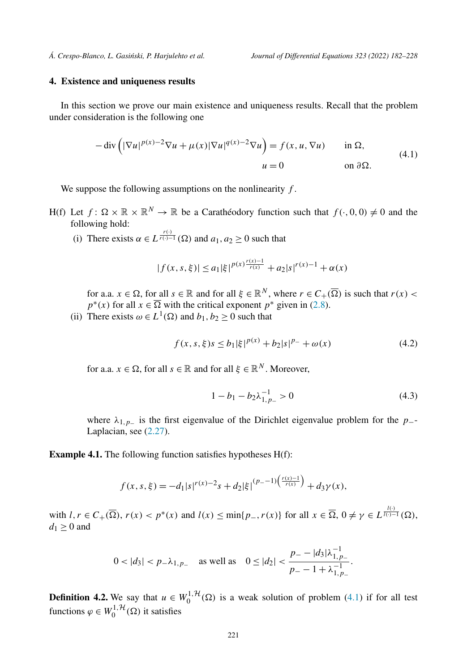# <span id="page-39-0"></span>**4. Existence and uniqueness results**

In this section we prove our main existence and uniqueness results. Recall that the problem under consideration is the following one

$$
-\operatorname{div}\left(|\nabla u|^{p(x)-2}\nabla u + \mu(x)|\nabla u|^{q(x)-2}\nabla u\right) = f(x, u, \nabla u) \quad \text{in } \Omega,
$$
\n
$$
u = 0 \quad \text{on } \partial\Omega.
$$
\n(4.1)

We suppose the following assumptions on the nonlinearity *f* .

- H(f) Let  $f: \Omega \times \mathbb{R} \times \mathbb{R}^N \to \mathbb{R}$  be a Carathéodory function such that  $f(\cdot, 0, 0) \neq 0$  and the following hold:
	- (i) There exists  $\alpha \in L^{\frac{r(\cdot)}{r(\cdot)-1}}(\Omega)$  and  $a_1, a_2 \ge 0$  such that

$$
|f(x, s, \xi)| \le a_1 |\xi|^{p(x)\frac{r(x)-1}{r(x)}} + a_2 |s|^{r(x)-1} + \alpha(x)
$$

for a.a.  $x \in \Omega$ , for all  $s \in \mathbb{R}$  and for all  $\xi \in \mathbb{R}^N$ , where  $r \in C_+(\overline{\Omega})$  is such that  $r(x)$  $p^*(x)$  for all  $x \in \overline{\Omega}$  with the critical exponent  $p^*$  given in ([2.8](#page-14-0)).

(ii) There exists  $\omega \in L^1(\Omega)$  and  $b_1, b_2 \ge 0$  such that

$$
f(x, s, \xi)s \le b_1 |\xi|^{p(x)} + b_2 |s|^{p_-} + \omega(x) \tag{4.2}
$$

for a.a.  $x \in \Omega$ , for all  $s \in \mathbb{R}$  and for all  $\xi \in \mathbb{R}^N$ . Moreover,

$$
1 - b_1 - b_2 \lambda_{1, p}^{-1} > 0 \tag{4.3}
$$

where  $\lambda_{1,p_-\}$  is the first eigenvalue of the Dirichlet eigenvalue problem for the *p*<sub>−</sub>-Laplacian, see ([2.27](#page-28-0)).

**Example 4.1.** The following function satisfies hypotheses H(f):

$$
f(x, s, \xi) = -d_1|s|^{r(x)-2} s + d_2|\xi|^{(p_--1)\left(\frac{r(x)-1}{r(x)}\right)} + d_3\gamma(x),
$$

with  $l, r \in C_+(\overline{\Omega})$ ,  $r(x) < p^*(x)$  and  $l(x) \le \min\{p_-, r(x)\}\$ for all  $x \in \overline{\Omega}$ ,  $0 \ne \gamma \in L^{\frac{l(\cdot)}{l(\cdot)-1}}(\Omega)$ ,  $d_1 \geq 0$  and

$$
0 < |d_3| < p_-\lambda_{1,p_-}
$$
 as well as 
$$
0 \le |d_2| < \frac{p_- - |d_3|\lambda_{1,p_-}^{-1}}{p_- - 1 + \lambda_{1,p_-}^{-1}}.
$$

**Definition 4.2.** We say that  $u \in W_0^{1, H}(\Omega)$  is a weak solution of problem (4.1) if for all test functions  $\varphi \in W_0^{1, \mathcal{H}}(\Omega)$  it satisfies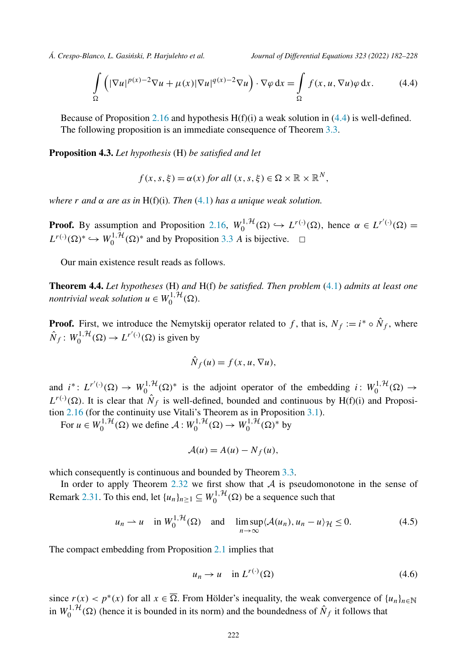<span id="page-40-0"></span>

$$
\int_{\Omega} \left( |\nabla u|^{p(x)-2} \nabla u + \mu(x) |\nabla u|^{q(x)-2} \nabla u \right) \cdot \nabla \varphi \, dx = \int_{\Omega} f(x, u, \nabla u) \varphi \, dx. \tag{4.4}
$$

Because of Proposition [2.16](#page-14-0) and hypothesis  $H(f)(i)$  a weak solution in (4.4) is well-defined. The following proposition is an immediate consequence of Theorem [3.3](#page-31-0).

**Proposition 4.3.** *Let hypothesis* (H) *be satisfied and let*

$$
f(x, s, \xi) = \alpha(x) \text{ for all } (x, s, \xi) \in \Omega \times \mathbb{R} \times \mathbb{R}^N,
$$

*where r and α are as in* H(f)(i)*. Then* ([4.1](#page-39-0)) *has a unique weak solution.*

**Proof.** By assumption and Proposition [2.16](#page-14-0),  $W_0^{1, H}(\Omega) \hookrightarrow L^{r(\cdot)}(\Omega)$ , hence  $\alpha \in L^{r'(\cdot)}(\Omega) =$  $L^{r(\cdot)}(\Omega)^* \hookrightarrow W_0^{1,1}(\Omega)^*$  and by Proposition [3.3](#page-31-0) *A* is bijective.  $\Box$ 

Our main existence result reads as follows.

**Theorem 4.4.** *Let hypotheses* (H) *and* H(f) *be satisfied. Then problem* [\(4.1\)](#page-39-0) *admits at least one nontrivial weak solution*  $u \in W_0^{1, \mathcal{H}}(\Omega)$ *.* 

**Proof.** First, we introduce the Nemytskij operator related to f, that is,  $N_f := i^* \circ \hat{N}_f$ , where  $\hat{N}_f$ :  $W_0^{1, \mathcal{H}}(\Omega) \to L^{r'(\cdot)}(\Omega)$  is given by

$$
\hat{N}_f(u) = f(x, u, \nabla u),
$$

and  $i^*$ :  $L^{r'(\cdot)}(\Omega) \to W_0^{1,\mathcal{H}}(\Omega)^*$  is the adjoint operator of the embedding  $i: W_0^{1,\mathcal{H}}(\Omega) \to$  $L^{r(\cdot)}(\Omega)$ . It is clear that  $\hat{N}_f$  is well-defined, bounded and continuous by H(f)(i) and Proposition [2.16](#page-14-0) (for the continuity use Vitali's Theorem as in Proposition [3.1\)](#page-29-0).

For  $u \in W_0^{1, H}(\Omega)$  we define  $A: W_0^{1, H}(\Omega) \to W_0^{1, H}(\Omega)^*$  by

$$
\mathcal{A}(u) = A(u) - N_f(u),
$$

which consequently is continuous and bounded by Theorem [3.3.](#page-31-0)

In order to apply Theorem  $2.32$  we first show that  $A$  is pseudomonotone in the sense of Remark [2.31](#page-29-0). To this end, let  $\{u_n\}_{n\geq 1} \subseteq W_0^{1, H}(\Omega)$  be a sequence such that

$$
u_n \rightharpoonup u \quad \text{in } W_0^{1, \mathcal{H}}(\Omega) \quad \text{and} \quad \limsup_{n \to \infty} \langle \mathcal{A}(u_n), u_n - u \rangle_{\mathcal{H}} \le 0. \tag{4.5}
$$

The compact embedding from Proposition [2.1](#page-6-0) implies that

$$
u_n \to u \quad \text{in } L^{r(\cdot)}(\Omega) \tag{4.6}
$$

since  $r(x) < p^*(x)$  for all  $x \in \overline{\Omega}$ . From Hölder's inequality, the weak convergence of  $\{u_n\}_{n\in\mathbb{N}}$ in  $W_0^{1, H}(\Omega)$  (hence it is bounded in its norm) and the boundedness of  $\hat{N}_f$  it follows that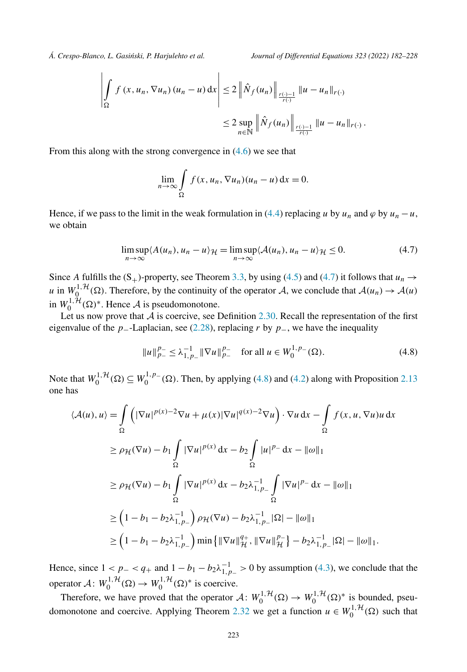$$
\left| \int_{\Omega} f(x, u_n, \nabla u_n) (u_n - u) dx \right| \leq 2 \left\| \hat{N}_f(u_n) \right\|_{\frac{r(\cdot) - 1}{r(\cdot)}} \|u - u_n\|_{r(\cdot)}
$$
  

$$
\leq 2 \sup_{n \in \mathbb{N}} \left\| \hat{N}_f(u_n) \right\|_{\frac{r(\cdot) - 1}{r(\cdot)}} \|u - u_n\|_{r(\cdot)}.
$$

From this along with the strong convergence in [\(4.6\)](#page-40-0) we see that

$$
\lim_{n \to \infty} \int_{\Omega} f(x, u_n, \nabla u_n)(u_n - u) \, \mathrm{d}x = 0.
$$

Hence, if we pass to the limit in the weak formulation in [\(4.4\)](#page-40-0) replacing *u* by  $u_n$  and  $\varphi$  by  $u_n - u$ , we obtain

$$
\limsup_{n \to \infty} \langle A(u_n), u_n - u \rangle \mathcal{H} = \limsup_{n \to \infty} \langle A(u_n), u_n - u \rangle \mathcal{H} \le 0.
$$
 (4.7)

Since *A* fulfills the  $(S_+)$ -property, see Theorem [3.3,](#page-31-0) by using [\(4.5\)](#page-40-0) and (4.7) it follows that  $u_n \rightarrow$ *u* in  $W_0^{1, H}(\Omega)$ . Therefore, by the continuity of the operator A, we conclude that  $A(u_n) \to A(u)$ in  $W_0^{1, H}(\Omega)$ <sup>\*</sup>. Hence A is pseudomonotone.

Let us now prove that A is coercive, see Definition [2.30](#page-28-0). Recall the representation of the first eigenvalue of the *p*−-Laplacian, see ([2.28](#page-28-0)), replacing *r* by *p*−, we have the inequality

$$
||u||_{p_{-}}^{p_{-}} \leq \lambda_{1,p_{-}}^{-1} ||\nabla u||_{p_{-}}^{p_{-}} \quad \text{for all } u \in W_0^{1,p_{-}}(\Omega). \tag{4.8}
$$

Note that  $W_0^{1, H}(\Omega) \subseteq W_0^{1, p-}(\Omega)$ . Then, by applying (4.8) and [\(4.2\)](#page-39-0) along with Proposition [2.13](#page-12-0) one has

$$
\langle A(u), u \rangle = \int_{\Omega} \left( |\nabla u|^{p(x)-2} \nabla u + \mu(x) |\nabla u|^{q(x)-2} \nabla u \right) \cdot \nabla u \, dx - \int_{\Omega} f(x, u, \nabla u) u \, dx
$$
  
\n
$$
\ge \rho_{\mathcal{H}}(\nabla u) - b_1 \int_{\Omega} |\nabla u|^{p(x)} \, dx - b_2 \int_{\Omega} |u|^{p_-} \, dx - ||\omega||_1
$$
  
\n
$$
\ge \rho_{\mathcal{H}}(\nabla u) - b_1 \int_{\Omega} |\nabla u|^{p(x)} \, dx - b_2 \lambda_{1, p_-}^{-1} \int_{\Omega} |\nabla u|^{p_-} \, dx - ||\omega||_1
$$
  
\n
$$
\ge \left( 1 - b_1 - b_2 \lambda_{1, p_-}^{-1} \right) \rho_{\mathcal{H}}(\nabla u) - b_2 \lambda_{1, p_-}^{-1} |\Omega| - ||\omega||_1
$$
  
\n
$$
\ge \left( 1 - b_1 - b_2 \lambda_{1, p_-}^{-1} \right) \min \{ ||\nabla u||_{\mathcal{H}}^{q_+}, ||\nabla u||_{\mathcal{H}}^{p_-} \} - b_2 \lambda_{1, p_-}^{-1} |\Omega| - ||\omega||_1.
$$

Hence, since  $1 < p_-\lt q_+$  and  $1 - b_1 - b_2\lambda_{1,p_-}^{-1} > 0$  by assumption ([4.3](#page-39-0)), we conclude that the operator  $A: W_0^{1, \mathcal{H}}(\Omega) \to W_0^{1, \mathcal{H}}(\Omega)^*$  is coercive.

Therefore, we have proved that the operator  $A: W_0^{1, H}(\Omega) \to W_0^{1, H}(\Omega)^*$  is bounded, pseu-domonotone and coercive. Applying Theorem [2.32](#page-29-0) we get a function  $u \in W_0^{1, H}(\Omega)$  such that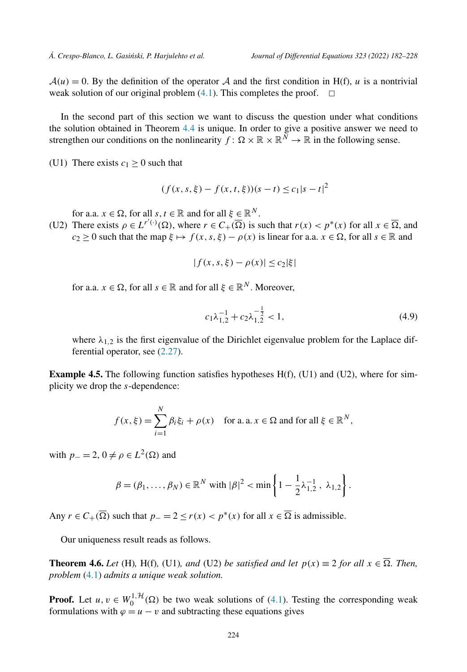<span id="page-42-0"></span> $A(u) = 0$ . By the definition of the operator A and the first condition in H(f), u is a nontrivial weak solution of our original problem  $(4.1)$  $(4.1)$  $(4.1)$ . This completes the proof.  $\Box$ 

In the second part of this section we want to discuss the question under what conditions the solution obtained in Theorem [4.4](#page-40-0) is unique. In order to give a positive answer we need to strengthen our conditions on the nonlinearity  $f: \Omega \times \mathbb{R} \times \mathbb{R}^N \to \mathbb{R}$  in the following sense.

(U1) There exists  $c_1 > 0$  such that

$$
(f(x, s, \xi) - f(x, t, \xi))(s - t) \le c_1|s - t|^2
$$

for a.a.  $x \in \Omega$ , for all  $s, t \in \mathbb{R}$  and for all  $\xi \in \mathbb{R}^N$ .

(U2) There exists  $\rho \in L^{r'(\cdot)}(\Omega)$ , where  $r \in C_+(\overline{\Omega})$  is such that  $r(x) < p^*(x)$  for all  $x \in \overline{\Omega}$ , and *c*<sub>2</sub> ≥ 0 such that the map  $\xi \mapsto f(x, s, \xi) - \rho(x)$  is linear for a.a.  $x \in \Omega$ , for all  $s \in \mathbb{R}$  and

$$
|f(x, s, \xi) - \rho(x)| \leq c_2 |\xi|
$$

for a.a.  $x \in \Omega$ , for all  $s \in \mathbb{R}$  and for all  $\xi \in \mathbb{R}^N$ . Moreover,

$$
c_1 \lambda_{1,2}^{-1} + c_2 \lambda_{1,2}^{-\frac{1}{2}} < 1,\tag{4.9}
$$

where  $\lambda_{1,2}$  is the first eigenvalue of the Dirichlet eigenvalue problem for the Laplace differential operator, see [\(2.27\)](#page-28-0).

**Example 4.5.** The following function satisfies hypotheses H(f), (U1) and (U2), where for simplicity we drop the *s*-dependence:

$$
f(x,\xi) = \sum_{i=1}^{N} \beta_i \xi_i + \rho(x) \quad \text{for a. a. } x \in \Omega \text{ and for all } \xi \in \mathbb{R}^N,
$$

with  $p_-=2$ ,  $0 \neq \rho \in L^2(\Omega)$  and

$$
\beta = (\beta_1, ..., \beta_N) \in \mathbb{R}^N \text{ with } |\beta|^2 < \min \left\{ 1 - \frac{1}{2} \lambda_{1,2}^{-1}, \lambda_{1,2} \right\}.
$$

Any  $r \in C_+(\overline{\Omega})$  such that  $p_-=2 \le r(x) < p^*(x)$  for all  $x \in \overline{\Omega}$  is admissible.

Our uniqueness result reads as follows.

**Theorem 4.6.** *Let* (H), H(f), (U1), and (U2) *be satisfied and let*  $p(x) \equiv 2$  *for all*  $x \in \overline{\Omega}$ *. Then, problem* [\(4.1\)](#page-39-0) *admits a unique weak solution.*

**Proof.** Let  $u, v \in W_0^{1, H}(\Omega)$  be two weak solutions of [\(4.1\)](#page-39-0). Testing the corresponding weak formulations with  $\varphi = u - v$  and subtracting these equations gives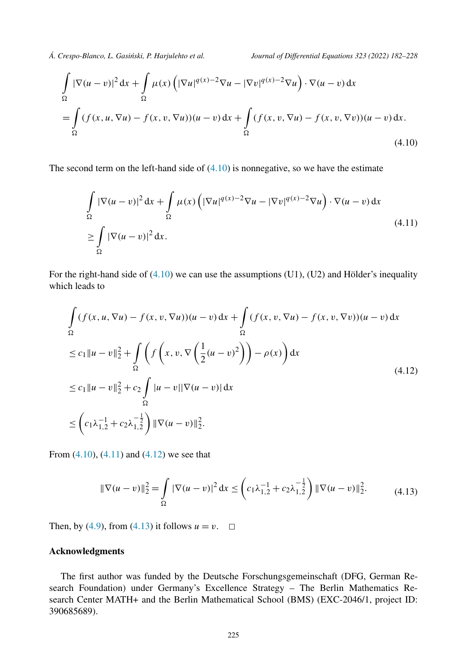$$
\int_{\Omega} |\nabla(u-v)|^2 dx + \int_{\Omega} \mu(x) \left( |\nabla u|^{q(x)-2} \nabla u - |\nabla v|^{q(x)-2} \nabla u \right) \cdot \nabla(u-v) dx
$$
\n
$$
= \int_{\Omega} (f(x, u, \nabla u) - f(x, v, \nabla u))(u-v) dx + \int_{\Omega} (f(x, v, \nabla u) - f(x, v, \nabla v))(u-v) dx.
$$
\n(4.10)

The second term on the left-hand side of  $(4.10)$  is nonnegative, so we have the estimate

$$
\int_{\Omega} |\nabla(u-v)|^2 dx + \int_{\Omega} \mu(x) \left( |\nabla u|^{q(x)-2} \nabla u - |\nabla v|^{q(x)-2} \nabla u \right) \cdot \nabla(u-v) dx
$$
\n
$$
\geq \int_{\Omega} |\nabla(u-v)|^2 dx.
$$
\n(4.11)

For the right-hand side of  $(4.10)$  we can use the assumptions (U1), (U2) and Hölder's inequality which leads to

$$
\int_{\Omega} (f(x, u, \nabla u) - f(x, v, \nabla u))(u - v) dx + \int_{\Omega} (f(x, v, \nabla u) - f(x, v, \nabla v))(u - v) dx
$$
\n
$$
\leq c_1 \|u - v\|_2^2 + \int_{\Omega} \left( f\left(x, v, \nabla \left(\frac{1}{2}(u - v)^2\right)\right) - \rho(x) \right) dx
$$
\n
$$
\leq c_1 \|u - v\|_2^2 + c_2 \int_{\Omega} |u - v||\nabla (u - v)| dx
$$
\n
$$
\leq \left(c_1 \lambda_{1,2}^{-1} + c_2 \lambda_{1,2}^{-\frac{1}{2}}\right) \|\nabla (u - v)\|_2^2.
$$
\n(4.12)

From  $(4.10)$ ,  $(4.11)$  and  $(4.12)$  we see that

$$
\|\nabla(u-v)\|_2^2 = \int_{\Omega} |\nabla(u-v)|^2 dx \leq \left(c_1 \lambda_{1,2}^{-1} + c_2 \lambda_{1,2}^{-\frac{1}{2}}\right) \|\nabla(u-v)\|_2^2.
$$
 (4.13)

Then, by ([4.9](#page-42-0)), from (4.13) it follows  $u = v$ .  $\Box$ 

### **Acknowledgments**

The first author was funded by the Deutsche Forschungsgemeinschaft (DFG, German Research Foundation) under Germany's Excellence Strategy – The Berlin Mathematics Research Center MATH+ and the Berlin Mathematical School (BMS) (EXC-2046/1, project ID: 390685689).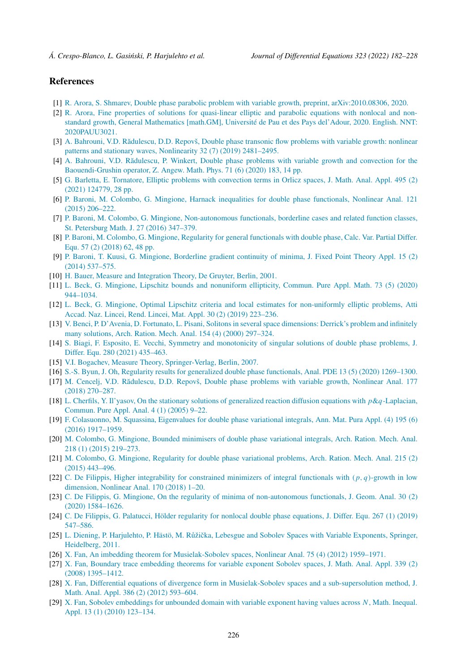#### <span id="page-44-0"></span>**References**

- [1] R. Arora, S. Shmarev, Double phase parabolic problem with variable growth, preprint, [arXiv:2010.08306,](http://refhub.elsevier.com/S0022-0396(22)00207-8/bib0BD561B2D4D7112721AD4EC97D6D45F7s1) 2020.
- [2] R. Arora, Fine properties of solutions for [quasi-linear](http://refhub.elsevier.com/S0022-0396(22)00207-8/bibE7783BC800F9AC359C35E7961830D611s1) elliptic and parabolic equations with nonlocal and nonstandard growth, General [Mathematics](http://refhub.elsevier.com/S0022-0396(22)00207-8/bibE7783BC800F9AC359C35E7961830D611s1) [math.GM], Université de Pau et des Pays del'Adour, 2020. English. NNT: [2020PAUU3021.](http://refhub.elsevier.com/S0022-0396(22)00207-8/bibE7783BC800F9AC359C35E7961830D611s1)
- [3] A. Bahrouni, V.D. Rădulescu, D.D. Repovš, Double phase transonic flow problems with variable growth: nonlinear patterns and stationary waves, [Nonlinearity](http://refhub.elsevier.com/S0022-0396(22)00207-8/bibA1F73E2C700372029EBE1731D09913CEs1) 32 (7) (2019) 2481–2495.
- [4] A. Bahrouni, V.D. Rădulescu, P. Winkert, Double phase problems with variable growth and convection for the [Baouendi-Grushin](http://refhub.elsevier.com/S0022-0396(22)00207-8/bib4B1E9B7C07A4A09BCFA655D15DC5A362s1) operator, Z. Angew. Math. Phys. 71 (6) (2020) 183, 14 pp.
- [5] G. Barletta, E. Tornatore, Elliptic problems with [convection](http://refhub.elsevier.com/S0022-0396(22)00207-8/bib6281C3B784416F63F919945AC757565Cs1) terms in Orlicz spaces, J. Math. Anal. Appl. 495 (2) (2021) [124779,](http://refhub.elsevier.com/S0022-0396(22)00207-8/bib6281C3B784416F63F919945AC757565Cs1) 28 pp.
- [6] P. Baroni, M. Colombo, G. Mingione, Harnack inequalities for double phase [functionals,](http://refhub.elsevier.com/S0022-0396(22)00207-8/bib8B1C3E8D71D67FEBEFF684812E2710F3s1) Nonlinear Anal. 121 (2015) [206–222.](http://refhub.elsevier.com/S0022-0396(22)00207-8/bib8B1C3E8D71D67FEBEFF684812E2710F3s1)
- [7] P. Baroni, M. Colombo, G. Mingione, [Non-autonomous](http://refhub.elsevier.com/S0022-0396(22)00207-8/bib0C9DE131465BAB784B8F886F23E7CBF4s1) functionals, borderline cases and related function classes, St. [Petersburg](http://refhub.elsevier.com/S0022-0396(22)00207-8/bib0C9DE131465BAB784B8F886F23E7CBF4s1) Math. J. 27 (2016) 347–379.
- [8] P. Baroni, M. Colombo, G. Mingione, Regularity for general [functionals](http://refhub.elsevier.com/S0022-0396(22)00207-8/bibB24C49D8440ED993BC2B4769467DD68Es1) with double phase, Calc. Var. Partial Differ. Equ. 57 (2) [\(2018\)](http://refhub.elsevier.com/S0022-0396(22)00207-8/bibB24C49D8440ED993BC2B4769467DD68Es1) 62, 48 pp.
- [9] P. Baroni, T. Kuusi, G. Mingione, [Borderline](http://refhub.elsevier.com/S0022-0396(22)00207-8/bibCA002E22C4E3A517851DF18043E629C4s1) gradient continuity of minima, J. Fixed Point Theory Appl. 15 (2) (2014) [537–575.](http://refhub.elsevier.com/S0022-0396(22)00207-8/bibCA002E22C4E3A517851DF18043E629C4s1)
- [10] H. Bauer, Measure and [Integration](http://refhub.elsevier.com/S0022-0396(22)00207-8/bib0B4891CFA7B2E38849B9FE9F3209C5B3s1) Theory, De Gruyter, Berlin, 2001.
- [11] L. Beck, G. Mingione, Lipschitz bounds and [nonuniform](http://refhub.elsevier.com/S0022-0396(22)00207-8/bib5F5598AD688ED06C7D202C2CE971E294s1) ellipticity, Commun. Pure Appl. Math. 73 (5) (2020) [944–1034.](http://refhub.elsevier.com/S0022-0396(22)00207-8/bib5F5598AD688ED06C7D202C2CE971E294s1)
- [12] L. Beck, G. Mingione, Optimal Lipschitz criteria and local estimates for [non-uniformly](http://refhub.elsevier.com/S0022-0396(22)00207-8/bib4D6979E7D95736365307DB2C9B06B741s1) elliptic problems, Atti Accad. Naz. Lincei, Rend. Lincei, Mat. Appl. 30 (2) (2019) [223–236.](http://refhub.elsevier.com/S0022-0396(22)00207-8/bib4D6979E7D95736365307DB2C9B06B741s1)
- [13] V. Benci, P. D'Avenia, D. Fortunato, L. Pisani, Solitonsin [severalspace](http://refhub.elsevier.com/S0022-0396(22)00207-8/bib38BA33741B03DD05D1BE044D933C0E5Es1) dimensions: Derrick's problem and infinitely many [solutions,](http://refhub.elsevier.com/S0022-0396(22)00207-8/bib38BA33741B03DD05D1BE044D933C0E5Es1) Arch. Ration. Mech. Anal. 154 (4) (2000) 297–324.
- [14] S. Biagi, F. Esposito, E. Vecchi, Symmetry and [monotonicity](http://refhub.elsevier.com/S0022-0396(22)00207-8/bib0CD740F1439C5E8039DAABF13CC13514s1) of singular solutions of double phase problems, J. Differ. Equ. 280 (2021) [435–463.](http://refhub.elsevier.com/S0022-0396(22)00207-8/bib0CD740F1439C5E8039DAABF13CC13514s1)
- [15] V.I. Bogachev, Measure Theory, [Springer-Verlag,](http://refhub.elsevier.com/S0022-0396(22)00207-8/bib953E4040E10E85523ADD51A0F4EFCB56s1) Berlin, 2007.
- [16] S.-S. Byun, J. Oh, Regularity results for generalized double phase [functionals,](http://refhub.elsevier.com/S0022-0396(22)00207-8/bibADB25ABF46BBDABD69EBC6016643313Cs1) Anal. PDE 13 (5) (2020) 1269–1300.
- [17] M. Cencelj, V.D. Rădulescu, D.D. Repovš, Double phase problems with variable growth, Nonlinear Anal. 177 (2018) [270–287.](http://refhub.elsevier.com/S0022-0396(22)00207-8/bibB7BF7C74EFFE518094BC77B373823076s1)
- [18] L. Cherfils, Y. Il'yasov, On the stationary solutions of [generalized](http://refhub.elsevier.com/S0022-0396(22)00207-8/bib5251F6AE4F3A597FB5DFB2260BE1E25As1) reaction diffusion equations with *p*&*q*-Laplacian, [Commun.](http://refhub.elsevier.com/S0022-0396(22)00207-8/bib5251F6AE4F3A597FB5DFB2260BE1E25As1) Pure Appl. Anal. 4 (1) (2005) 9–22.
- [19] F. [Colasuonno,](http://refhub.elsevier.com/S0022-0396(22)00207-8/bib39ADCCE93F1637A6293526A0A3FE859As1) M. Squassina, Eigenvalues for double phase variational integrals, Ann. Mat. Pura Appl. (4) 195 (6) (2016) [1917–1959.](http://refhub.elsevier.com/S0022-0396(22)00207-8/bib39ADCCE93F1637A6293526A0A3FE859As1)
- [20] M. Colombo, G. Mingione, Bounded [minimisers](http://refhub.elsevier.com/S0022-0396(22)00207-8/bibF5AB333105B1BECCF369EE202DB65297s1) of double phase variational integrals, Arch. Ration. Mech. Anal. 218 (1) (2015) [219–273.](http://refhub.elsevier.com/S0022-0396(22)00207-8/bibF5AB333105B1BECCF369EE202DB65297s1)
- [21] M. Colombo, G. Mingione, Regularity for double phase [variational](http://refhub.elsevier.com/S0022-0396(22)00207-8/bibF3818D8141B6F543EE00D360DD1CFC58s1) problems, Arch. Ration. Mech. Anal. 215 (2) (2015) [443–496.](http://refhub.elsevier.com/S0022-0396(22)00207-8/bibF3818D8141B6F543EE00D360DD1CFC58s1)
- [22] C. De Filippis, Higher [integrability](http://refhub.elsevier.com/S0022-0396(22)00207-8/bibFB5E977C408AF9BAA926A9150C05B5E1s1) for constrained minimizers of integral functionals with *(p, q)*-growth in low [dimension,](http://refhub.elsevier.com/S0022-0396(22)00207-8/bibFB5E977C408AF9BAA926A9150C05B5E1s1) Nonlinear Anal. 170 (2018) 1–20.
- [23] C. De Filippis, G. Mingione, On the regularity of minima of [non-autonomous](http://refhub.elsevier.com/S0022-0396(22)00207-8/bibDFA87F30D5844B3D7D44D5A71461B45Fs1) functionals, J. Geom. Anal. 30 (2) (2020) [1584–1626.](http://refhub.elsevier.com/S0022-0396(22)00207-8/bibDFA87F30D5844B3D7D44D5A71461B45Fs1)
- [24] C. De Filippis, G. Palatucci, Hölder regularity for nonlocal double phase [equations,](http://refhub.elsevier.com/S0022-0396(22)00207-8/bib970C38F45B801D7847B08F5087DC1610s1) J. Differ. Equ. 267 (1) (2019) [547–586.](http://refhub.elsevier.com/S0022-0396(22)00207-8/bib970C38F45B801D7847B08F5087DC1610s1)
- [25] L. Diening, P. [Harjulehto,](http://refhub.elsevier.com/S0022-0396(22)00207-8/bibC21FFE7D966412508583814423B67615s1) P. Hästö, M. Růžička, Lebesgue and Sobolev Spaces with Variable Exponents, Springer, [Heidelberg,](http://refhub.elsevier.com/S0022-0396(22)00207-8/bibC21FFE7D966412508583814423B67615s1) 2011.
- [26] X. Fan, An imbedding theorem for [Musielak-Sobolev](http://refhub.elsevier.com/S0022-0396(22)00207-8/bibC3C324EB167C2C9A5E15466DBF53A974s1) spaces, Nonlinear Anal. 75 (4) (2012) 1959–1971.
- [27] X. Fan, Boundary trace [embedding](http://refhub.elsevier.com/S0022-0396(22)00207-8/bibA907FE92443BFA148AF95263C946074Ds1) theorems for variable exponent Sobolev spaces, J. Math. Anal. Appl. 339 (2) (2008) [1395–1412.](http://refhub.elsevier.com/S0022-0396(22)00207-8/bibA907FE92443BFA148AF95263C946074Ds1)
- [28] X. Fan, Differential equations of divergence form in [Musielak-Sobolev](http://refhub.elsevier.com/S0022-0396(22)00207-8/bibCA3305423C79C8F7591F86A1E61034AAs1) spaces and a sub-supersolution method, J. Math. Anal. Appl. 386 (2) (2012) [593–604.](http://refhub.elsevier.com/S0022-0396(22)00207-8/bibCA3305423C79C8F7591F86A1E61034AAs1)
- [29] X. Fan, Sobolev [embeddings](http://refhub.elsevier.com/S0022-0396(22)00207-8/bibBCB0E5D3513E60B0E6A1E342E81BAFB1s1) for unbounded domain with variable exponent having values across *N*, Math. Inequal. Appl. 13 (1) (2010) [123–134.](http://refhub.elsevier.com/S0022-0396(22)00207-8/bibBCB0E5D3513E60B0E6A1E342E81BAFB1s1)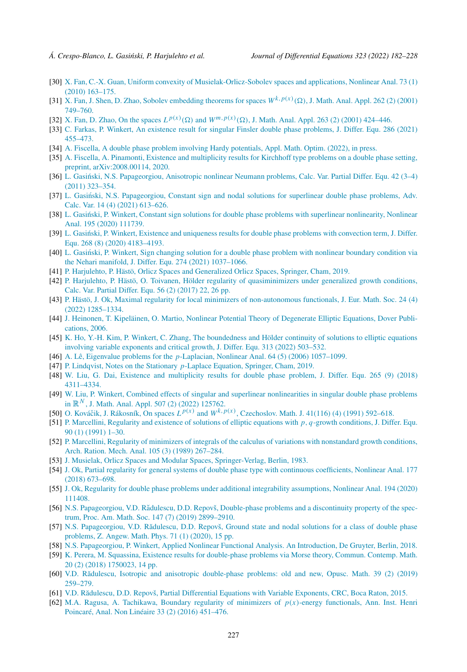- <span id="page-45-0"></span>[30] X. Fan, C.-X. Guan, Uniform convexity of [Musielak-Orlicz-Sobolev](http://refhub.elsevier.com/S0022-0396(22)00207-8/bib9057BD983B13CADF0773ACDE90EEE66Es1) spaces and applications, Nonlinear Anal. 73 (1) (2010) [163–175.](http://refhub.elsevier.com/S0022-0396(22)00207-8/bib9057BD983B13CADF0773ACDE90EEE66Es1)
- [31] X. Fan, J. Shen, D. Zhao, Sobolev [embedding](http://refhub.elsevier.com/S0022-0396(22)00207-8/bibC261FE39540AB221C3EF95D99C049853s1) theorems for spaces  $W^{k,p(x)}(\Omega)$ , J. Math. Anal. Appl. 262 (2) (2001) [749–760.](http://refhub.elsevier.com/S0022-0396(22)00207-8/bibC261FE39540AB221C3EF95D99C049853s1)
- [32] X. Fan, D. Zhao, On the spaces  $L^{p(x)}(\Omega)$  and  $W^{m,p(x)}(\Omega)$ , J. Math. Anal. Appl. 263 (2) (2001) 424–446.
- [33] C. Farkas, P. Winkert, An existence result for singular Finsler double phase [problems,](http://refhub.elsevier.com/S0022-0396(22)00207-8/bibA10D5F9EDB973900BEDC8FF825FC40ECs1) J. Differ. Equ. 286 (2021) [455–473.](http://refhub.elsevier.com/S0022-0396(22)00207-8/bibA10D5F9EDB973900BEDC8FF825FC40ECs1)
- [34] A. Fiscella, A double phase problem involving Hardy [potentials,](http://refhub.elsevier.com/S0022-0396(22)00207-8/bib56BC3FA0CFFC51BA2EDDB735004D5D52s1) Appl. Math. Optim. (2022), in press.
- [35] A. Fiscella, A. Pinamonti, Existence and [multiplicity](http://refhub.elsevier.com/S0022-0396(22)00207-8/bib77BC34B098DA027A987F0EF1AB1F2357s1) results for Kirchhoff type problems on a double phase setting, preprint, [arXiv:2008.00114,](http://refhub.elsevier.com/S0022-0396(22)00207-8/bib77BC34B098DA027A987F0EF1AB1F2357s1) 2020.
- [36] L. Gasiński, N.S. [Papageorgiou,](http://refhub.elsevier.com/S0022-0396(22)00207-8/bib69E506C70DAB0E3FC1CAD02B76B351BCs1) Anisotropic nonlinear Neumann problems, Calc. Var. Partial Differ. Equ. 42 (3-4) (2011) [323–354.](http://refhub.elsevier.com/S0022-0396(22)00207-8/bib69E506C70DAB0E3FC1CAD02B76B351BCs1)
- [37] L. Gasiński, N.S. [Papageorgiou,](http://refhub.elsevier.com/S0022-0396(22)00207-8/bib4CD3F980CB8069DA06D9E97E2995537Cs1) Constant sign and nodal solutions for superlinear double phase problems, Adv. Calc. Var. 14 (4) (2021) [613–626.](http://refhub.elsevier.com/S0022-0396(22)00207-8/bib4CD3F980CB8069DA06D9E97E2995537Cs1)
- [38] L. Gasiński, P. Winkert, Constant sign solutions for double phase problems with superlinear [nonlinearity,](http://refhub.elsevier.com/S0022-0396(22)00207-8/bib754C982463FADCD2E58BDE6D76C2F6F4s1) Nonlinear Anal. 195 (2020) [111739.](http://refhub.elsevier.com/S0022-0396(22)00207-8/bib754C982463FADCD2E58BDE6D76C2F6F4s1)
- [39] L. Gasinski, P. Winkert, Existence and [uniqueness](http://refhub.elsevier.com/S0022-0396(22)00207-8/bibE049B05C7F917C86F6B0170FFB127F39s1) results for double phase problems with convection term, J. Differ. Equ. 268 (8) (2020) [4183–4193.](http://refhub.elsevier.com/S0022-0396(22)00207-8/bibE049B05C7F917C86F6B0170FFB127F39s1)
- [40] L. Gasinski, P. Winkert, Sign changing solution for a double phase problem with [nonlinear](http://refhub.elsevier.com/S0022-0396(22)00207-8/bib8ED66C7CB62BC93428DADF80EBD1F433s1) boundary condition via the Nehari manifold, J. Differ. Equ. 274 (2021) [1037–1066.](http://refhub.elsevier.com/S0022-0396(22)00207-8/bib8ED66C7CB62BC93428DADF80EBD1F433s1)
- [41] P. Harjulehto, P. Hästö, Orlicz Spaces and [Generalized](http://refhub.elsevier.com/S0022-0396(22)00207-8/bibA02BC58A3CD97A52285914AE4BAC67FFs1) Orlicz Spaces, Springer, Cham, 2019.
- [42] P. Harjulehto, P. Hästö, O. Toivanen, Hölder regularity of [quasiminimizers](http://refhub.elsevier.com/S0022-0396(22)00207-8/bibD757347256D815C173A4C311F86526A3s1) under generalized growth conditions, Calc. Var. Partial Differ. Equ. 56 (2) [\(2017\)](http://refhub.elsevier.com/S0022-0396(22)00207-8/bibD757347256D815C173A4C311F86526A3s1) 22, 26 pp.
- [43] P. Hästö, J. Ok, Maximal regularity for local minimizers of [non-autonomous](http://refhub.elsevier.com/S0022-0396(22)00207-8/bib25B9C20D44CA337E9AE394F131332074s1) functionals, J. Eur. Math. Soc. 24 (4) (2022) [1285–1334.](http://refhub.elsevier.com/S0022-0396(22)00207-8/bib25B9C20D44CA337E9AE394F131332074s1)
- [44] J. Heinonen, T. [Kipeläinen,](http://refhub.elsevier.com/S0022-0396(22)00207-8/bibD396505C63A88553FE62EB43D781311Ds1) O. Martio, Nonlinear Potential Theory of Degenerate Elliptic Equations, Dover Publi[cations,](http://refhub.elsevier.com/S0022-0396(22)00207-8/bibD396505C63A88553FE62EB43D781311Ds1) 2006.
- [45] K. Ho, Y.-H. Kim, P. Winkert, C. Zhang, The [boundedness](http://refhub.elsevier.com/S0022-0396(22)00207-8/bib20436D063C441F6295C834AA64528ED0s1) and Hölder continuity of solutions to elliptic equations involving variable [exponents](http://refhub.elsevier.com/S0022-0396(22)00207-8/bib20436D063C441F6295C834AA64528ED0s1) and critical growth, J. Differ. Equ. 313 (2022) 503–532.
- [46] A. Lê, Eigenvalue problems for the *p*-Laplacian, Nonlinear Anal. 64 (5) (2006) [1057–1099.](http://refhub.elsevier.com/S0022-0396(22)00207-8/bibE426CFD0EF969A713E0269F7F5D79E24s1)
- [47] P. Lindqvist, Notes on the [Stationary](http://refhub.elsevier.com/S0022-0396(22)00207-8/bibE0B86A5E9FEAB32817545B64DC8552C3s1) *p*-Laplace Equation, Springer, Cham, 2019.
- [48] W. Liu, G. Dai, Existence and [multiplicity](http://refhub.elsevier.com/S0022-0396(22)00207-8/bibB61C2838707CF19588F49A350475076Fs1) results for double phase problem, J. Differ. Equ. 265 (9) (2018) [4311–4334.](http://refhub.elsevier.com/S0022-0396(22)00207-8/bibB61C2838707CF19588F49A350475076Fs1)
- [49] W. Liu, P. Winkert, Combined effects of singular and superlinear [nonlinearities](http://refhub.elsevier.com/S0022-0396(22)00207-8/bibF5B9F75616B619783A9CA3BAAC8ECC2Fs1) in singular double phase problems in  $\mathbb{R}^N$ , J. Math. Anal. Appl. 507 (2) (2022) [125762.](http://refhub.elsevier.com/S0022-0396(22)00207-8/bibF5B9F75616B619783A9CA3BAAC8ECC2Fs1)
- [50] O. Kováčik, J. Rákosník, On spaces  $L^{p(x)}$  and  $W^{k,p(x)}$ , [Czechoslov.](http://refhub.elsevier.com/S0022-0396(22)00207-8/bibE1865384F39448D4FF08B35B51B7B332s1) Math. J. 41(116) (4) (1991) 592–618.
- [51] P. [Marcellini,](http://refhub.elsevier.com/S0022-0396(22)00207-8/bib620DCCFBC15E31D4ABEC002E9BA9B683s1) Regularity and existence of solutions of elliptic equations with *p, q*-growth conditions, J. Differ. Equ. 90 (1) [\(1991\)](http://refhub.elsevier.com/S0022-0396(22)00207-8/bib620DCCFBC15E31D4ABEC002E9BA9B683s1) 1–30.
- [52] P. Marcellini, Regularity of minimizers of integrals of the calculus of variations with [nonstandard](http://refhub.elsevier.com/S0022-0396(22)00207-8/bib8E656B91D3CFC7069EDFA34189B3C974s1) growth conditions, Arch. Ration. Mech. Anal. 105 (3) (1989) [267–284.](http://refhub.elsevier.com/S0022-0396(22)00207-8/bib8E656B91D3CFC7069EDFA34189B3C974s1)
- [53] J. Musielak, Orlicz Spaces and Modular Spaces, [Springer-Verlag,](http://refhub.elsevier.com/S0022-0396(22)00207-8/bib6EDC75EAF827CF1E4172B0AB0D0702F6s1) Berlin, 1983.
- [54] J. Ok, Partial regularity for general systems of double phase type with continuous [coefficients,](http://refhub.elsevier.com/S0022-0396(22)00207-8/bibA4D654C14F37DE4E75D656E9A4FC101Cs1) Nonlinear Anal. 177 (2018) [673–698.](http://refhub.elsevier.com/S0022-0396(22)00207-8/bibA4D654C14F37DE4E75D656E9A4FC101Cs1)
- [55] J. Ok, Regularity for double phase problems under additional integrability [assumptions,](http://refhub.elsevier.com/S0022-0396(22)00207-8/bib9C213F7CAE31A9ED793404423B01EF72s1) Nonlinear Anal. 194 (2020) [111408.](http://refhub.elsevier.com/S0022-0396(22)00207-8/bib9C213F7CAE31A9ED793404423B01EF72s1)
- [56] N.S. [Papageorgiou,](http://refhub.elsevier.com/S0022-0396(22)00207-8/bib2F05DD044A2BE95330B06F5A273D57F9s1) V.D. Rădulescu, D.D. Repovš, Double-phase problems and a discontinuity property of the spectrum, Proc. Am. Math. Soc. 147 (7) (2019) [2899–2910.](http://refhub.elsevier.com/S0022-0396(22)00207-8/bib2F05DD044A2BE95330B06F5A273D57F9s1)
- [57] N.S. [Papageorgiou,](http://refhub.elsevier.com/S0022-0396(22)00207-8/bib85F25B81DE1C48BD0A5A55240D85EA7Es1) V.D. Rădulescu, D.D. Repovš, Ground state and nodal solutions for a class of double phase [problems,](http://refhub.elsevier.com/S0022-0396(22)00207-8/bib85F25B81DE1C48BD0A5A55240D85EA7Es1) Z. Angew. Math. Phys. 71 (1) (2020), 15 pp.
- [58] N.S. [Papageorgiou,](http://refhub.elsevier.com/S0022-0396(22)00207-8/bibE7592120B146B445567C25E998B59E37s1) P. Winkert, Applied Nonlinear Functional Analysis. An Introduction, De Gruyter, Berlin, 2018.
- [59] K. Perera, M. Squassina, Existence results for [double-phase](http://refhub.elsevier.com/S0022-0396(22)00207-8/bib0014A7466385CBE7A70B12EBD788FA96s1) problems via Morse theory, Commun. Contemp. Math. 20 (2) (2018) [1750023,](http://refhub.elsevier.com/S0022-0396(22)00207-8/bib0014A7466385CBE7A70B12EBD788FA96s1) 14 pp.
- [60] V.D. Rădulescu, Isotropic and [anisotropic double-phase](http://refhub.elsevier.com/S0022-0396(22)00207-8/bibE4C976A8C148270A8E13AEEC5D7211D9s1) problems: old and new, Opusc. Math. 39 (2) (2019) [259–279.](http://refhub.elsevier.com/S0022-0396(22)00207-8/bibE4C976A8C148270A8E13AEEC5D7211D9s1)
- [61] V.D. Rădulescu, D.D. Repovš, Partial [Differential](http://refhub.elsevier.com/S0022-0396(22)00207-8/bibE170DB0453F6354F763DA5F92E2E0284s1) Equations with Variable Exponents, CRC, Boca Raton, 2015.
- [62] M.A. Ragusa, A. Tachikawa, Boundary regularity of minimizers of *p(x)*-energy [functionals,](http://refhub.elsevier.com/S0022-0396(22)00207-8/bib408D0F9C847178FECA3AC6C3AC468409s1) Ann. Inst. Henri [Poincaré,](http://refhub.elsevier.com/S0022-0396(22)00207-8/bib408D0F9C847178FECA3AC6C3AC468409s1) Anal. Non Linéaire 33 (2) (2016) 451–476.